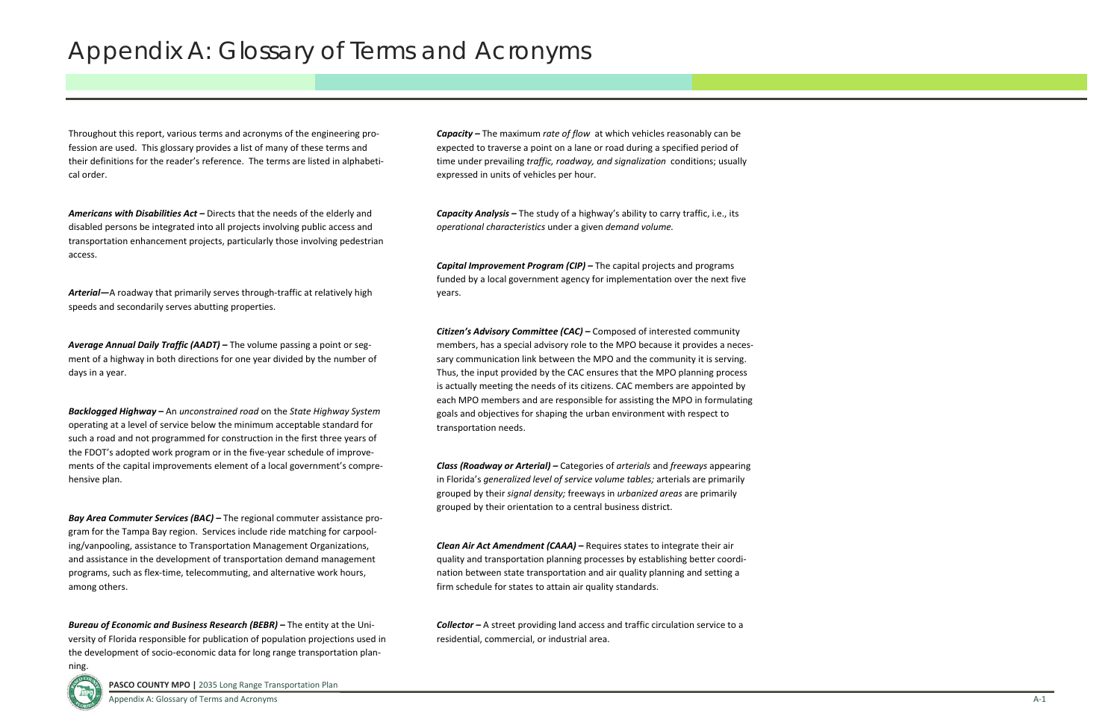Throughout this report, various terms and acronyms of the engineering pro‐ fession are used. This glossary provides <sup>a</sup> list of many of these terms and their definitions for the reader's reference. The terms are listed in alphabeti‐ cal order.

Arterial—A roadway that primarily serves through-traffic at relatively high speeds and secondarily serves abutting properties.

*Americans with Disabilities Act –* Directs that the needs of the elderly and disabled persons be integrated into all projects involving public access and transportation enhancement projects, particularly those involving pedestrian access.

*Average Annual Daily Traffic (AADT) –* The volume passing <sup>a</sup> point or seg‐ ment of <sup>a</sup> highway in both directions for one year divided by the number of days in <sup>a</sup> year.

*Backlogged Highway –* An *unconstrained road* on the *State Highway System* operating at <sup>a</sup> level of service below the minimum acceptable standard for such <sup>a</sup> road and not programmed for construction in the first three years of the FDOT's adopted work program or in the five‐year schedule of improve‐ ments of the capital improvements element of <sup>a</sup> local government's compre‐ hensive plan.

*Bay Area Commuter Services (BAC) –* The regional commuter assistance pro‐ gram for the Tampa Bay region. Services include ride matching for carpool‐ ing/vanpooling, assistance to Transportation Management Organizations, and assistance in the development of transportation demand management programs, such as flex‐time, telecommuting, and alternative work hours, among others.

*Bureau of Economic and Business Research (BEBR) –* The entity at the Uni‐ versity of Florida responsible for publication of population projections used in the development of socio‐economic data for long range transportation plan‐

ning.

*Capacity –* The maximum *rate of flow* at which vehicles reasonably can be expected to traverse <sup>a</sup> point on <sup>a</sup> lane or road during <sup>a</sup> specified period of time under prevailing *traffic, roadway, and signalization* conditions; usually expressed in units of vehicles per hour.

*Capacity Analysis –* The study of <sup>a</sup> highway's ability to carry traffic, i.e., its *operational characteristics* under <sup>a</sup> given *demand volume.*

*Capital Improvement Program (CIP) –* The capital projects and programs funded by <sup>a</sup> local government agency for implementation over the next five years.

*Citizen's Advisory Committee (CAC) –* Composed of interested community members, has <sup>a</sup> special advisory role to the MPO because it provides <sup>a</sup> neces‐ sary communication link between the MPO and the community it is serving. Thus, the input provided by the CAC ensures that the MPO planning process is actually meeting the needs of its citizens. CAC members are appointed by each MPO members and are responsible for assisting the MPO in formulating goals and objectives for shaping the urban environment with respect to transportation needs.

*Class (Roadway or Arterial) –* Categories of *arterials* and *freeways* appearing in Florida's *generalized level of service volume tables;* arterials are primarily grouped by their *signal density;* freeways in *urbanized areas* are primarily grouped by their orientation to <sup>a</sup> central business district.

*Clean Air Act Amendment (CAAA) –* Requires states to integrate their air quality and transportation planning processes by establishing better coordi‐ nation between state transportation and air quality planning and setting <sup>a</sup> firm schedule for states to attain air quality standards.

*Collector –* A street providing land access and traffic circulation service to <sup>a</sup> residential, commercial, or industrial area.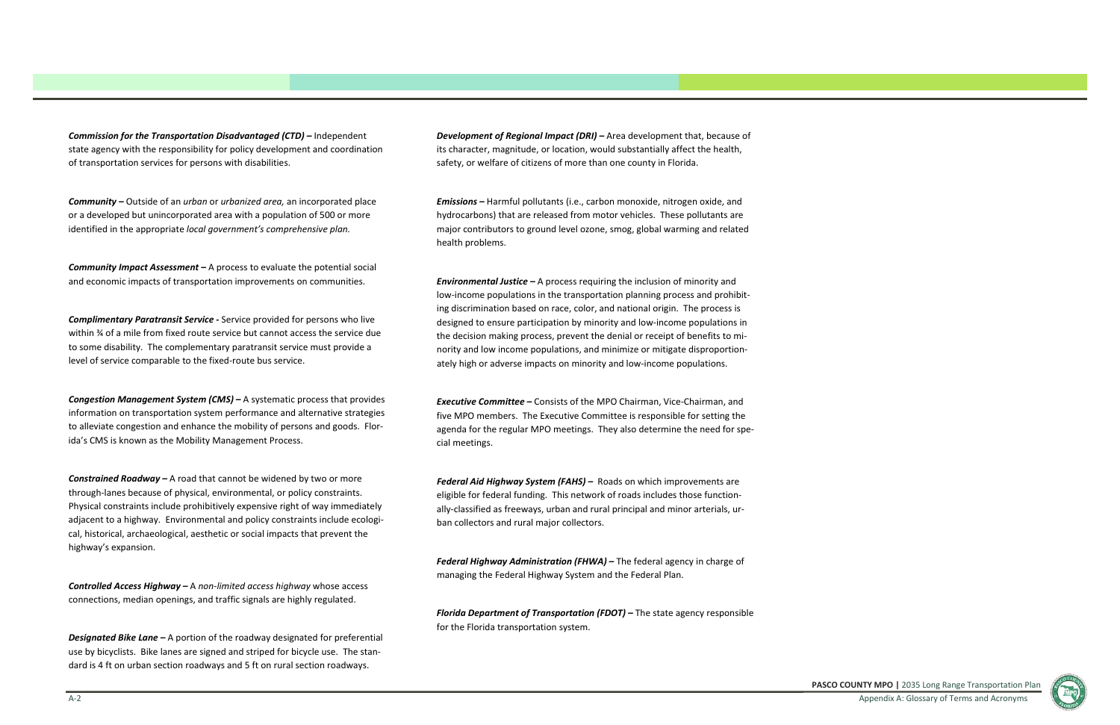**PASCO COUNTY MPO |** 2035 Long Range Transportation Plan Appendix A: Glossary of Terms and Acronyms



*Commission for the Transportation Disadvantaged (CTD) –* Independent state agency with the responsibility for policy development and coordination of transportation services for persons with disabilities.

*Community –* Outside of an *urban* or *urbanized area,* an incorporated place or a developed but unincorporated area with <sup>a</sup> population of 500 or more identified in the appropriate *local government's comprehensive plan.*

*Complimentary Paratransit Service - Service provided for persons who live* within ¾ of <sup>a</sup> mile from fixed route service but cannot access the service due to some disability. The complementary paratransit service must provide <sup>a</sup> level of service comparable to the fixed‐route bus service.

*Community Impact Assessment –* A process to evaluate the potential social and economic impacts of transportation improvements on communities.

*Congestion Management System (CMS) –* A systematic process that provides information on transportation system performance and alternative strategies to alleviate congestion and enhance the mobility of persons and goods. Flor‐ ida's CMS is known as the Mobility Management Process.

*Constrained Roadway –* A road that cannot be widened by two or more through‐lanes because of physical, environmental, or policy constraints. Physical constraints include prohibitively expensive right of way immediately adjacent to a highway. Environmental and policy constraints include ecological, historical, archaeological, aesthetic or social impacts that prevent the highway's expansion.

*Controlled Access Highway –* A *non*‐*limited access highway* whose access connections, median openings, and traffic signals are highly regulated.

*Designated Bike Lane –* A portion of the roadway designated for preferential use by bicyclists. Bike lanes are signed and striped for bicycle use. The stan‐ dard is 4 ft on urban section roadways and 5 ft on rural section roadways.

*Development of Regional Impact (DRI) –* Area development that, because of its character, magnitude, or location, would substantially affect the health, safety, or welfare of citizens of more than one county in Florida.

*Emissions –* Harmful pollutants (i.e., carbon monoxide, nitrogen oxide, and hydrocarbons) that are released from motor vehicles. These pollutants are major contributors to ground level ozone, smog, global warming and related health problems.

*Environmental Justice –* A process requiring the inclusion of minority and low‐income populations in the transportation planning process and prohibit‐ ing discrimination based on race, color, and national origin. The process is designed to ensure participation by minority and low‐income populations in the decision making process, prevent the denial or receipt of benefits to mi‐ nority and low income populations, and minimize or mitigate disproportion‐ ately high or adverse impacts on minority and low‐income populations.

*Executive Committee –* Consists of the MPO Chairman, Vice‐Chairman, and five MPO members. The Executive Committee is responsible for setting the agenda for the regular MPO meetings. They also determine the need for spe‐ cial meetings.

*Federal Aid Highway System (FAHS) –* Roads on which improvements are eligible for federal funding. This network of roads includes those function‐ ally‐classified as freeways, urban and rural principal and minor arterials, ur‐ ban collectors and rural major collectors.

*Federal Highway Administration (FHWA) –* The federal agency in charge of managing the Federal Highway System and the Federal Plan.

*Florida Department of Transportation (FDOT) –* The state agency responsible for the Florida transportation system.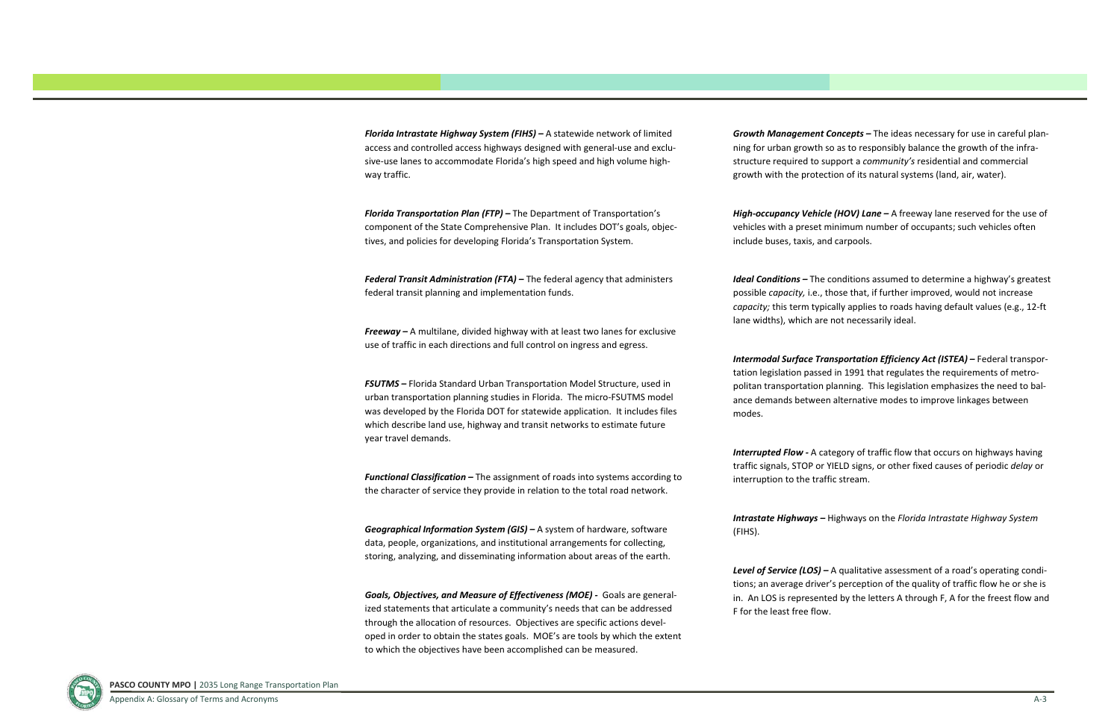*Florida Intrastate Highway System (FIHS) –* A statewide network of limited access and controlled access highways designed with general‐use and exclu‐ sive‐use lanes to accommodate Florida's high speed and high volume high‐ way traffic.

*Florida Transportation Plan (FTP) –* The Department of Transportation's component of the State Comprehensive Plan. It includes DOT's goals, objec‐ tives, and policies for developing Florida's Transportation System.

*Federal Transit Administration (FTA) –* The federal agency that administers federal transit planning and implementation funds.

*Freeway –* A multilane, divided highway with at least two lanes for exclusive use of traffic in each directions and full control on ingress and egress.

*FSUTMS –* Florida Standard Urban Transportation Model Structure, used in urban transportation planning studies in Florida. The micro‐FSUTMS model was developed by the Florida DOT for statewide application. It includes files which describe land use, highway and transit networks to estimate future year travel demands.

*Functional Classification –* The assignment of roads into systems according to the character of service they provide in relation to the total road network.

*Geographical Information System (GIS) –* A system of hardware, software data, people, organizations, and institutional arrangements for collecting, storing, analyzing, and disseminating information about areas of the earth.

*Goals, Objectives, and Measure of Effectiveness (MOE) ‐*  Goals are general‐ ized statements that articulate <sup>a</sup> community's needs that can be addressed through the allocation of resources. Objectives are specific actions devel‐ oped in order to obtain the states goals. MOE's are tools by which the extent to which the objectives have been accomplished can be measured.

*Growth Management Concepts –* The ideas necessary for use in careful plan‐ ning for urban growth so as to responsibly balance the growth of the infra‐ structure required to support <sup>a</sup> *community's* residential and commercial growth with the protection of its natural systems (land, air, water).

*High‐occupancy Vehicle (HOV) Lane –* A freeway lane reserved for the use of vehicles with <sup>a</sup> preset minimum number of occupants; such vehicles often include buses, taxis, and carpools.

*Ideal Conditions –* The conditions assumed to determine <sup>a</sup> highway's greatest possible *capacity,* i.e., those that, if further improved, would not increase *capacity;* this term typically applies to roads having default values (e.g., 12‐ft lane widths), which are not necessarily ideal.

*Intermodal Surface Transportation Efficiency Act (ISTEA) –* Federal transpor‐ tation legislation passed in 1991 that regulates the requirements of metro‐ politan transportation planning. This legislation emphasizes the need to balance demands between alternative modes to improve linkages between modes.

*Interrupted Flow ‐* A category of traffic flow that occurs on highways having traffic signals, STOP or YIELD signs, or other fixed causes of periodic *delay* or interruption to the traffic stream.

*Intrastate Highways –* Highways on the *Florida Intrastate Highway System*

(FIHS).

*Level of Service (LOS) –* A qualitative assessment of <sup>a</sup> road's operating condi‐ tions; an average driver's perception of the quality of traffic flow he or she is in. An LOS is represented by the letters A through F, A for the freest flow and F for the least free flow.

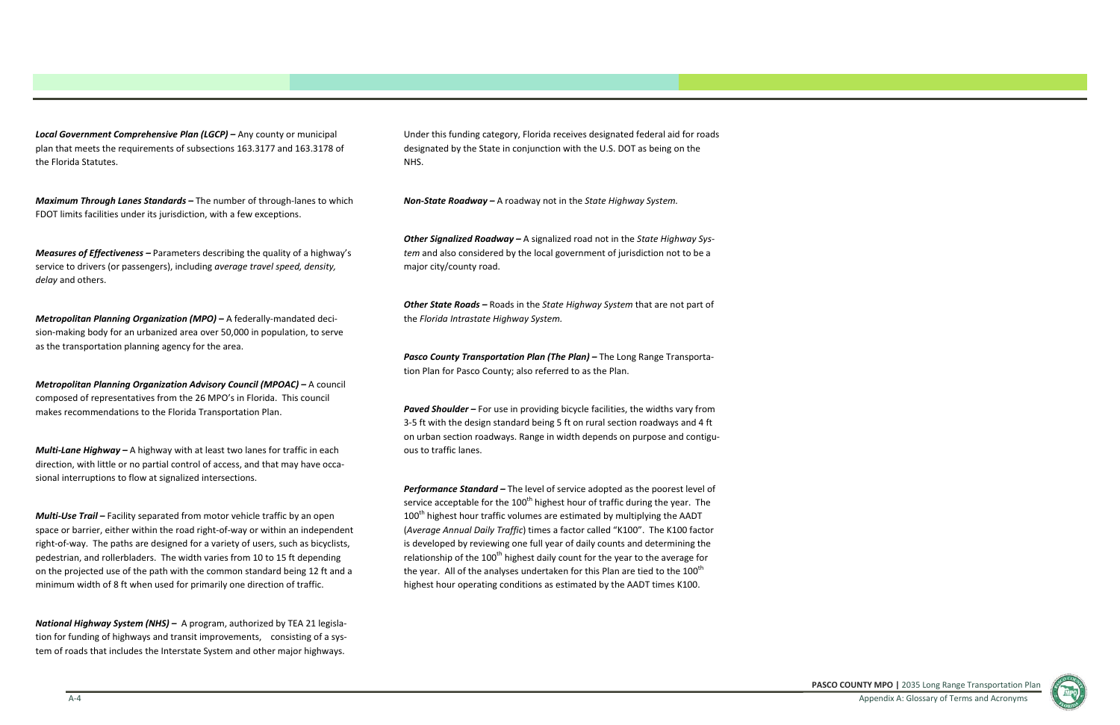*Local Government Comprehensive Plan (LGCP) –* Any county or municipal plan that meets the requirements of subsections 163.3177 and 163.3178 of the Florida Statutes.

*Maximum Through Lanes Standards –* The number of through‐lanes to which FDOT limits facilities under its jurisdiction, with <sup>a</sup> few exceptions.

*Measures of Effectiveness –* Parameters describing the quality of <sup>a</sup> highway's service to drivers (or passengers), including *average travel speed, density, delay* and others.

*Metropolitan Planning Organization (MPO) –* A federally‐mandated deci‐ sion-making body for an urbanized area over 50,000 in population, to serve as the transportation planning agency for the area.

*Metropolitan Planning Organization Advisory Council (MPOAC) –* A council composed of representatives from the 26 MPO's in Florida. This council makes recommendations to the Florida Transportation Plan.

*Multi‐Lane Highway –* A highway with at least two lanes for traffic in each direction, with little or no partial control of access, and that may have occa‐ sional interruptions to flow at signalized intersections.

*Multi‐Use Trail –* Facility separated from motor vehicle traffic by an open space or barrier, either within the road right-of-way or within an independent right‐of‐way. The paths are designed for <sup>a</sup> variety of users, such as bicyclists, pedestrian, and rollerbladers. The width varies from 10 to 15 ft depending on the projected use of the path with the common standard being 12 ft and <sup>a</sup> minimum width of 8 ft when used for primarily one direction of traffic.

*National Highway System (NHS) –* A program, authorized by TEA 21 legisla‐ tion for funding of highways and transit improvements, consisting of <sup>a</sup> sys‐ tem of roads that includes the Interstate System and other major highways.

Under this funding category, Florida receives designated federal aid for roads designated by the State in conjunction with the U.S. DOT as being on the NHS.

*Non‐State Roadway –* A roadway not in the *State Highway System.*

*Other Signalized Roadway –* A signalized road not in the *State Highway Sys‐ tem* and also considered by the local government of jurisdiction not to be <sup>a</sup> major city/county road.

*Other State Roads –* Roads in the *State Highway System* that are not part of the *Florida Intrastate Highway System.*

*Pasco County Transportation Plan (The Plan) –* The Long Range Transporta‐ tion Plan for Pasco County; also referred to as the Plan.

*Paved Shoulder –* For use in providing bicycle facilities, the widths vary from 3‐5 ft with the design standard being 5 ft on rural section roadways and 4 ft on urban section roadways. Range in width depends on purpose and contigu‐ ous to traffic lanes.

*Performance Standard –* The level of service adopted as the poorest level of service acceptable for the 100<sup>th</sup> highest hour of traffic during the year. The 100<sup>th</sup> highest hour traffic volumes are estimated by multiplying the AADT (*Average Annual Daily Traffic*) times <sup>a</sup> factor called "K100". The K100 factor is developed by reviewing one full year of daily counts and determining the relationship of the  $100<sup>th</sup>$  highest daily count for the year to the average for the year. All of the analyses undertaken for this Plan are tied to the 100<sup>th</sup> highest hour operating conditions as estimated by the AADT times K100.

**PASCO COUNTY MPO |** 2035 Long Range Transportation Plan Appendix A: Glossary of Terms and Acronyms

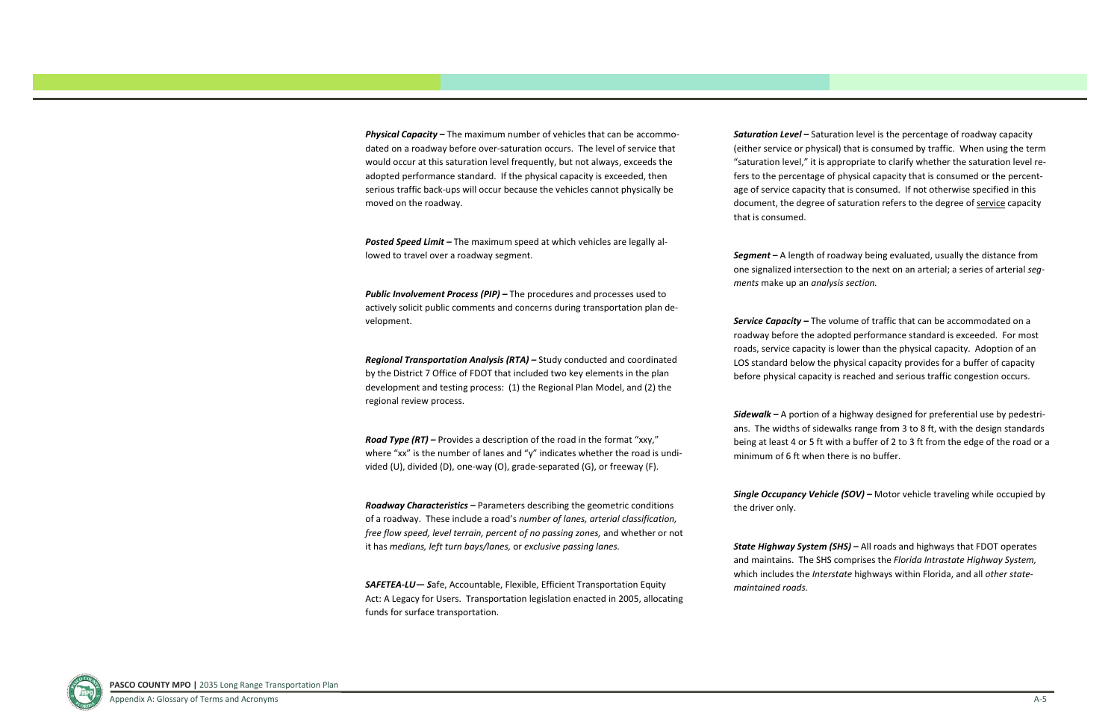

*Physical Capacity –* The maximum number of vehicles that can be accommo‐ dated on <sup>a</sup> roadway before over‐saturation occurs. The level of service that would occur at this saturation level frequently, but not always, exceeds the adopted performance standard. If the physical capacity is exceeded, then serious traffic back‐ups will occur because the vehicles cannot physically be moved on the roadway.

*Posted Speed Limit –* The maximum speed at which vehicles are legally al‐ lowed to travel over <sup>a</sup> roadway segment.

*Public Involvement Process (PIP) –* The procedures and processes used to actively solicit public comments and concerns during transportation plan de‐ velopment.

*Regional Transportation Analysis (RTA) –* Study conducted and coordinated by the District 7 Office of FDOT that included two key elements in the plan development and testing process: (1) the Regional Plan Model, and (2) the regional review process.

*Road Type (RT) –* Provides <sup>a</sup> description of the road in the format "xxy," where "xx" is the number of lanes and "y" indicates whether the road is undi‐ vided (U), divided (D), one‐way (O), grade‐separated (G), or freeway (F).

*Roadway Characteristics –* Parameters describing the geometric conditions of a roadway. These include <sup>a</sup> road's *number of lanes, arterial classification, free flow speed, level terrain, percent of no passing zones,* and whether or not it has *medians, left turn bays/lanes,* or *exclusive passing lanes.*

*SAFETEA‐LU— S*afe, Accountable, Flexible, Efficient Transportation Equity Act: A Legacy for Users. Transportation legislation enacted in 2005, allocating funds for surface transportation.

*Saturation Level –* Saturation level is the percentage of roadway capacity (either service or physical) that is consumed by traffic. When using the term "saturation level," it is appropriate to clarify whether the saturation level re‐ fers to the percentage of physical capacity that is consumed or the percent‐ age of service capacity that is consumed. If not otherwise specified in this document, the degree of saturation refers to the degree of service capacity that is consumed.

*Segment –* A length of roadway being evaluated, usually the distance from one signalized intersection to the next on an arterial; <sup>a</sup> series of arterial *seg‐ ments* make up an *analysis section.*

*Service Capacity –* The volume of traffic that can be accommodated on <sup>a</sup> roadway before the adopted performance standard is exceeded. For most roads, service capacity is lower than the physical capacity. Adoption of an LOS standard below the physical capacity provides for <sup>a</sup> buffer of capacity before physical capacity is reached and serious traffic congestion occurs.

*Sidewalk –* A portion of <sup>a</sup> highway designed for preferential use by pedestri‐ ans. The widths of sidewalks range from 3 to 8 ft, with the design standards being at least 4 or 5 ft with <sup>a</sup> buffer of 2 to 3 ft from the edge of the road or <sup>a</sup> minimum of 6 ft when there is no buffer.

*Single Occupancy Vehicle (SOV) –* Motor vehicle traveling while occupied by

the driver only.

*State Highway System (SHS) –* All roads and highways that FDOT operates and maintains. The SHS comprises the *Florida Intrastate Highway System,* which includes the *Interstate* highways within Florida, and all *other state‐*

*maintained roads.*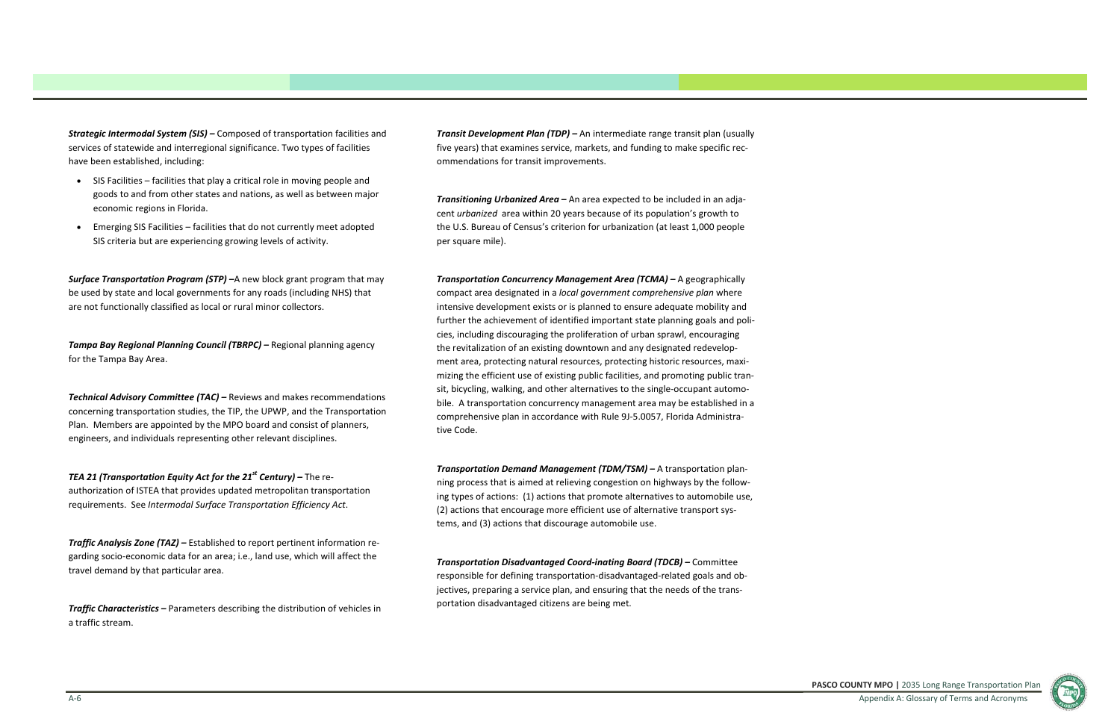**PASCO COUNTY MPO |** 2035 Long Range Transportation Plan Appendix A: Glossary of Terms and Acronyms



*Strategic Intermodal System (SIS) –* Composed of transportation facilities and services of statewide and interregional significance. Two types of facilities have been established, including:

- SIS Facilities facilities that play <sup>a</sup> critical role in moving people and goods to and from other states and nations, as well as between major economic regions in Florida.
- Emerging SIS Facilities facilities that do not currently meet adopted SIS criteria but are experiencing growing levels of activity.

*Surface Transportation Program (STP) –*A new block grant program that may be used by state and local governments for any roads (including NHS) that are not functionally classified as local or rural minor collectors.

*Tampa Bay Regional Planning Council (TBRPC) –* Regional planning agency for the Tampa Bay Area.

*Technical Advisory Committee (TAC) –* Reviews and makes recommendations concerning transportation studies, the TIP, the UPWP, and the Transportation Plan. Members are appointed by the MPO board and consist of planners, engineers, and individuals representing other relevant disciplines.

*TEA <sup>21</sup> (Transportation Equity Act for the <sup>21</sup>st Century) –* The re‐ authorization of ISTEA that provides updated metropolitan transportation requirements. See *Intermodal Surface Transportation Efficiency Act*.

*Traffic Analysis Zone (TAZ) –* Established to report pertinent information re‐ garding socio‐economic data for an area; i.e., land use, which will affect the travel demand by that particular area.

*Traffic Characteristics –* Parameters describing the distribution of vehicles in a traffic stream.

*Transit Development Plan (TDP) –* An intermediate range transit plan (usually five years) that examines service, markets, and funding to make specific rec‐ ommendations for transit improvements.

*Transitioning Urbanized Area –* An area expected to be included in an adja‐ cent *urbanized* area within 20 years because of its population's growth to the U.S. Bureau of Census's criterion for urbanization (at least 1,000 people per square mile).

*Transportation Concurrency Management Area (TCMA) –* A geographically compact area designated in <sup>a</sup> *local government comprehensive plan* where intensive development exists or is planned to ensure adequate mobility and further the achievement of identified important state planning goals and poli‐ cies, including discouraging the proliferation of urban sprawl, encouraging the revitalization of an existing downtown and any designated redevelop‐ ment area, protecting natural resources, protecting historic resources, maxi‐ mizing the efficient use of existing public facilities, and promoting public tran‐ sit, bicycling, walking, and other alternatives to the single‐occupant automo‐ bile. A transportation concurrency management area may be established in <sup>a</sup> comprehensive plan in accordance with Rule 9J‐5.0057, Florida Administra‐ tive Code.

*Transportation Demand Management (TDM/TSM) –* A transportation plan‐ ning process that is aimed at relieving congestion on highways by the follow‐ ing types of actions: (1) actions that promote alternatives to automobile use, (2) actions that encourage more efficient use of alternative transport sys‐ tems, and (3) actions that discourage automobile use.

*Transportation Disadvantaged Coord‐inating Board (TDCB) –* Committee responsible for defining transportation‐disadvantaged‐related goals and ob‐ jectives, preparing a service plan, and ensuring that the needs of the transportation disadvantaged citizens are being met.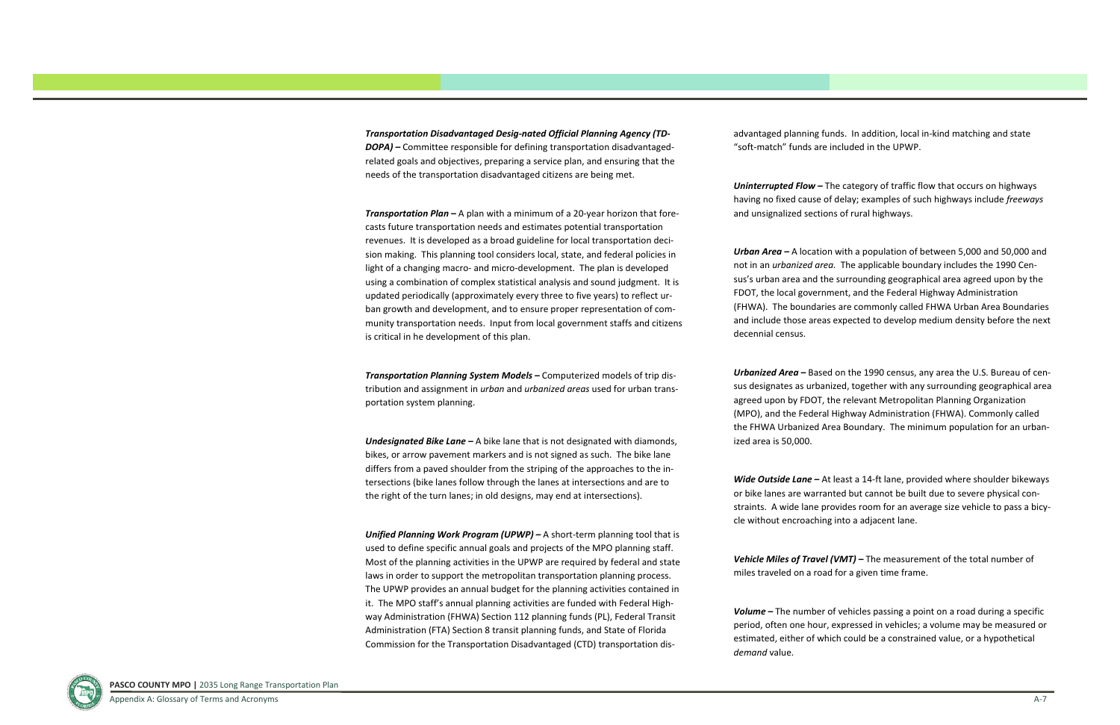*Transportation Disadvantaged Desig‐nated Official Planning Agency (TD‐ DOPA) –* Committee responsible for defining transportation disadvantaged‐ related goals and objectives, preparing <sup>a</sup> service plan, and ensuring that the needs of the transportation disadvantaged citizens are being met.

*Transportation Plan –* A plan with <sup>a</sup> minimum of <sup>a</sup> 20‐year horizon that fore‐ casts future transportation needs and estimates potential transportation revenues. It is developed as <sup>a</sup> broad guideline for local transportation deci‐ sion making. This planning tool considers local, state, and federal policies in light of <sup>a</sup> changing macro‐ and micro‐development. The plan is developed using <sup>a</sup> combination of complex statistical analysis and sound judgment. It is updated periodically (approximately every three to five years) to reflect ur‐ ban growth and development, and to ensure proper representation of com‐ munity transportation needs. Input from local government staffs and citizens is critical in he development of this plan.

*Transportation Planning System Models –* Computerized models of trip dis‐ tribution and assignment in *urban* and *urbanized areas* used for urban trans‐ portation system planning.

*Undesignated Bike Lane –* A bike lane that is not designated with diamonds, bikes, or arrow pavement markers and is not signed as such. The bike lane differs from <sup>a</sup> paved shoulder from the striping of the approaches to the in‐ tersections (bike lanes follow through the lanes at intersections and are to the right of the turn lanes; in old designs, may end at intersections).

*Unified Planning Work Program (UPWP) –* A short‐term planning tool that is used to define specific annual goals and projects of the MPO planning staff. Most of the planning activities in the UPWP are required by federal and state laws in order to support the metropolitan transportation planning process. The UPWP provides an annual budget for the planning activities contained in it. The MPO staff's annual planning activities are funded with Federal High‐ way Administration (FHWA) Section 112 planning funds (PL), Federal Transit Administration (FTA) Section 8 transit planning funds, and State of Florida Commission for the Transportation Disadvantaged (CTD) transportation dis‐

advantaged planning funds. In addition, local in‐kind matching and state "soft‐match" funds are included in the UPWP.

*Uninterrupted Flow –* The category of traffic flow that occurs on highways having no fixed cause of delay; examples of such highways include *freeways* and unsignalized sections of rural highways.

*Urban Area –* A location with <sup>a</sup> population of between 5,000 and 50,000 and not in an *urbanized area.* The applicable boundary includes the 1990 Cen‐ sus's urban area and the surrounding geographical area agreed upon by the FDOT, the local government, and the Federal Highway Administration (FHWA). The boundaries are commonly called FHWA Urban Area Boundaries and include those areas expected to develop medium density before the next decennial census.

*Urbanized Area –* Based on the 1990 census, any area the U.S. Bureau of cen‐ sus designates as urbanized, together with any surrounding geographical area agreed upon by FDOT, the relevant Metropolitan Planning Organization (MPO), and the Federal Highway Administration (FHWA). Commonly called the FHWA Urbanized Area Boundary. The minimum population for an urban‐ ized area is 50,000.

*Wide Outside Lane –* At least <sup>a</sup> 14‐ft lane, provided where shoulder bikeways or bike lanes are warranted but cannot be built due to severe physical con‐ straints. A wide lane provides room for an average size vehicle to pass <sup>a</sup> bicy‐ cle without encroaching into <sup>a</sup> adjacent lane.

*Vehicle Miles of Travel (VMT) –* The measurement of the total number of miles traveled on <sup>a</sup> road for <sup>a</sup> given time frame.

*Volume –* The number of vehicles passing <sup>a</sup> point on <sup>a</sup> road during <sup>a</sup> specific period, often one hour, expressed in vehicles; <sup>a</sup> volume may be measured or estimated, either of which could be <sup>a</sup> constrained value, or <sup>a</sup> hypothetical *demand* value.

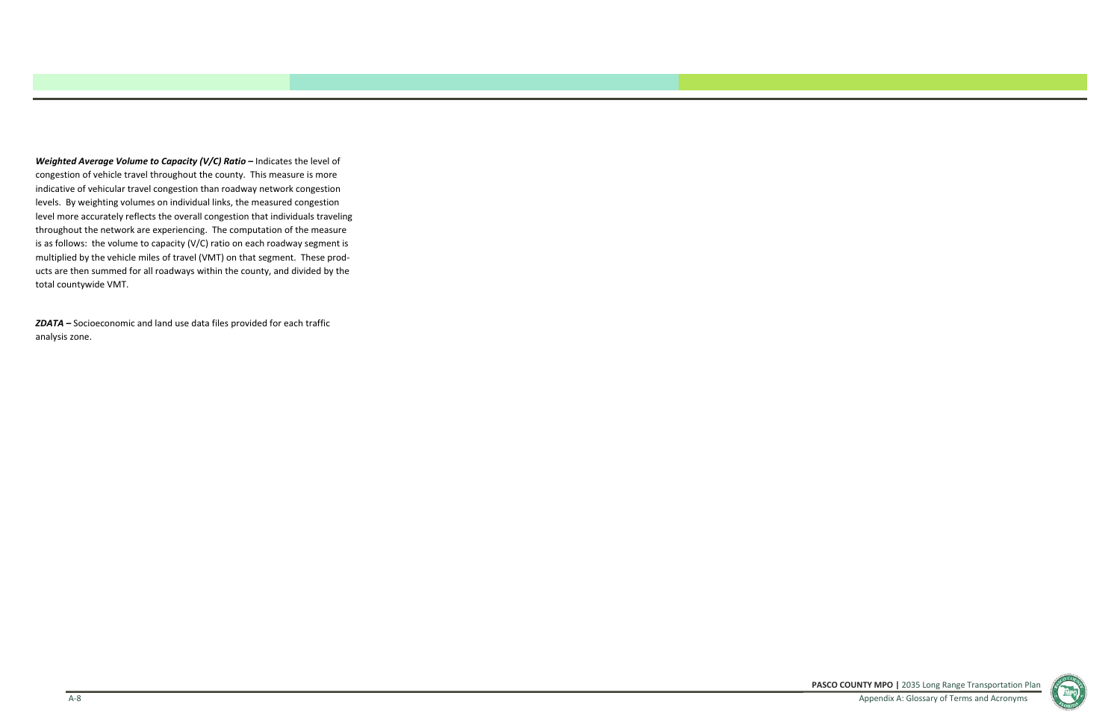**PASCO COUNTY MPO |** 2035 Long Range Transportation Plan Appendix A: Glossary of Terms and Acronyms



*Weighted Average Volume to Capacity (V/C) Ratio –* Indicates the level of congestion of vehicle travel throughout the county. This measure is more indicative of vehicular travel congestion than roadway network congestion levels. By weighting volumes on individual links, the measured congestion level more accurately reflects the overall congestion that individuals traveling throughout the network are experiencing. The computation of the measure is as follows: the volume to capacity (V/C) ratio on each roadway segment is multiplied by the vehicle miles of travel (VMT) on that segment. These prod‐ ucts are then summed for all roadways within the county, and divided by the total countywide VMT.

*ZDATA –* Socioeconomic and land use data files provided for each traffic analysis zone.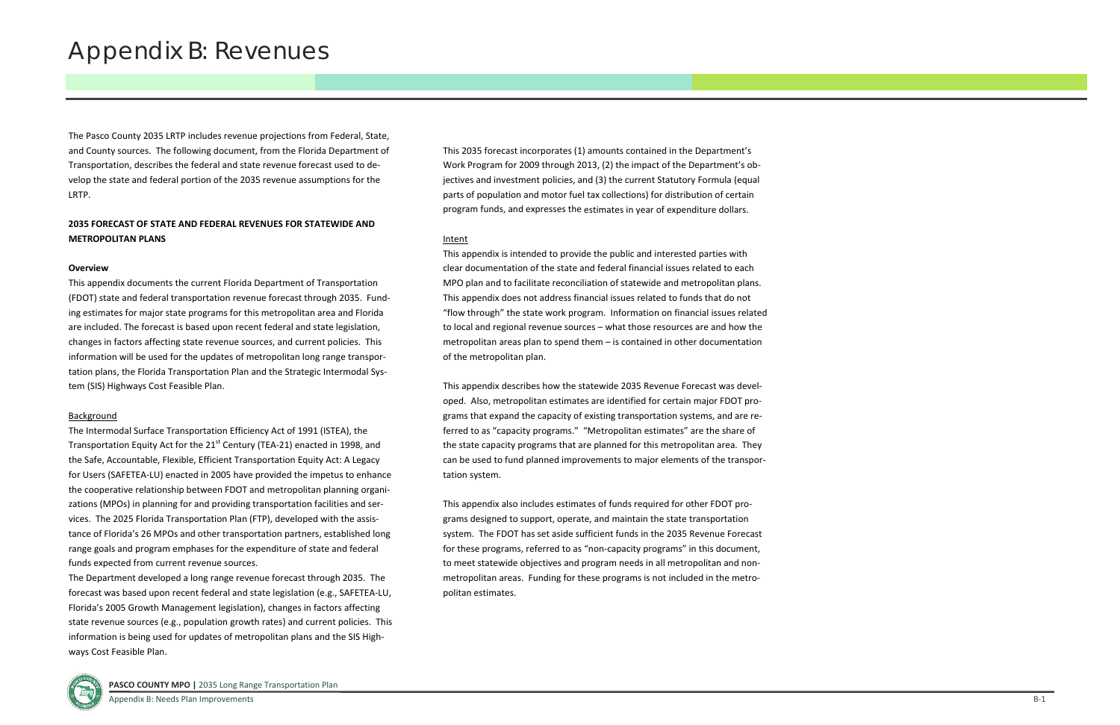# Appendix B: Revenues

The Pasco County 2035 LRTP includes revenue projections from Federal, State, and County sources. The following document, from the Florida Department of Transportation, describes the federal and state revenue forecast used to de‐ velop the state and federal portion of the 2035 revenue assumptions for the LRTP.

# **2035 FORECAST OF STATE AND FEDERAL REVENUES FOR STATEWIDE AND METROPOLITAN PLANS**

# **Overview**

This appendix documents the current Florida Department of Transportation (FDOT) state and federal transportation revenue forecast through 2035. Fund‐ ing estimates for major state programs for this metropolitan area and Florida are included. The forecast is based upon recent federal and state legislation, changes in factors affecting state revenue sources, and current policies. This information will be used for the updates of metropolitan long range transpor‐ tation plans, the Florida Transportation Plan and the Strategic Intermodal Sys‐ tem (SIS) Highways Cost Feasible Plan.

## **Background**

The Intermodal Surface Transportation Efficiency Act of 1991 (ISTEA), the Transportation Equity Act for the  $21<sup>st</sup>$  Century (TEA-21) enacted in 1998, and the Safe, Accountable, Flexible, Efficient Transportation Equity Act: A Legacy for Users (SAFETEA‐LU) enacted in 2005 have provided the impetus to enhance the cooperative relationship between FDOT and metropolitan planning organi‐ zations (MPOs) in planning for and providing transportation facilities and ser‐ vices. The 2025 Florida Transportation Plan (FTP), developed with the assis‐ tance of Florida's 26 MPOs and other transportation partners, established long range goals and program emphases for the expenditure of state and federal funds expected from current revenue sources.

The Department developed <sup>a</sup> long range revenue forecast through 2035. The forecast was based upon recent federal and state legislation (e.g., SAFETEA‐LU, Florida's 2005 Growth Management legislation), changes in factors affecting state revenue sources (e.g., population growth rates) and current policies. This information is being used for updates of metropolitan plans and the SIS High‐ ways Cost Feasible Plan.

This 2035 forecast incorporates (1) amounts contained in the Department's Work Program for 2009 through 2013, (2) the impact of the Department's ob‐ jectives and investment policies, and (3) the current Statutory Formula (equal parts of population and motor fuel tax collections) for distribution of certain program funds, and expresses the estimates in year of expenditure dollars.

# Intent

This appendix is intended to provide the public and interested parties with clear documentation of the state and federal financial issues related to each MPO plan and to facilitate reconciliation of statewide and metropolitan plans. This appendix does not address financial issues related to funds that do not "flow through" the state work program. Information on financial issues related to local and regional revenue sources – what those resources are and how the metropolitan areas plan to spend them – is contained in other documentation of the metropolitan plan.

This appendix describes how the statewide 2035 Revenue Forecast was devel‐ oped. Also, metropolitan estimates are identified for certain major FDOT pro‐ grams that expand the capacity of existing transportation systems, and are re‐ ferred to as "capacity programs." "Metropolitan estimates" are the share of the state capacity programs that are planned for this metropolitan area. They can be used to fund planned improvements to major elements of the transpor‐ tation system.

This appendix also includes estimates of funds required for other FDOT pro‐ grams designed to support, operate, and maintain the state transportation system. The FDOT has set aside sufficient funds in the 2035 Revenue Forecast for these programs, referred to as "non‐capacity programs" in this document, to meet statewide objectives and program needs in all metropolitan and non‐ metropolitan areas. Funding for these programs is not included in the metropolitan estimates.

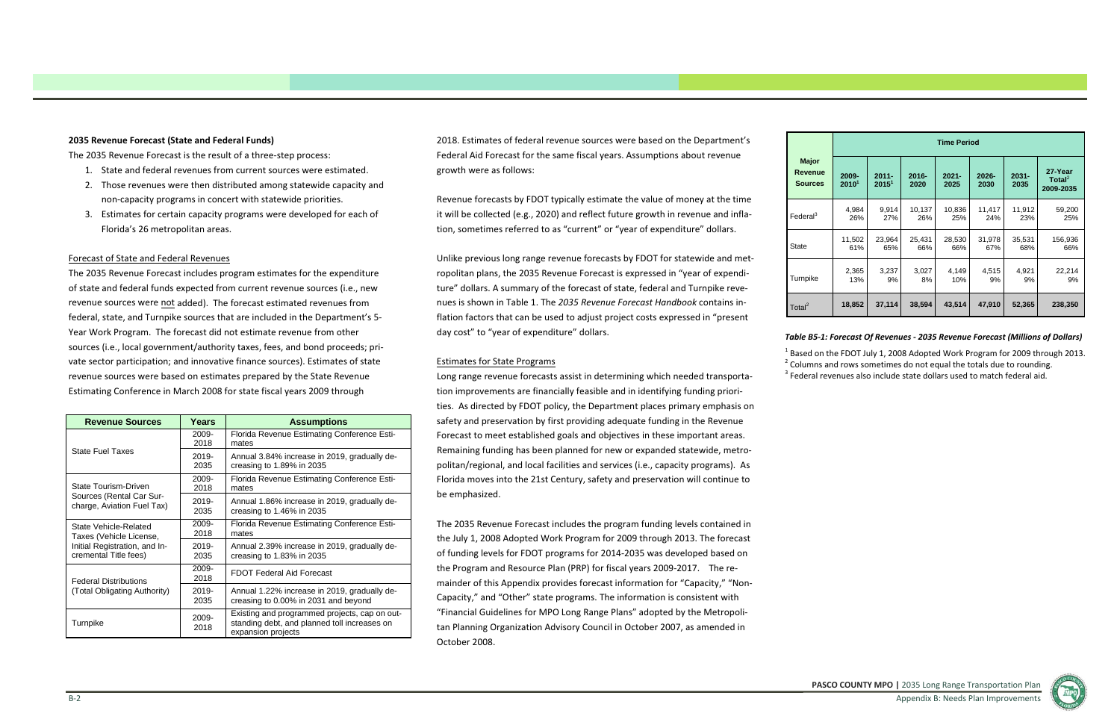# **2035 Revenue Forecast (State and Federal Funds)**

The 2035 Revenue Forecast is the result of <sup>a</sup> three‐step process:

- 1. State and federal revenues from current sources were estimated.
- 2. Those revenues were then distributed among statewide capacity and non‐capacity programs in concert with statewide priorities.
- 3. Estimates for certain capacity programs were developed for each of Florida's 26 metropolitan areas.

# Forecast of State and Federal Revenues

The 2035 Revenue Forecast includes program estimates for the expenditure of state and federal funds expected from current revenue sources (i.e., new revenue sources were <u>not</u> added). The forecast estimated revenues from federal, state, and Turnpike sources that are included in the Department's 5‐ Year Work Program. The forecast did not estimate revenue from other sources (i.e., local government/authority taxes, fees, and bond proceeds; pri‐ vate sector participation; and innovative finance sources). Estimates of state revenue sources were based on estimates prepared by the State Revenue Estimating Conference in March 2008 for state fiscal years 2009 through

2018. Estimates of federal revenue sources were based on the Department's Federal Aid Forecast for the same fiscal years. Assumptions about revenue growth were as follows:

Revenue forecasts by FDOT typically estimate the value of money at the time it will be collected (e.g., 2020) and reflect future growth in revenue and infla‐ tion, sometimes referred to as "current" or "year of expenditure" dollars.

Unlike previous long range revenue forecasts by FDOT for statewide and met‐ ropolitan plans, the 2035 Revenue Forecast is expressed in "year of expendi‐ ture" dollars. A summary of the forecast of state, federal and Turnpike reve‐ nues is shown in Table 1. The *2035 Revenue Forecast Handbook* contains in‐ flation factors that can be used to adjust project costs expressed in "present day cost" to "year of expenditure" dollars.

# Estimates for State Programs

Long range revenue forecasts assist in determining which needed transporta‐

tion improvements are financially feasible and in identifying funding priori‐ ties. As directed by FDOT policy, the Department places primary emphasis on safety and preservation by first providing adequate funding in the Revenue Forecast to meet established goals and objectives in these important areas. Remaining funding has been planned for new or expanded statewide, metro‐ politan/regional, and local facilities and services (i.e., capacity programs). As Florida moves into the 21st Century, safety and preservation will continue to be emphasized.

The 2035 Revenue Forecast includes the program funding levels contained in the July 1, 2008 Adopted Work Program for 2009 through 2013. The forecast of funding levels for FDOT programs for 2014‐2035 was developed based on the Program and Resource Plan (PRP) for fiscal years 2009‐2017. The re‐ mainder of this Appendix provides forecast information for "Capacity," "Non‐ Capacity," and "Other" state programs. The information is consistent with "Financial Guidelines for MPO Long Range Plans" adopted by the Metropoli‐ tan Planning Organization Advisory Council in October 2007, as amended in October 2008.

| <b>Revenue Sources</b>                                 | Years            | <b>Assumptions</b>                                                                                                  |
|--------------------------------------------------------|------------------|---------------------------------------------------------------------------------------------------------------------|
|                                                        | 2009-<br>2018    | Florida Revenue Estimating Conference Esti-<br>mates                                                                |
| <b>State Fuel Taxes</b>                                | 2019-<br>2035    | Annual 3.84% increase in 2019, gradually de-<br>creasing to $1.89\%$ in 2035                                        |
| State Tourism-Driven                                   | 2009-<br>2018    | Florida Revenue Estimating Conference Esti-<br>mates                                                                |
| Sources (Rental Car Sur-<br>charge, Aviation Fuel Tax) | $2019 -$<br>2035 | Annual 1.86% increase in 2019, gradually de-<br>creasing to $1.46\%$ in 2035                                        |
| State Vehicle-Related<br>Taxes (Vehicle License,       | 2009-<br>2018    | Florida Revenue Estimating Conference Esti-<br>mates                                                                |
| Initial Registration, and In-<br>cremental Title fees) | 2019-<br>2035    | Annual 2.39% increase in 2019, gradually de-<br>creasing to $1.83\%$ in 2035                                        |
| <b>Federal Distributions</b>                           | 2009-<br>2018    | <b>FDOT Federal Aid Forecast</b>                                                                                    |
| (Total Obligating Authority)                           | 2019-<br>2035    | Annual 1.22% increase in 2019, gradually de-<br>creasing to 0.00% in 2031 and beyond                                |
| Turnpike                                               | 2009-<br>2018    | Existing and programmed projects, cap on out-<br>standing debt, and planned toll increases on<br>expansion projects |

|                                           | <b>Time Period</b>         |                      |                  |                  |               |                  |                                            |  |  |  |  |  |
|-------------------------------------------|----------------------------|----------------------|------------------|------------------|---------------|------------------|--------------------------------------------|--|--|--|--|--|
| <b>Major</b><br>Revenue<br><b>Sources</b> | 2009-<br>2010 <sup>1</sup> | $2011 -$<br>$2015^1$ | $2016 -$<br>2020 | $2021 -$<br>2025 | 2026-<br>2030 | $2031 -$<br>2035 | 27-Year<br>Total <sup>2</sup><br>2009-2035 |  |  |  |  |  |
| Federal $^3$                              | 4,984                      | 9,914                | 10,137           | 10,836           | 11,417        | 11,912           | 59,200                                     |  |  |  |  |  |
|                                           | 26%                        | 27%                  | 26%              | 25%              | 24%           | 23%              | 25%                                        |  |  |  |  |  |
| State                                     | 11,502                     | 23,964               | 25,431           | 28,530           | 31,978        | 35,531           | 156,936                                    |  |  |  |  |  |
|                                           | 61%                        | 65%                  | 66%              | 66%              | 67%           | 68%              | 66%                                        |  |  |  |  |  |
| Turnpike                                  | 2,365                      | 3,237                | 3,027            | 4,149            | 4,515         | 4,921            | 22,214                                     |  |  |  |  |  |
|                                           | 13%                        | 9%                   | 8%               | 10%              | 9%            | 9%               | 9%                                         |  |  |  |  |  |
| Total <sup>2</sup>                        | 18,852                     | 37,114               | 38,594           | 43,514           | 47,910        | 52,365           | 238,350                                    |  |  |  |  |  |

 $^1$  Based on the FDOT July 1, 2008 Adopted Work Program for 2009 through 2013.  $2$  Columns and rows sometimes do not equal the totals due to rounding.  $3$  Federal revenues also include state dollars used to match federal aid.

**PASCO COUNTY MPO |** 2035 Long Range Transportation Plan Appendix B: Needs Plan Improvements



Turnpike

# *Table B5‐1: Forecast Of Revenues ‐ 2035 Revenue Forecast (Millions of Dollars)*

- 
-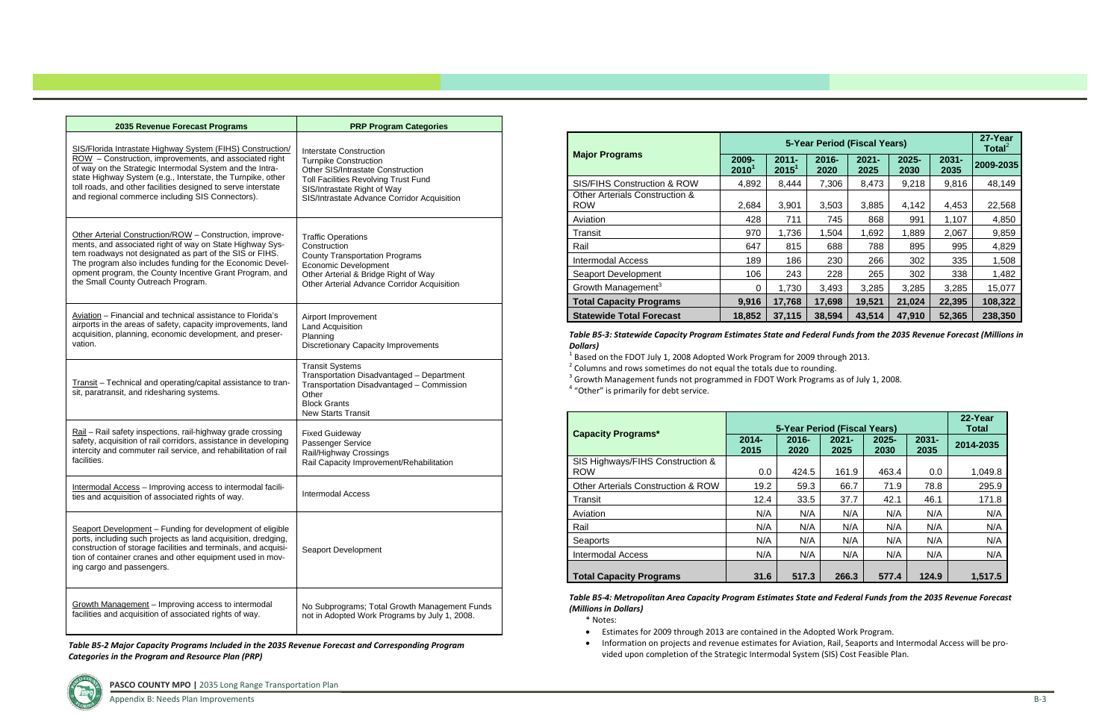| 2035 Revenue Forecast Programs                                                                                                                                                                                                                                                         | <b>PRP Program Categories</b>                                                                                                                                                 |
|----------------------------------------------------------------------------------------------------------------------------------------------------------------------------------------------------------------------------------------------------------------------------------------|-------------------------------------------------------------------------------------------------------------------------------------------------------------------------------|
| SIS/Florida Intrastate Highway System (FIHS) Construction/                                                                                                                                                                                                                             | Interstate Construction                                                                                                                                                       |
| ROW - Construction, improvements, and associated right                                                                                                                                                                                                                                 | <b>Turnpike Construction</b>                                                                                                                                                  |
| of way on the Strategic Intermodal System and the Intra-                                                                                                                                                                                                                               | Other SIS/Intrastate Construction                                                                                                                                             |
| state Highway System (e.g., Interstate, the Turnpike, other                                                                                                                                                                                                                            | Toll Facilities Revolving Trust Fund                                                                                                                                          |
| toll roads, and other facilities designed to serve interstate                                                                                                                                                                                                                          | SIS/Intrastate Right of Way                                                                                                                                                   |
| and regional commerce including SIS Connectors).                                                                                                                                                                                                                                       | SIS/Intrastate Advance Corridor Acquisition                                                                                                                                   |
| Other Arterial Construction/ROW - Construction, improve-                                                                                                                                                                                                                               | <b>Traffic Operations</b>                                                                                                                                                     |
| ments, and associated right of way on State Highway Sys-                                                                                                                                                                                                                               | Construction                                                                                                                                                                  |
| tem roadways not designated as part of the SIS or FIHS.                                                                                                                                                                                                                                | <b>County Transportation Programs</b>                                                                                                                                         |
| The program also includes funding for the Economic Devel-                                                                                                                                                                                                                              | Economic Development                                                                                                                                                          |
| opment program, the County Incentive Grant Program, and                                                                                                                                                                                                                                | Other Arterial & Bridge Right of Way                                                                                                                                          |
| the Small County Outreach Program.                                                                                                                                                                                                                                                     | Other Arterial Advance Corridor Acquisition                                                                                                                                   |
| Aviation – Financial and technical assistance to Florida's                                                                                                                                                                                                                             | Airport Improvement                                                                                                                                                           |
| airports in the areas of safety, capacity improvements, land                                                                                                                                                                                                                           | Land Acquisition                                                                                                                                                              |
| acquisition, planning, economic development, and preser-                                                                                                                                                                                                                               | Planning                                                                                                                                                                      |
| vation.                                                                                                                                                                                                                                                                                | <b>Discretionary Capacity Improvements</b>                                                                                                                                    |
| Transit - Technical and operating/capital assistance to tran-<br>sit, paratransit, and ridesharing systems.                                                                                                                                                                            | <b>Transit Systems</b><br>Transportation Disadvantaged - Department<br>Transportation Disadvantaged - Commission<br>Other<br><b>Block Grants</b><br><b>New Starts Transit</b> |
| Rail - Rail safety inspections, rail-highway grade crossing                                                                                                                                                                                                                            | <b>Fixed Guideway</b>                                                                                                                                                         |
| safety, acquisition of rail corridors, assistance in developing                                                                                                                                                                                                                        | Passenger Service                                                                                                                                                             |
| intercity and commuter rail service, and rehabilitation of rail                                                                                                                                                                                                                        | Rail/Highway Crossings                                                                                                                                                        |
| facilities.                                                                                                                                                                                                                                                                            | Rail Capacity Improvement/Rehabilitation                                                                                                                                      |
| Intermodal Access - Improving access to intermodal facili-<br>ties and acquisition of associated rights of way.                                                                                                                                                                        | <b>Intermodal Access</b>                                                                                                                                                      |
| Seaport Development - Funding for development of eligible<br>ports, including such projects as land acquisition, dredging,<br>construction of storage facilities and terminals, and acquisi-<br>tion of container cranes and other equipment used in mov-<br>ing cargo and passengers. | Seaport Development                                                                                                                                                           |
| Growth Management - Improving access to intermodal                                                                                                                                                                                                                                     | No Subprograms; Total Growth Management Funds                                                                                                                                 |
| facilities and acquisition of associated rights of way.                                                                                                                                                                                                                                | not in Adopted Work Programs by July 1, 2008.                                                                                                                                 |

Table B5-3: Statewide Capacity Program Estimates State and Federal Funds from the 2035 Revenue Forecast (Millions in *Dollars)*

 $^1$  Based on the FDOT July 1, 2008 Adopted Work Program for 2009 through 2013.

 $2$  Columns and rows sometimes do not equal the totals due to rounding.

 $3$  Growth Management funds not programmed in FDOT Work Programs as of July 1, 2008.

<sup>4</sup> "Other" is primarily for debt service.

Table B5-4: Metropolitan Area Capacity Program Estimates State and Federal Funds from the 2035 Revenue Forecast *(Millions in Dollars)*

|                                              |                            |                      | 27-Year<br>Total $^2$ |                  |               |               |           |
|----------------------------------------------|----------------------------|----------------------|-----------------------|------------------|---------------|---------------|-----------|
| <b>Major Programs</b>                        | 2009-<br>2010 <sup>1</sup> | $2011 -$<br>$2015^1$ | $2016 -$<br>2020      | $2021 -$<br>2025 | 2025-<br>2030 | 2031-<br>2035 | 2009-2035 |
| SIS/FIHS Construction & ROW                  | 4,892                      | 8,444                | 7,306                 | 8,473            | 9,218         | 9,816         | 48,149    |
| Other Arterials Construction &<br><b>ROW</b> | 2,684                      | 3,901                | 3,503                 | 3,885            | 4,142         | 4,453         | 22,568    |
| Aviation                                     | 428                        | 711                  | 745                   | 868              | 991           | 1,107         | 4,850     |
| Transit                                      | 970                        | 1,736                | 1,504                 | 1,692            | 1,889         | 2,067         | 9,859     |
| Rail                                         | 647                        | 815                  | 688                   | 788              | 895           | 995           | 4,829     |
| Intermodal Access                            | 189                        | 186                  | 230                   | 266              | 302           | 335           | 1,508     |
| Seaport Development                          | 106                        | 243                  | 228                   | 265              | 302           | 338           | 1,482     |
| Growth Management <sup>3</sup>               | 0                          | 1,730                | 3,493                 | 3,285            | 3,285         | 3,285         | 15,077    |
| <b>Total Capacity Programs</b>               | 9,916                      | 17,768               | 17,698                | 19,521           | 21,024        | 22,395        | 108,322   |
| <b>Statewide Total Forecast</b>              | 18,852                     | 37,115               | 38,594                | 43,514           | 47,910        | 52,365        | 238,350   |

|                                                | 5-Year Period (Fiscal Years) |                  | 22-Year<br><b>Total</b> |                  |                  |           |
|------------------------------------------------|------------------------------|------------------|-------------------------|------------------|------------------|-----------|
| <b>Capacity Programs*</b>                      | $2014 -$<br>2015             | $2016 -$<br>2020 | $2021 -$<br>2025        | $2025 -$<br>2030 | $2031 -$<br>2035 | 2014-2035 |
| SIS Highways/FIHS Construction &<br><b>ROW</b> | 0.0                          | 424.5            | 161.9                   | 463.4            | 0.0              | 1,049.8   |
| Other Arterials Construction & ROW             | 19.2                         | 59.3             | 66.7                    | 71.9             | 78.8             | 295.9     |
| Transit                                        | 12.4                         | 33.5             | 37.7                    | 42.1             | 46.1             | 171.8     |
| Aviation                                       | N/A                          | N/A              | N/A                     | N/A              | N/A              | N/A       |
| Rail                                           | N/A                          | N/A              | N/A                     | N/A              | N/A              | N/A       |
| Seaports                                       | N/A                          | N/A              | N/A                     | N/A              | N/A              | N/A       |
| Intermodal Access                              | N/A                          | N/A              | N/A                     | N/A              | N/A              | N/A       |
| <b>Total Capacity Programs</b>                 | 31.6                         | 517.3            | 266.3                   | 577.4            | 124.9            | 1.517.5   |

\* Notes:

- Estimates for 2009 through 2013 are contained in the Adopted Work Program.
- Information on projects and revenue estimates for Aviation, Rail, Seaports and Intermodal Access will be provided upon completion of the Strategic Intermodal System (SIS) Cost Feasible Plan.

*Table B5‐2 Major Capacity Programs Included in the 2035 Revenue Forecast and Corresponding Program Categories in the Program and Resource Plan (PRP)*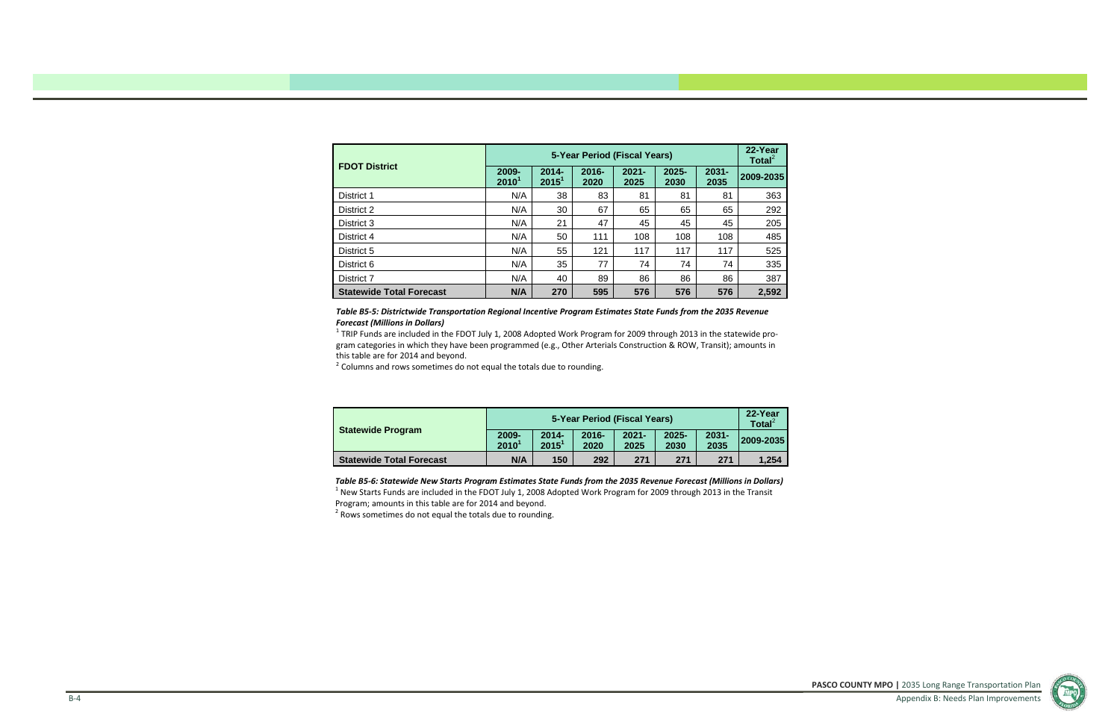**PASCO COUNTY MPO |** 2035 Long Range Transportation Plan Appendix B: Needs Plan Improvements



| <b>FDOT District</b>            |                                                                                            |     | 22-Year<br>Total $^2$ |                  |           |     |       |
|---------------------------------|--------------------------------------------------------------------------------------------|-----|-----------------------|------------------|-----------|-----|-------|
|                                 | $2014 -$<br>$2016 -$<br>2009-<br>$2021 -$<br>$2015^1$<br>2010 <sup>1</sup><br>2020<br>2025 |     | $2025 -$<br>2030      | $2031 -$<br>2035 | 2009-2035 |     |       |
| District 1                      | N/A                                                                                        | 38  | 83                    | 81               | 81        | 81  | 363   |
| District 2                      | N/A                                                                                        | 30  | 67                    | 65               | 65        | 65  | 292   |
| District 3                      | N/A                                                                                        | 21  | 47                    | 45               | 45        | 45  | 205   |
| District 4                      | N/A                                                                                        | 50  | 111                   | 108              | 108       | 108 | 485   |
| District 5                      | N/A                                                                                        | 55  | 121                   | 117              | 117       | 117 | 525   |
| District 6                      | N/A                                                                                        | 35  | 77                    | 74               | 74        | 74  | 335   |
| District 7                      | N/A                                                                                        | 40  | 89                    | 86               | 86        | 86  | 387   |
| <b>Statewide Total Forecast</b> | N/A                                                                                        | 270 | 595                   | 576              | 576       | 576 | 2,592 |

Table B5-6: Statewide New Starts Program Estimates State Funds from the 2035 Revenue Forecast (Millions in Dollars)  $^1$  New Starts Funds are included in the FDOT July 1, 2008 Adopted Work Program for 2009 through 2013 in the Transit Program; amounts in this table are for 2014 and beyond.

 $2$  Rows sometimes do not equal the totals due to rounding.

| <b>Statewide Program</b>        |                   | 5-Year Period (Fiscal Years) |                  |                  |                  |                  |           |  |  |  |  |
|---------------------------------|-------------------|------------------------------|------------------|------------------|------------------|------------------|-----------|--|--|--|--|
|                                 | 2009-<br>$2010^1$ | $2014 -$<br>$2015^1$         | $2016 -$<br>2020 | $2021 -$<br>2025 | $2025 -$<br>2030 | $2031 -$<br>2035 | 2009-2035 |  |  |  |  |
| <b>Statewide Total Forecast</b> | N/A               | 150                          | 292              | 271              | 271              | 271              | 1.254     |  |  |  |  |

<sup>1</sup> TRIP Funds are included in the FDOT July 1, 2008 Adopted Work Program for 2009 through 2013 in the statewide program categories in which they have been programmed (e.g., Other Arterials Construction & ROW, Transit); amounts in this table are for 2014 and beyond.

 $2$  Columns and rows sometimes do not equal the totals due to rounding.

### *Table B5‐5: Districtwide Transportation Regional Incentive Program Estimates State Funds from the 2035 Revenue Forecast (Millions in Dollars)*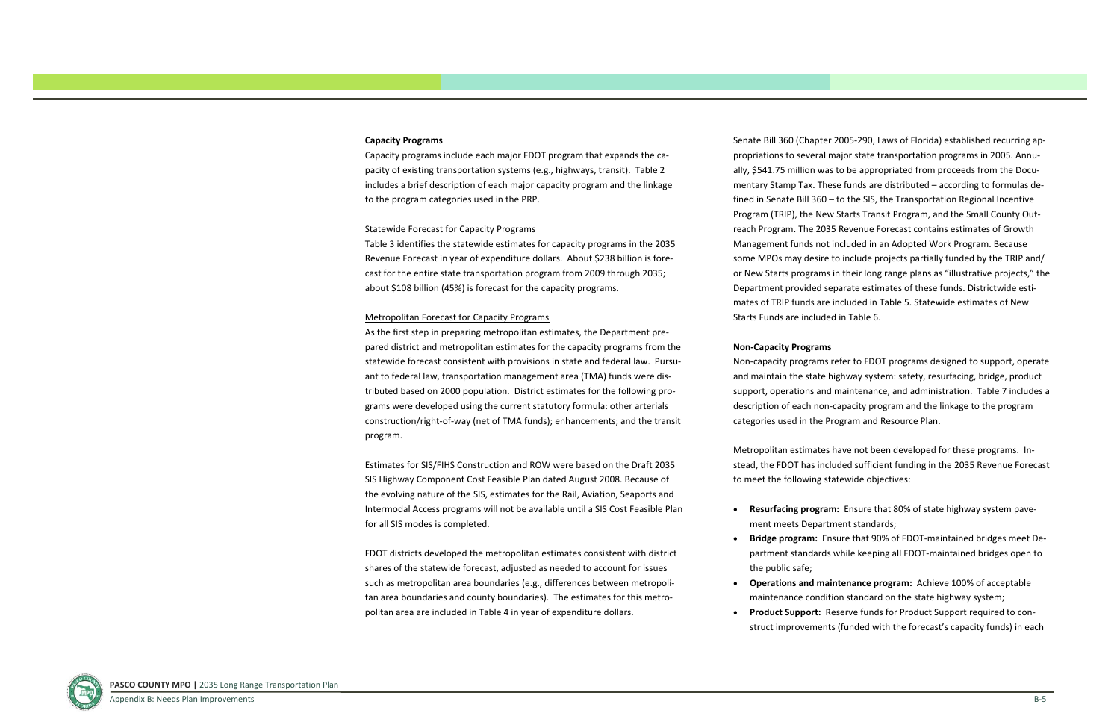# **Capacity Programs**

Capacity programs include each major FDOT program that expands the ca‐ pacity of existing transportation systems (e.g., highways, transit). Table 2 includes a brief description of each major capacity program and the linkage to the program categories used in the PRP.

### Statewide Forecast for Capacity Programs

Table 3 identifies the statewide estimates for capacity programs in the 2035 Revenue Forecast in year of expenditure dollars. About \$238 billion is fore‐ cast for the entire state transportation program from 2009 through 2035; about \$108 billion (45%) is forecast for the capacity programs.

### Metropolitan Forecast for Capacity Programs

As the first step in preparing metropolitan estimates, the Department pre‐ pared district and metropolitan estimates for the capacity programs from the statewide forecast consistent with provisions in state and federal law. Pursu‐ ant to federal law, transportation management area (TMA) funds were dis‐ tributed based on 2000 population. District estimates for the following pro‐ grams were developed using the current statutory formula: other arterials construction/right‐of‐way (net of TMA funds); enhancements; and the transit program.

Estimates for SIS/FIHS Construction and ROW were based on the Draft 2035 SIS Highway Component Cost Feasible Plan dated August 2008. Because of the evolving nature of the SIS, estimates for the Rail, Aviation, Seaports and Intermodal Access programs will not be available until <sup>a</sup> SIS Cost Feasible Plan for all SIS modes is completed.

FDOT districts developed the metropolitan estimates consistent with district shares of the statewide forecast, adjusted as needed to account for issues such as metropolitan area boundaries (e.g., differences between metropoli‐ tan area boundaries and county boundaries). The estimates for this metro‐ politan area are included in Table 4 in year of expenditure dollars.

Senate Bill 360 (Chapter 2005‐290, Laws of Florida) established recurring ap‐ propriations to several major state transportation programs in 2005. Annu‐ ally, \$541.75 million was to be appropriated from proceeds from the Docu‐ mentary Stamp Tax. These funds are distributed – according to formulas de‐ fined in Senate Bill 360 – to the SIS, the Transportation Regional Incentive Program (TRIP), the New Starts Transit Program, and the Small County Out‐ reach Program. The 2035 Revenue Forecast contains estimates of Growth Management funds not included in an Adopted Work Program. Because some MPOs may desire to include projects partially funded by the TRIP and/ or New Starts programs in their long range plans as "illustrative projects," the Department provided separate estimates of these funds. Districtwide esti‐ mates of TRIP funds are included in Table 5. Statewide estimates of NewStarts Funds are included in Table 6.

### **Non‐Capacity Programs**

Non‐capacity programs refer to FDOT programs designed to support, operate and maintain the state highway system: safety, resurfacing, bridge, product support, operations and maintenance, and administration. Table 7 includes <sup>a</sup> description of each non‐capacity program and the linkage to the program categories used in the Program and Resource Plan.

Metropolitan estimates have not been developed for these programs. In‐ stead, the FDOT has included sufficient funding in the 2035 Revenue Forecast to meet the following statewide objectives:

 **Resurfacing program:** Ensure that 80% of state highway system pave‐ ment meets Department standards;

 **Bridge program:** Ensure that 90% of FDOT‐maintained bridges meet De‐ partment standards while keeping all FDOT‐maintained bridges open to

- 
- the public safe;
- 
- 



 **Operations and maintenance program:** Achieve 100% of acceptable maintenance condition standard on the state highway system; **Product Support:** Reserve funds for Product Support required to con‐ struct improvements (funded with the forecast's capacity funds) in each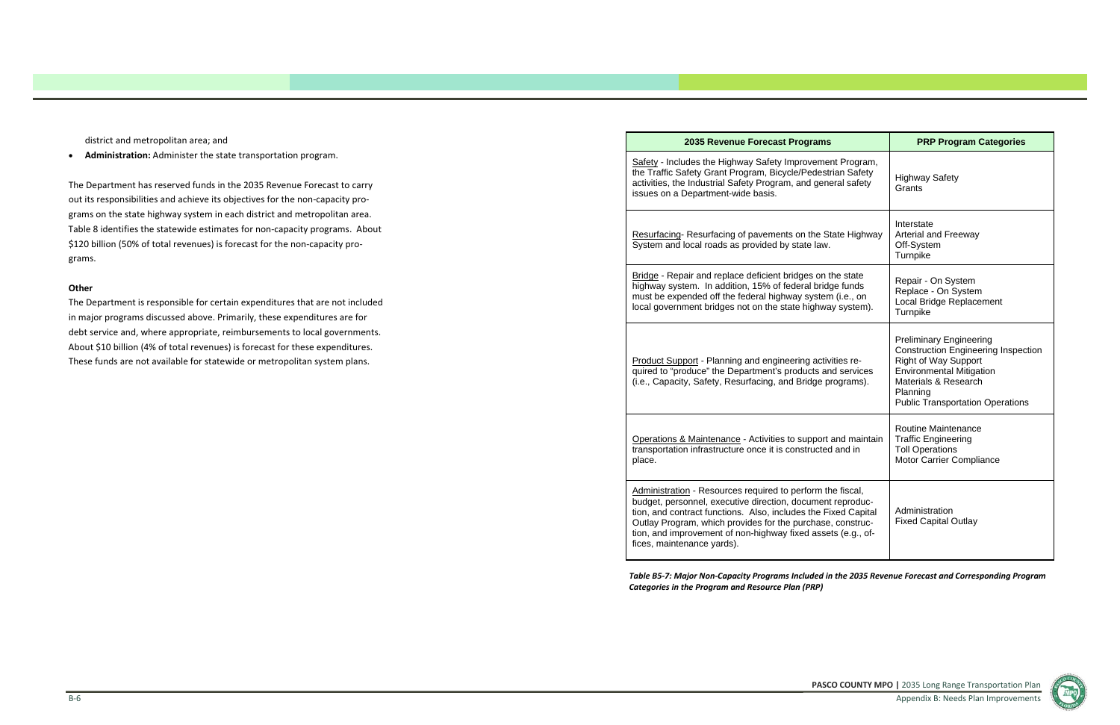**PASCO COUNTY MPO |** 2035 Long Range Transportation Plan Appendix B: Needs Plan Improvements

 $\bullet$ **Administration:** Administer the state transportation program.

district and metropolitan area; and

The Department has reserved funds in the 2035 Revenue Forecast to carry out its responsibilities and achieve its objectives for the non‐capacity pro‐ grams on the state highway system in each district and metropolitan area. Table 8 identifies the statewide estimates for non‐capacity programs. About \$120 billion (50% of total revenues) is forecast for the non‐capacity pro‐ grams.

# **Other**

Safety - Includes the Highway Safety Improvem the Traffic Safety Grant Program, Bicycle/Pedes activities, the Industrial Safety Program, and gene issues on a Department-wide basis.

Resurfacing- Resurfacing of pavements on the System and local roads as provided by state law.

Bridge - Repair and replace deficient bridges on highway system. In addition, 15% of federal bridge must be expended off the federal highway system local government bridges not on the state highw

Product Support - Planning and engineering activities quired to "produce" the Department's products a (i.e., Capacity, Safety, Resurfacing, and Bridge

The Department is responsible for certain expenditures that are not included in major programs discussed above. Primarily, these expenditures are for debt service and, where appropriate, reimbursements to local governments. About \$10 billion (4% of total revenues) is forecast for these expenditures. These funds are not available for statewide or metropolitan system plans.

### **2035 Revenue Forecast Program**

Operations & Maintenance - Activities to support transportation infrastructure once it is constructed place.

Administration - Resources required to perform budget, personnel, executive direction, documer tion, and contract functions. Also, includes the Outlay Program, which provides for the purchas tion, and improvement of non-highway fixed ass fices, maintenance yards).

Table B5-7: Major Non-Capacity Programs Included in the 2035 Revenue Forecast and Corresponding Program *Categories in the Program and Resource Plan (PRP)*

| าร                                                                                      | <b>PRP Program Categories</b>                                                                                                                                                                                                 |
|-----------------------------------------------------------------------------------------|-------------------------------------------------------------------------------------------------------------------------------------------------------------------------------------------------------------------------------|
| ent Program,<br>strian Safety<br>neral safety                                           | <b>Highway Safety</b><br>Grants                                                                                                                                                                                               |
| State Highway<br>N.                                                                     | Interstate<br><b>Arterial and Freeway</b><br>Off-System<br>Turnpike                                                                                                                                                           |
| ่า the state<br>dge funds<br>em (i.e., on<br>vay system).                               | Repair - On System<br>Replace - On System<br>Local Bridge Replacement<br>Turnpike                                                                                                                                             |
| tivities re-<br>and services<br>programs).                                              | <b>Preliminary Engineering</b><br><b>Construction Engineering Inspection</b><br><b>Right of Way Support</b><br><b>Environmental Mitigation</b><br>Materials & Research<br>Planning<br><b>Public Transportation Operations</b> |
| rt and maintain<br>ed and in                                                            | <b>Routine Maintenance</b><br><b>Traffic Engineering</b><br><b>Toll Operations</b><br>Motor Carrier Compliance                                                                                                                |
| the fiscal,<br>nt reproduc-<br><b>Fixed Capital</b><br>se, construc-<br>sets (e.g., of- | Administration<br><b>Fixed Capital Outlay</b>                                                                                                                                                                                 |

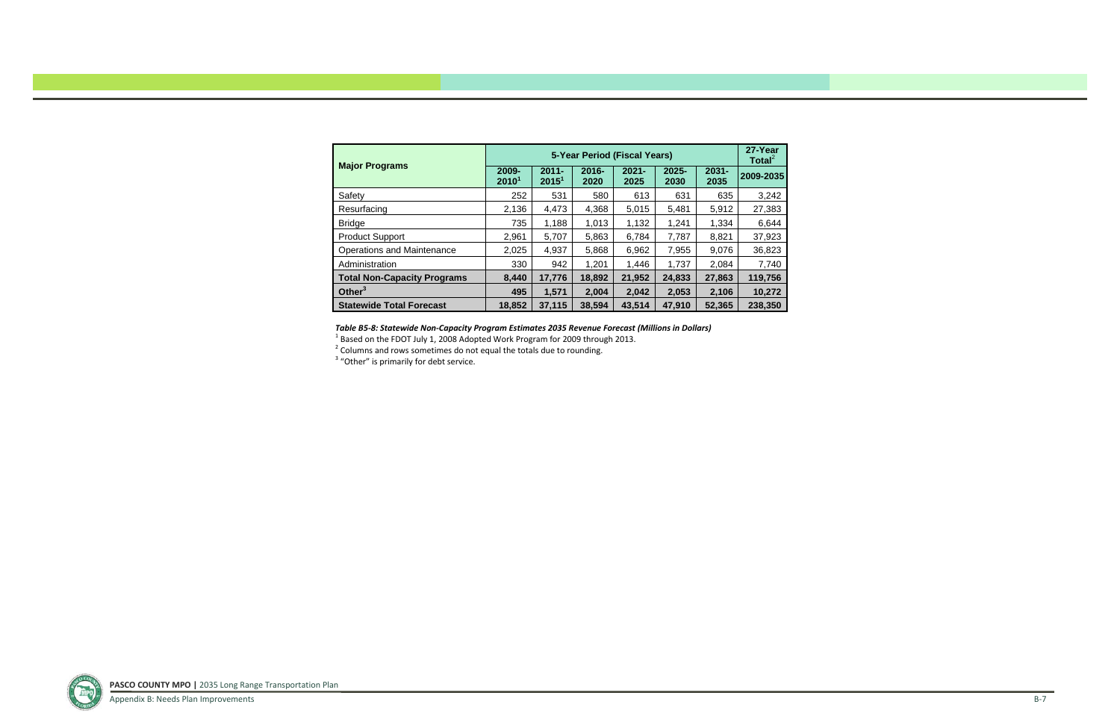|                                    |                            |                               | 27-Year<br>Total $^2$ |                  |                  |                  |           |
|------------------------------------|----------------------------|-------------------------------|-----------------------|------------------|------------------|------------------|-----------|
| <b>Major Programs</b>              | 2009-<br>2010 <sup>1</sup> | $2011 -$<br>2015 <sup>1</sup> | $2016 -$<br>2020      | $2021 -$<br>2025 | $2025 -$<br>2030 | $2031 -$<br>2035 | 2009-2035 |
| Safety                             | 252                        | 531                           | 580                   | 613              | 631              | 635              | 3,242     |
| Resurfacing                        | 2,136                      | 4,473                         | 4,368                 | 5,015            | 5,481            | 5,912            | 27,383    |
| <b>Bridge</b>                      | 735                        | 1,188                         | 1,013                 | 1,132            | 1,241            | 1,334            | 6,644     |
| <b>Product Support</b>             | 2,961                      | 5,707                         | 5,863                 | 6,784            | 7,787            | 8,821            | 37,923    |
| <b>Operations and Maintenance</b>  | 2,025                      | 4,937                         | 5,868                 | 6,962            | 7,955            | 9,076            | 36,823    |
| Administration                     | 330                        | 942                           | 1,201                 | 1,446            | 1,737            | 2,084            | 7,740     |
| <b>Total Non-Capacity Programs</b> | 8,440                      | 17,776                        | 18,892                | 21,952           | 24,833           | 27,863           | 119,756   |
| Other $3$                          | 495                        | 1,571                         | 2,004                 | 2,042            | 2,053            | 2,106            | 10,272    |
| <b>Statewide Total Forecast</b>    | 18,852                     | 37,115                        | 38,594                | 43,514           | 47,910           | 52,365           | 238,350   |

### *Table B5‐8: Statewide Non‐Capacity Program Estimates 2035 Revenue Forecast (Millions in Dollars)*

 $^{\rm 1}$  Based on the FDOT July 1, 2008 Adopted Work Program for 2009 through 2013.<br><sup>2</sup> Columns and rows sometimes do not equal the totals due to rounding.

 $3$  "Other" is primarily for debt service.

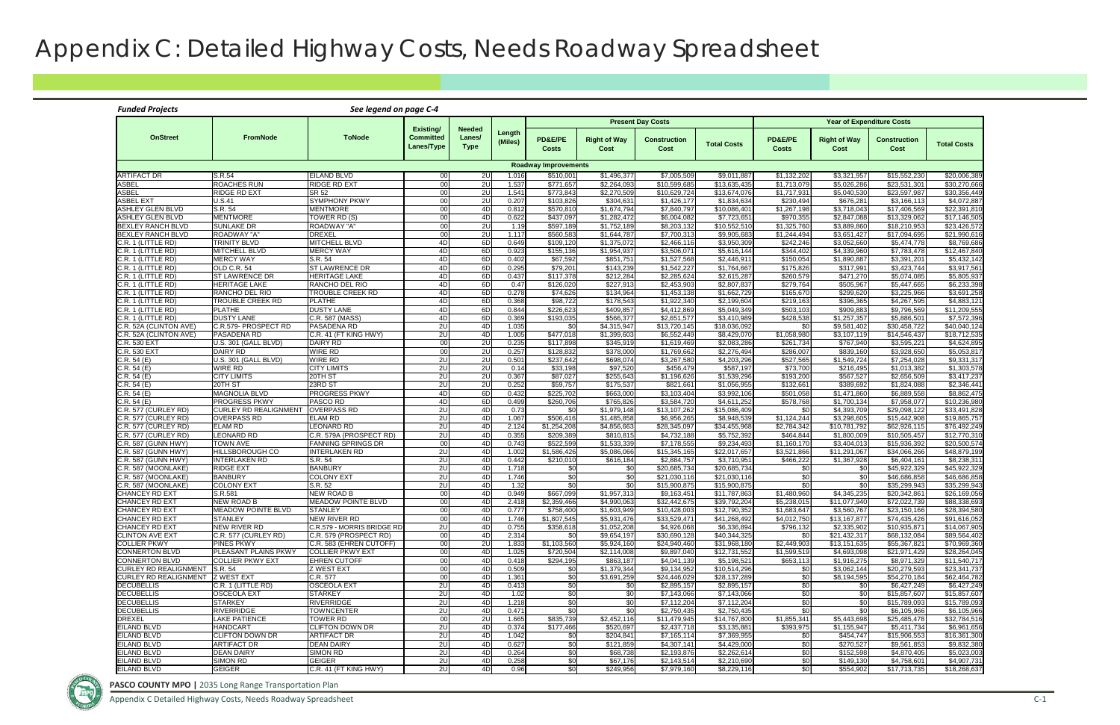Appendix C Detailed Highway Costs, Needs Roadway Spreadsheet C-1

# Appendix C: Detailed Highway Costs, Needs Roadway Spreadsheet

| <b>Funded Projects</b>                              |                                                        | See legend on page C-4                         |                                |                       |                   |                          |                             |                              |                              |                            |                             |                                  |                                        |
|-----------------------------------------------------|--------------------------------------------------------|------------------------------------------------|--------------------------------|-----------------------|-------------------|--------------------------|-----------------------------|------------------------------|------------------------------|----------------------------|-----------------------------|----------------------------------|----------------------------------------|
|                                                     |                                                        |                                                | Existing/                      | <b>Needed</b>         |                   |                          |                             | <b>Present Day Costs</b>     |                              |                            |                             | <b>Year of Expenditure Costs</b> |                                        |
| <b>OnStreet</b>                                     | <b>FromNode</b>                                        | <b>ToNode</b>                                  | <b>Committed</b><br>Lanes/Type | Lanes/<br><b>Type</b> | Length<br>(Miles) | PD&E/PE<br><b>Costs</b>  | <b>Right of Way</b><br>Cost | <b>Construction</b><br>Cost  | <b>Total Costs</b>           | PD&E/PE<br><b>Costs</b>    | <b>Right of Way</b><br>Cost | <b>Construction</b><br>Cost      | <b>Total Costs</b>                     |
| <b>Roadway Improvements</b>                         |                                                        |                                                |                                |                       |                   |                          |                             |                              |                              |                            |                             |                                  |                                        |
| <b>ARTIFACT DR</b>                                  | S.R.54                                                 | <b>EILAND BLVD</b>                             | 00<br>00                       | 2U                    | 1.016             | \$510,00'                | \$1,496,377                 | \$7,005,509                  | \$9,011,887                  | \$1,132,202                | \$3,321,957                 | \$15,552,230                     | \$20,006,389                           |
| ASBEL<br><b>ASBEL</b>                               | <b>ROACHES RUN</b><br>RIDGE RD EXT                     | <b>RIDGE RD EXT</b><br><b>SR 52</b>            | 00                             | 2U<br>2U              | 1.537<br>1.541    | \$771,657<br>\$773,843   | \$2,264,093<br>\$2,270,509  | \$10,599,685<br>\$10,629,724 | \$13,635,435<br>\$13,674,076 | \$1,713,079<br>\$1,717,931 | \$5,026,286<br>\$5,040,530  | \$23,531,301<br>\$23,597,987     | \$30,270,666<br>\$30,356,449           |
| ASBEL EXT                                           | U.S.41                                                 | <b>SYMPHONY PKWY</b>                           | 00                             | 2U                    | 0.207             | \$103,826                | \$304,631                   | \$1,426,177                  | \$1,834,634                  | \$230,494                  | \$676,281                   | \$3,166,113                      | \$4,072,887                            |
| ASHLEY GLEN BLVD                                    | S.R. 54                                                | <b>MENTMORE</b>                                | 00                             | 4D                    | 0.812             | \$570,810                | \$1,674,794                 | \$7,840,797                  | \$10,086,401                 | \$1,267,198                | \$3,718,043                 | \$17,406,569                     | \$22,391,810                           |
| <b>ASHLEY GLEN BLVD</b><br><b>BEXLEY RANCH BLVD</b> | <b>MENTMORE</b><br><b>SUNLAKE DR</b>                   | TOWER RD (S)<br>ROADWAY "A"                    | 00<br>00                       | 4D<br>2U              | 0.622<br>1.19     | \$437,097<br>\$597,189   | \$1,282,472<br>\$1,752,189  | \$6,004,082<br>\$8,203,132   | \$7,723,651<br>\$10,552,510  | \$970,355<br>\$1,325,760   | \$2,847,088<br>\$3,889,860  | \$13,329,062<br>\$18,210,953     | \$17,146,505<br>\$23.426.572           |
| <b>BEXLEY RANCH BLVD</b>                            | ROADWAY "A"                                            | <b>DREXEL</b>                                  | 00                             | 2U                    | 1.117             | \$560,583                | \$1,644,787                 | \$7,700,313                  | \$9,905,683                  | \$1,244,494                | \$3,651,427                 | \$17,094,695                     | \$21,990,616                           |
| ).R. 1 (LITTLE RD)                                  | <b>TRINITY BLVD</b>                                    | <b>MITCHELL BLVD</b>                           | 4D                             | 6D                    | 0.649             | \$109,120                | \$1,375,072                 | \$2,466,116                  | \$3,950,309                  | \$242.246                  | \$3,052,660                 | \$5,474,778                      | \$8,769,686                            |
| $C.R. 1$ (LITTLE RD)                                | <b>MITCHELL BLVD</b>                                   | <b>MERCY WAY</b>                               | 4D                             | 6D                    | 0.923             | \$155,136                | \$1,954,937                 | \$3,506,071                  | \$5,616,144                  | \$344,402                  | \$4,339,960                 | \$7,783,478                      | \$12,467,840                           |
| C.R. 1 (LITTLE RD)                                  | <b>MERCY WAY</b>                                       | S.R. 54                                        | 4D                             | 6D                    | 0.402             | \$67,592                 | \$851,751                   | \$1,527,568                  | \$2,446,911                  | \$150,054                  | \$1,890,887                 | \$3,391,201                      | \$5,432,142                            |
| C.R. 1 (LITTLE RD)<br>C.R. 1 (LITTLE RD)            | <b>OLD C.R. 54</b><br><b>ST LAWRENCE DR</b>            | <b>ST LAWRENCE DR</b><br><b>HERITAGE LAKE</b>  | 4D<br>4D                       | 6D<br>6D              | 0.295<br>0.437    | \$79,201<br>\$117,378    | \$143,239<br>\$212,284      | \$1,542,227<br>\$2,285,624   | \$1,764,667<br>\$2,615,287   | \$175,826<br>\$260,579     | \$317,991<br>\$471,270      | \$3,423,744<br>\$5,074,085       | $\overline{$3,917,561}$<br>\$5,805,937 |
| C.R. 1 (LITTLE RD)                                  | <b>HERITAGE LAKE</b>                                   | RANCHO DEL RIO                                 | 4D                             | 6D                    | 0.47              | \$126,020                | \$227,913                   | \$2,453,903                  | \$2,807,837                  | \$279,764                  | \$505,967                   | \$5,447,665                      | \$6,233,398                            |
| C.R. 1 (LITTLE RD)                                  | RANCHO DEL RIO                                         | TROUBLE CREEK RD                               | 4D                             | 6D                    | 0.278             | \$74,626                 | \$134,964                   | \$1,453,138                  | \$1,662,729                  | \$165,670                  | \$299,620                   | \$3,225,966                      | \$3,691,258                            |
| C.R. 1 (LITTLE RD)                                  | <b>TROUBLE CREEK RD</b>                                | <b>PLATHE</b>                                  | 4D                             | 6D                    | 0.368             | \$98,722                 | \$178,543                   | \$1,922,340                  | \$2,199,604                  | \$219,163                  | \$396,365                   | \$4,267,595                      | \$4,883,121                            |
| C.R. 1 (LITTLE RD)<br>C.R. 1 (LITTLE RD)            | <b>PLATHE</b>                                          | <b>DUSTY LANE</b>                              | 4D                             | 6D                    | 0.844             | \$226,623                | \$409,857                   | \$4,412,869                  | \$5,049,349                  | \$503,103                  | \$909,883                   | \$9,796,569                      | \$11,209,555                           |
| .R. 52A (CLINTON AVE)                               | <b>DUSTY LANE</b><br>C.R.579- PROSPECT RD              | C.R. 587 (MASS)<br><b>PASADENA RD</b>          | 4D<br>2U                       | 6D<br>4D              | 0.369<br>1.035    | \$193,035<br>\$0         | \$566,377<br>\$4,315,947    | \$2,651,577<br>\$13,720,145  | \$3,410,989<br>\$18,036,092  | \$428,538<br>\$0           | \$1,257,357<br>\$9,581,402  | \$5,886,501<br>\$30,458,722      | \$7,572,396<br>\$40.040.124            |
| <b>.R. 52A (CLINTON AVE)</b>                        | PASADENA RD                                            | C.R. 41 (FT KING HWY)                          | 2U                             | 4D                    | 1.005             | \$477,018                | \$1,399,603                 | \$6.552.449                  | \$8,429,07                   | \$1.058.980                | \$3,107,119                 | \$14,546,437                     | \$18,712,535                           |
| <b>R. 530 EXT</b>                                   | U.S. 301 (GALL BLVD)                                   | <b>DAIRY RD</b>                                | 00                             | 2U                    | 0.235             | \$117,898                | \$345,919                   | \$1,619,469                  | \$2,083,286                  | \$261,734                  | \$767,940                   | \$3,595,221                      | \$4,624,895                            |
| <b>C.R. 530 EXT</b>                                 | <b>DAIRY RD</b>                                        | <b>WIRE RD</b>                                 | 00                             | 2U                    | 0.257             | \$128,832                | \$378,000                   | \$1,769,662                  | \$2,276,494                  | \$286,007                  | \$839,160                   | \$3,928,650                      | \$5,053,817                            |
| C.R. 54 (E)<br>C.R.54(E)                            | U.S. 301 (GALL BLVD)<br><b>WIRE RD</b>                 | <b>WIRE RD</b><br><b>CITY LIMITS</b>           | 2U<br>2U                       | 2U<br>2U              | 0.501<br>0.14     | \$237,642<br>\$33,198    | \$698,074<br>\$97,520       | \$3,267,580<br>\$456,479     | \$4,203,296<br>\$587,197     | \$527,565<br>\$73,700      | \$1,549,724<br>\$216,495    | \$7,254,028<br>\$1,013,382       | \$9,331,317<br>\$1,303,578             |
| CR. 54 (E)                                          | <b>CITY LIMITS</b>                                     | 20TH ST                                        | 2U                             | 2U                    | 0.367             | \$87,027                 | \$255,643                   | \$1,196,626                  | \$1,539,296                  | \$193,200                  | \$567,527                   | \$2,656,509                      | \$3,417,237                            |
| CR.54(E)                                            | 20TH ST                                                | 23RD ST                                        | 2U                             | 20                    | 0.252             | \$59,757                 | \$175,537                   | \$821,661                    | \$1,056,955                  | \$132,661                  | \$389,692                   | \$1,824,088                      | \$2,346,441                            |
| C.R. 54 (E)                                         | <b>MAGNOLIA BLVD</b>                                   | <b>PROGRESS PKWY</b>                           | 4D                             | 6D                    | 0.432             | \$225,702                | \$663,000                   | \$3,103,404                  | \$3,992,106                  | \$501,058                  | \$1,471,860                 | \$6,889,558                      | \$8,862,475                            |
| CR.54(E)                                            | <b>PROGRESS PKWY</b>                                   | PASCO RD                                       | 4D                             | 6D                    | 0.499             | \$260,706                | \$765,826                   | \$3,584,720                  | \$4,611,252                  | \$578,768                  | \$1,700,134                 | \$7,958,077                      | \$10,236,980                           |
| C.R. 577 (CURLEY RD)<br>.R. 577 (CURLEY RD)         | <b>CURLEY RD REALIGNMENT</b><br><b>OVERPASS RD</b>     | <b>OVERPASS RD</b><br><b>ELAM RD</b>           | 2U<br>2U                       | 4D<br>4D              | 0.73<br>1.067     | \$0<br>\$506,416         | \$1,979,148<br>\$1.485.858  | \$13,107,262<br>\$6.956.265  | \$15,086,409<br>\$8.948.539  | \$0<br>\$1,124,244         | \$4,393,709<br>\$3.298.605  | \$29,098,122<br>\$15,442,908     | \$33,491,828<br>\$19,865,757           |
| C.R. 577 (CURLEY RD)                                | <b>ELAM RD</b>                                         | LEONARD RD                                     | 2U                             | 4D                    | 2.124             | $\overline{$1,254,208}$  | \$4,856,663                 | \$28,345,097                 | \$34,455,968                 | \$2,784,342                | \$10,781,792                | \$62,926,115                     | \$76,492,249                           |
| .R. 577 (CURLEY RD)                                 | <b>LEONARD RD</b>                                      | C.R. 579A (PROSPECT RD)                        | 2U                             | 4D                    | 0.355             | \$209,389                | \$810,815                   | \$4,732,188                  | \$5,752,392                  | \$464,844                  | \$1,800,009                 | \$10,505,457                     | \$12,770,310                           |
| C.R. 587 (GUNN HWY)                                 | <b>TOWN AVE</b>                                        | <b>FANNING SPRINGS DR</b>                      | 00                             | 4D                    | 0.743             | \$522,599                | \$1,533,339                 | \$7,178,555                  | \$9,234,493                  | \$1,160,170                | \$3,404,013                 | \$15,936,392                     | \$20,500,574                           |
| C.R. 587 (GUNN HWY)                                 | <b>HILLSBOROUGH CO</b>                                 | <b>INTERLAKEN RD</b>                           | 2U                             | 4D                    | 1.002<br>0.442    | \$1,586,426              | \$5,086,066                 | \$15,345,165                 | \$22,017,657<br>\$3,710,951  | \$3,521,866                | \$11,291,067<br>\$1,367,928 | \$34.066.266<br>\$6,404,161      | \$48,879,199<br>\$8,238,311            |
| C.R. 587 (GUNN HWY)<br>C.R. 587 (MOONLAKE)          | <b>INTERLAKEN RD</b><br><b>RIDGE EXT</b>               | S.R. 54<br>BANBURY                             | 2U<br>2U                       | 4D<br>4D              | 1.718             | \$210,010<br>\$0         | \$616,184<br>\$0            | \$2,884,757<br>\$20,685,734  | \$20,685,734                 | \$466,222<br>\$0           | \$0                         | \$45,922,329                     | \$45,922,329                           |
| C.R. 587 (MOONLAKE)                                 | <b>BANBURY</b>                                         | <b>COLONY EXT</b>                              | 2U                             | 4D                    | 1.746             | \$0                      | \$0                         | $\overline{$}21,030,116$     | \$21,030,116                 | \$0                        | \$0                         | \$46,686,858                     | \$46,686,858                           |
| C.R. 587 (MOONLAKE)                                 | <b>COLONY EXT</b>                                      | $\overline{\mathsf{S.R.}}$ 52                  | 2U                             | 4D                    | 1.32              | \$0                      | <b>\$0</b>                  | \$15,900,875                 | \$15,900,875                 | \$0                        | \$0                         | \$35,299,943                     | \$35,299,943                           |
| <b>CHANCEY RD EXT</b>                               | S.R.581                                                | <b>NEW ROAD B</b>                              | 00                             | 4D                    | 0.949             | \$667,099                | \$1,957,313                 | \$9.163.451                  | \$11,787,863                 | \$1,480,960                | \$4,345,235                 | \$20,342,861                     | \$26.169.056                           |
| <b>CHANCEY RD EXT</b><br><b>CHANCEY RD EXT</b>      | <b>NEW ROAD B</b>                                      | <b>MEADOW POINTE BLVD</b>                      | 00                             | 4D                    | 2.418<br>0.777    | \$2,359,466<br>\$758,400 | \$4.990.063<br>\$1,603,949  | \$32,442,675<br>\$10,428,003 | \$39,792,204<br>\$12,790,352 | \$5,238,015                | \$11,077,940<br>\$3,560,767 | \$72,022,739<br>\$23,150,166     | \$88,338,693<br>\$28,394,580           |
| <b>CHANCEY RD EXT</b>                               | <b>MEADOW POINTE BLVD</b><br><b>STANLEY</b>            | <b>STANLEY</b><br>NEW RIVER RD                 | 00 <sup>1</sup><br>00          | 4D<br>4D              | 1.746             | \$1,807,545              | \$5,931,476                 | \$33,529,471                 | \$41,268,492                 | \$1,683,647<br>\$4,012,750 | \$13,167,877                | \$74,435,426                     | \$91,616,052                           |
| <b>CHANCEY RD EXT</b>                               | NEW RIVER RD                                           | C.R.579 - MORRIS BRIDGE RD                     | 2U                             | 4D                    | 0.755             | \$358,618                | \$1,052,208                 | \$4,926,068                  | \$6,336,894                  | \$796,132                  | \$2,335,902                 | \$10,935,871                     | \$14,067,905                           |
| <b>CLINTON AVE EXT</b>                              | C.R. 577 (CURLEY RD)                                   | C.R. 579 (PROSPECT RD)                         | 00                             | 4D                    | 2.314             | \$0                      | \$9,654,197                 | \$30,690,128                 | \$40,344,325                 | \$0                        | \$21,432,317                | \$68,132,084                     | \$89,564,402                           |
| <b>COLLIER PKWY</b>                                 | <b>PINES PKWY</b>                                      | C.R. 583 (EHREN CUTOFF)                        | 00                             | 2U                    | 1.833             | \$1,103,560              | \$5,924,160                 | \$24,940,460                 | $\overline{$31,968,180}$     | \$2.449.903                | \$13,151,635                | \$55,367,821                     | \$70,969,360                           |
| <b>CONNERTON BLVD</b><br><b>CONNERTON BLVD</b>      | <b>PLEASANT PLAINS PKWY</b><br><b>COLLIER PKWY EXT</b> | <b>COLLIER PKWY EXT</b><br><b>EHREN CUTOFF</b> | 00<br>00                       | 4D<br>4D              | 1.025<br>0.418    | \$720,504<br>\$294,195   | \$2,114,008<br>\$863,187    | \$9,897,040<br>\$4,041,139   | \$12,731,552<br>\$5,198,521  | \$1,599,519<br>\$653,113   | \$4,693,098<br>\$1,916,275  | \$21,971,429<br>\$8.971.329      | \$28,264,045<br>\$11,540,717           |
| CURLEY RD REALIGNMENT S.R. 54                       |                                                        | <b>Z WEST EXT</b>                              | 00                             | 4D                    | 0.509             | \$0                      | \$1,379,344                 | \$9,134,952                  | \$10,514,296                 | \$0                        | \$3,062,144                 | \$20,279,593                     | \$23,341,737                           |
| CURLEY RD REALIGNMENT   Z WEST EXT                  |                                                        | C.R. 577                                       | 00                             | 4D                    | 1.361             | \$0                      | \$3,691,259                 | \$24,446,029                 | \$28,137,289                 | \$0                        | \$8,194,595                 | \$54,270,184                     | \$62.464.782                           |
| <b>DECUBELLIS</b>                                   | C.R. 1 (LITTLE RD)                                     | <b>OSCEOLA EXT</b>                             | 2U                             | 4D                    | 0.413             | \$0                      | \$0                         | $\overline{$2,895,157}$      | \$2,895,157                  | \$0                        | \$0                         | \$6,427,249                      | \$6,427,249                            |
| <b>DECUBELLIS</b>                                   | <b>OSCEOLA EXT</b>                                     | <b>STARKEY</b>                                 | 2U                             | 4D                    | 1.02              | \$0                      | \$0                         | \$7,143,066                  | \$7,143,066                  | \$0                        | \$0                         | \$15,857,607                     | \$15,857,607                           |
| <b>DECUBELLIS</b><br><b>DECUBELLIS</b>              | <b>STARKEY</b><br><b>RIVERRIDGE</b>                    | RIVERRIDGE<br><b>TOWNCENTER</b>                | 2U<br>2U                       | 4D<br>4D              | 1.218<br>0.471    | \$0<br>\$0               | \$0<br>\$0                  | \$7,112,204<br>\$2,750,435   | \$7,112,204<br>\$2,750,435   | \$0<br>\$0                 | \$0<br>\$0                  | \$15,789,093<br>\$6,105,966      | \$15,789,093<br>\$6,105,966            |
| <b>DREXEL</b>                                       | <b>LAKE PATIENCE</b>                                   | <b>TOWER RD</b>                                | 00                             | 2U                    | 1.665             | \$835,739                | \$2,452,116                 | \$11,479,945                 | \$14,767,800                 | \$1,855,341                | \$5,443,698                 | \$25,485,478                     | \$32,784,516                           |
| <b>EILAND BLVD</b>                                  | <b>HANDCART</b>                                        | <b>CLIFTON DOWN DR</b>                         | 2U                             | 4D                    | 0.374             | \$177,466                | \$520,697                   | \$2,437,718                  | \$3,135,881                  | \$393,975                  | \$1,155,947                 | \$5,411,734                      | \$6,961,656                            |
| <b>EILAND BLVD</b>                                  | <b>CLIFTON DOWN DR</b>                                 | <b>ARTIFACT DR</b>                             | 2U                             | 4D                    | 1.042             | \$0                      | \$204,841                   | \$7,165,114                  | \$7,369,955                  | \$0                        | $\sqrt{$454,747}$           | \$15,906,553                     | \$16,361,300                           |
| <b>EILAND BLVD</b>                                  | <b>ARTIFACT DR</b>                                     | <b>DEAN DAIRY</b>                              | 2U                             | 4D                    | 0.627             | \$0                      | \$121,859                   | \$4,307,141                  | \$4,429,000                  | \$0                        | \$270,527                   | \$9,561,853                      | \$9,832,380                            |
| <b>EILAND BLVD</b><br><b>EILAND BLVD</b>            | <b>DEAN DAIRY</b><br>SIMON RD                          | <b>SIMON RD</b><br><b>GEIGER</b>               | 2U<br>2U                       | 4D<br>4D              | 0.264<br>0.258    | \$0<br>\$0               | \$68,738<br>\$67,176        | \$2,193,876<br>\$2,143,514   | \$2,262,614<br>\$2,210,690   | \$0<br>\$0                 | \$152,598<br>\$149,130      | \$4,870,405<br>\$4,758,601       | \$5,023,003<br>\$4,907,731             |
| <b>EILAND BLVD</b>                                  | <b>GEIGER</b>                                          | C.R. 41 (FT KING HWY)                          | 2U                             | 4D                    | 0.96              | \$0                      | \$249,956                   | \$7,979,160                  | \$8,229,116                  | \$0                        | \$554,902                   | \$17,713,735                     | \$18,268,637                           |
|                                                     |                                                        |                                                |                                |                       |                   |                          |                             |                              |                              |                            |                             |                                  |                                        |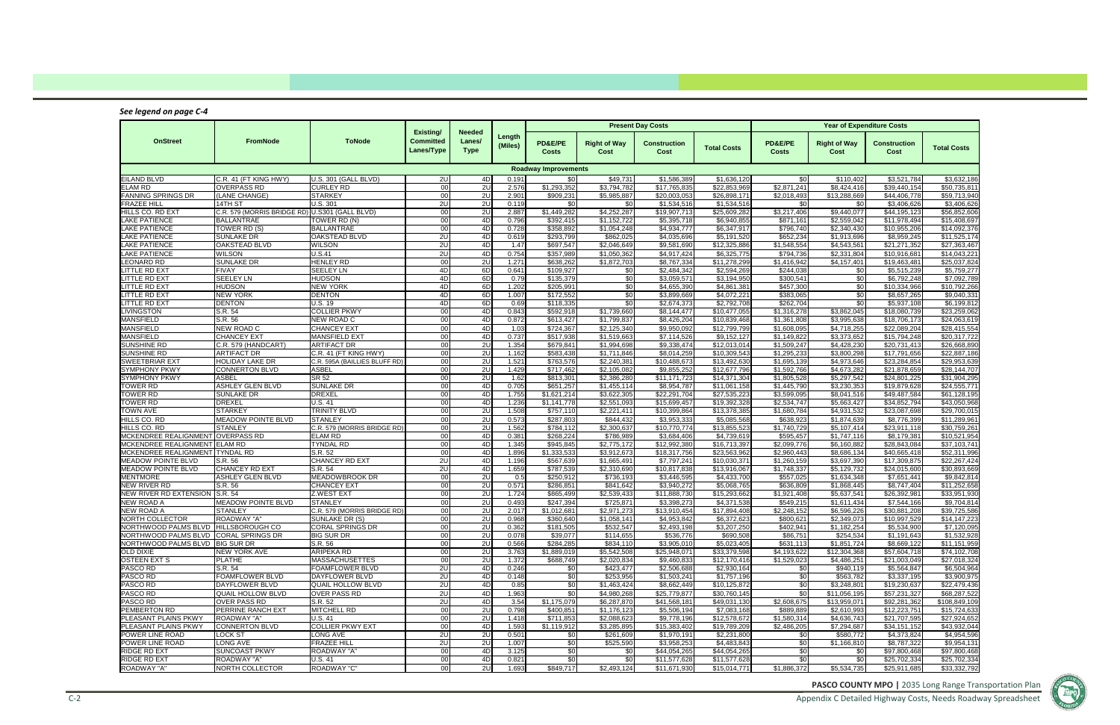Appendix C Detailed Highway Costs, Needs Roadway Spreadsheet



### *See legend on page C‐4*

|                                                              |                                                           |                                  | Existing/                      | <b>Needed</b>         |                   |                             |                             | <b>Present Day Costs</b>     |                              |                            |                             | <b>Year of Expenditure Costs</b> |                              |
|--------------------------------------------------------------|-----------------------------------------------------------|----------------------------------|--------------------------------|-----------------------|-------------------|-----------------------------|-----------------------------|------------------------------|------------------------------|----------------------------|-----------------------------|----------------------------------|------------------------------|
| <b>OnStreet</b>                                              | FromNode                                                  | <b>ToNode</b>                    | <b>Committed</b><br>Lanes/Type | Lanes/<br><b>Type</b> | Length<br>(Miles) | PD&E/PE<br><b>Costs</b>     | <b>Right of Way</b><br>Cost | <b>Construction</b><br>Cost  | <b>Total Costs</b>           | PD&E/PE<br><b>Costs</b>    | <b>Right of Way</b><br>Cost | <b>Construction</b><br>Cost      | <b>Total Costs</b>           |
|                                                              |                                                           |                                  |                                |                       |                   | <b>Roadway Improvements</b> |                             |                              |                              |                            |                             |                                  |                              |
| <b>EILAND BLVD</b>                                           | C.R. 41 (FT KING HWY)                                     | U.S. 301 (GALL BLVD)             | 2U                             | 4D                    | 0.191             | \$0                         | \$49,731                    | \$1,586,389                  | \$1,636,120                  | \$0                        | \$110,402                   | \$3,521,784                      | \$3,632,186                  |
| <b>ELAM RD</b>                                               | <b>OVERPASS RD</b>                                        | <b>CURLEY RD</b>                 | 00                             | 2U                    | 2.576             | \$1,293,352                 | \$3,794,782                 | \$17,765,835                 | \$22,853,969                 | \$2,871,241                | \$8,424,416                 | \$39,440,154                     | \$50,735,811                 |
| <b>FANNING SPRINGS DR</b>                                    | (LANE CHANGE)                                             | <b>STARKEY</b>                   | 00 <sup>1</sup>                | 2U                    | 2.901             | \$909,231                   | \$5,985,887                 | \$20,003,053                 | \$26,898,171                 | \$2,018,493                | \$13,288,669                | \$44,406,778                     | \$59,713,940                 |
| <b>FRAZEE HILL</b><br>HILLS CO. RD EXT                       | 14TH ST<br>C.R. 579 (MORRIS BRIDGE RD) U.S301 (GALL BLVD) | U.S. 301                         | 2U<br>00 <sup>1</sup>          | 2U<br>2U              | 0.119<br>2.887    | \$0<br>\$1,449,282          | \$0<br>\$4,252,287          | \$1,534,516<br>\$19,907,713  | \$1,534,516<br>\$25,609,282  | \$0<br>\$3,217,406         | \$0<br>\$9,440,077          | \$3,406,626<br>\$44,195,123      | \$3,406,626<br>\$56,852,606  |
| LAKE PATIENCE                                                | <b>BALLANTRAE</b>                                         | TOWER RD (N)                     | 00 <sup>1</sup>                | 4D                    | 0.796             | \$392,415                   | \$1,152,722                 | \$5,395,718                  | \$6,940,855                  | \$871,161                  | \$2,559,042                 | \$11,978,494                     | \$15,408,697                 |
| LAKE PATIENCE                                                | TOWER RD (S)                                              | <b>BALLANTRAE</b>                | 00                             | 4D                    | 0.728             | \$358,892                   | \$1,054,248                 | \$4,934,777                  | \$6,347,917                  | \$796,740                  | \$2,340,430                 | \$10,955,206                     | \$14,092,376                 |
| <b>LAKE PATIENCE</b>                                         | <b>SUNLAKE DR</b>                                         | <b>OAKSTEAD BLVD</b>             | 2U                             | 4D                    | 0.619             | \$293,799                   | \$862,025                   | \$4,035,696                  | \$5,191,520                  | \$652,234                  | \$1,913,696                 | \$8,959,245                      | \$11,525,174                 |
| LAKE PATIENCE                                                | <b>OAKSTEAD BLVD</b>                                      | <b>WILSON</b>                    | 2U                             | 4D                    | 1.47              | \$697,547                   | \$2,046,649                 | \$9,581,690                  | \$12,325,886                 | \$1,548,554                | \$4,543,561                 | \$21,271,352                     | \$27,363,467                 |
| LAKE PATIENCE                                                | <b>WILSON</b>                                             | U.S.41                           | 2U                             | 4D                    | 0.754             | \$357,989                   | \$1,050,362                 | \$4,917,424                  | \$6,325,775                  | \$794,736                  | \$2,331,804                 | \$10,916,681                     | $\overline{$}14,043,221$     |
| <b>LEONARD RD</b>                                            | <b>SUNLAKE DR</b>                                         | <b>HENLEY RD</b>                 | 00 <sup>1</sup>                | 2U                    | 1.271             | \$638,262                   | \$1,872,703                 | \$8,767,334                  | \$11,278,299                 | \$1,416,942                | \$4,157,401                 | \$19,463,481                     | \$25,037,824                 |
| LITTLE RD EXT                                                | <b>FIVAY</b>                                              | <b>SEELEY LN</b>                 | 4D                             | 6D                    | 0.641             | \$109,927                   | \$0                         | \$2,484,342                  | \$2,594,269                  | \$244,038                  | \$0                         | \$5,515,239                      | \$5,759,277                  |
| LITTLE RD EXT<br><b>LITTLE RD EXT</b>                        | <b>SEELEY LN</b><br><b>HUDSON</b>                         | <b>HUDSON</b><br><b>NEW YORK</b> | 4D<br>4D                       | 6D<br>6D              | 0.79<br>1.202     | \$135,379<br>\$205,991      | \$0<br>\$0                  | \$3,059,571<br>\$4,655,390   | \$3,194,950<br>\$4,861,381   | \$300,541<br>\$457,300     | \$0<br>\$0                  | \$6,792,248<br>\$10,334,966      | \$7,092,789<br>\$10,792,266  |
| <b>LITTLE RD EXT</b>                                         | <b>NEW YORK</b>                                           | <b>DENTON</b>                    | 4D                             | 6D                    | 1.007             | \$172,552                   | \$0                         | \$3,899,669                  | \$4,072,221                  | \$383,065                  | \$0                         | \$8,657,265                      | \$9,040,331                  |
| <b>LITTLE RD EXT</b>                                         | <b>DENTON</b>                                             | U.S. 19                          | 4D                             | 6D                    | 0.69              | \$118,335                   | \$0                         | \$2,674,373                  | \$2,792,708                  | \$262,704                  | $\overline{30}$             | \$5,937,108                      | \$6,199,812                  |
| <b>LIVINGSTON</b>                                            | S.R. 54                                                   | <b>COLLIER PKWY</b>              | 00 <sup>1</sup>                | 4D                    | 0.843             | \$592,918                   | \$1,739,660                 | \$8,144,477                  | \$10.477.055                 | \$1,316,278                | \$3,862,045                 | \$18,080,739                     | \$23,259,062                 |
| <b>MANSFIELD</b>                                             | S.R. 56                                                   | NEW ROAD C                       | 00 <sup>1</sup>                | 4D                    | 0.872             | \$613,427                   | \$1,799,837                 | \$8,426,204                  | \$10,839,468                 | \$1,361,808                | \$3,995,638                 | \$18,706,173                     | \$24,063,619                 |
| <b>MANSFIELD</b>                                             | <b>NEW ROAD C</b>                                         | <b>CHANCEY EXT</b>               | 00                             | 4D                    | 1.03              | \$724,367                   | \$2,125,340                 | \$9,950,092                  | \$12,799,799                 | \$1,608,095                | \$4,718,255                 | \$22.089.204                     | \$28,415,554                 |
| <b>MANSFIELD</b>                                             | <b>CHANCEY EXT</b>                                        | <b>MANSFIELD EXT</b>             | 00 <sup>1</sup>                | 4D                    | 0.737             | \$517,938                   | \$1,519,663                 | \$7,114,526                  | \$9,152,127                  | \$1,149,822                | \$3,373,652                 | \$15,794,248                     | \$20,317,722                 |
| SUNSHINE RD                                                  | C.R. 579 (HANDCART)                                       | <b>ARTIFACT DR</b>               | 00                             | 2U                    | 1.354             | \$679,841                   | \$1,994,698                 | \$9,338,474                  | \$12,013,014                 | \$1,509,247                | \$4,428,230                 | \$20,731,413                     | \$26,668,890                 |
| <b>SUNSHINE RD</b>                                           | <b>ARTIFACT DR</b>                                        | C.R. 41 (FT KING HWY)            | 00 <sup>1</sup>                | 2U                    | 1.162             | \$583,438                   | \$1,711,846                 | \$8.014.259                  | \$10,309,543                 | \$1.295.233                | \$3,800,298                 | \$17,791,656                     | \$22,887,186                 |
| <b>SWEETBRIAR EXT</b>                                        | <b>HOLIDAY LAKE DR</b>                                    | C.R. 595A (BAILLIES BLUFF RD)    | 00 <sup>1</sup><br>00          | 2U<br>2U              | 1.521             | \$763,576                   | \$2,240,381                 | \$10,488,673                 | \$13,492,630                 | \$1,695,139                | \$4,973,646<br>\$4.673.282  | \$23,284,854                     | \$29,953,639                 |
| <b>SYMPHONY PKWY</b><br><b>SYMPHONY PKWY</b>                 | <b>CONNERTON BLVD</b><br><b>ASBEL</b>                     | <b>ASBEL</b><br>SR 52            | 00 <sup>1</sup>                | 2U                    | 1.429<br>1.62     | \$717,462<br>\$813,301      | \$2,105,082<br>\$2,386,280  | \$9,855,252<br>\$11,171,723  | \$12,677,796<br>\$14,371,304 | \$1,592,766<br>\$1,805,528 | \$5,297,542                 | \$21,878,659<br>\$24,801,225     | \$28,144,707<br>\$31,904,295 |
| <b>TOWER RD</b>                                              | <b>ASHLEY GLEN BLVD</b>                                   | <b>SUNLAKE DR</b>                | 00 <sup>1</sup>                | 4D                    | 0.705             | \$651,257                   | \$1,455,114                 | \$8,954,787                  | \$11,061,158                 | \$1,445,790                | \$3,230,353                 | \$19,879,628                     | \$24,555,771                 |
| <b>TOWER RD</b>                                              | <b>SUNLAKE DR</b>                                         | <b>DREXEL</b>                    | 00 <sup>1</sup>                | 4D                    | 1.755             | \$1,621,214                 | \$3,622,305                 | \$22,291,704                 | \$27,535,223                 | \$3,599,095                | \$8,041,516                 | \$49,487,584                     | \$61,128,195                 |
| TOWER RD                                                     | <b>DREXEL</b>                                             | <b>U.S. 41</b>                   | 00 <sup>1</sup>                | 4D                    | 1.236             | \$1,141,778                 | \$2,551,093                 | \$15,699,457                 | \$19,392,328                 | \$2,534,747                | \$5,663,427                 | \$34,852,794                     | \$43,050,968                 |
| TOWN AVE                                                     | <b>STARKEY</b>                                            | TRINITY BLVD                     | 00 <sup>1</sup>                | 2U                    | 1.508             | \$757,110                   | \$2,221,411                 | \$10,399,864                 | \$13,378,385                 | \$1,680,784                | \$4,931,532                 | \$23,087,698                     | \$29,700,015                 |
| HILLS CO. RD                                                 | <b>MEADOW POINTE BLVD</b>                                 | <b>STANLEY</b>                   | 00                             | 2U                    | 0.573             | \$287.803                   | \$844.432                   | \$3.953.333                  | \$5.085.568                  | \$638.923                  | \$1,874,639                 | \$8,776,399                      | \$11,289,961                 |
| HILLS CO. RD                                                 | <b>STANLEY</b>                                            | C.R. 579 (MORRIS BRIDGE RD)      | 00                             | 2U                    | 1.562             | \$784,112                   | \$2,300,637                 | \$10,770,774                 | \$13,855,523                 | \$1,740,729                | \$5,107,414                 | \$23,911,118                     | \$30,759,261                 |
| MCKENDREE REALIGNMENT OVERPASS RD                            |                                                           | <b>ELAM RD</b>                   | 00                             | 4D                    | 0.381             | \$268,224                   | \$786,989                   | \$3.684.406                  | \$4,739,619                  | \$595,457                  | \$1,747,116                 | \$8.179.381                      | \$10,521,954                 |
| MCKENDREE REALIGNMENT ELAM RD                                |                                                           | <b>TYNDAL RD</b>                 | 00                             | 4D                    | 1.345             | \$945,845                   | \$2,775,172                 | \$12,992,380                 | \$16,713,397                 | \$2,099,776                | \$6,160,882                 | \$28,843,084                     | $\overline{\$37,103,741}$    |
| MCKENDREE REALIGNMENT TYNDAL RD<br><b>MEADOW POINTE BLVD</b> | S.R. 56                                                   | S.R. 52<br><b>CHANCEY RD EXT</b> | 00<br>2U                       | 4D<br>4D              | 1.896<br>1.196    | \$1,333,533<br>\$567,639    | \$3,912,673<br>\$1,665,491  | \$18,317,756<br>\$7,797,241  | \$23,563,962<br>\$10,030,371 | \$2,960,443<br>\$1,260,159 | \$8,686,134<br>\$3,697,390  | \$40,665,418<br>\$17,309,875     | \$52,311,996<br>\$22,267,424 |
| <b>MEADOW POINTE BLVD</b>                                    | CHANCEY RD EXT                                            | S.R. 54                          | 2U                             | 4D                    | 1.659             | \$787,539                   | \$2,310,690                 | \$10.817.838                 | \$13,916,067                 | \$1,748,337                | \$5,129,732                 | \$24,015,600                     | \$30,893,669                 |
| <b>MENTMORE</b>                                              | <b>ASHLEY GLEN BLVD</b>                                   | <b>MEADOWBROOK DR</b>            | 00                             | 2U                    | 0.5               | \$250,912                   | \$736,193                   | \$3,446,595                  | \$4,433,700                  | \$557,025                  | \$1,634,348                 | \$7,651,441                      | \$9,842,814                  |
| <b>NEW RIVER RD</b>                                          | S.R. 56                                                   | <b>CHANCEY EXT</b>               | 00                             | 2U                    | 0.571             | \$286,851                   | \$841,642                   | \$3,940,272                  | \$5,068,765                  | \$636,809                  | \$1,868,445                 | \$8,747,404                      | \$11,252,658                 |
| NEW RIVER RD EXTENSION S.R. 54                               |                                                           | Z.WEST EXT                       | 00                             | 2U                    | 1.724             | \$865,499                   | \$2,539,433                 | \$11,888,730                 | \$15,293,662                 | \$1,921,408                | \$5,637,541                 | \$26,392,981                     | \$33,951,930                 |
| <b>NEW ROAD A</b>                                            | <b>MEADOW POINTE BLVD</b>                                 | <b>STANLEY</b>                   | 00                             | 2U                    | 0.493             | \$247,394                   | \$725,871                   | \$3,398,273                  | \$4,371,538                  | \$549,215                  | \$1,611,434                 | \$7,544,166                      | \$9,704,814                  |
| <b>NEW ROAD A</b>                                            | <b>STANLEY</b>                                            | C.R. 579 (MORRIS BRIDGE RD)      | 00 <sup>1</sup>                | 2U                    | 2.017             | \$1,012,681                 | \$2,971,273                 | \$13,910,454                 | \$17,894,408                 | \$2,248,152                | \$6,596,226                 | \$30,881,208                     | \$39,725,586                 |
| <b>NORTH COLLECTOR</b>                                       | ROADWAY "A"                                               | SUNLAKE DR (S)                   | 00 <sup>1</sup>                | 2U                    | 0.968             | \$360,640                   | \$1,058,141                 | \$4,953,842                  | \$6,372,623                  | \$800,621                  | \$2,349,073                 | \$10,997,529                     | \$14,147,223                 |
| NORTHWOOD PALMS BLVD   HILLSBOROUGH CO                       |                                                           | CORAL SPRINGS DR                 | 00 <sub>l</sub>                | 2U                    | 0.362             | \$181,505                   | \$532,547                   | \$2,493,198                  | \$3,207,250                  | \$402,941                  | \$1,182,254                 | \$5,534,900                      | \$7,120,095                  |
| NORTHWOOD PALMS BLVD CORAL SPRINGS DR                        |                                                           | <b>BIG SUR DR</b>                | 00 <sup>1</sup>                | 2U                    | 0.078             | \$39,077                    | \$114,655                   | \$536,776                    | \$690,508                    | \$86,751                   | \$254,534                   | \$1,191,643                      | \$1.532.928                  |
| NORTHWOOD PALMS BLVD BIG SUR DR<br>OLD DIXIE                 | NEW YORK AVE                                              | S.R. 56<br>ARIPEKA RD            | 00<br>00                       | 2U<br>2U              | 0.566<br>3.763    | \$284,285<br>\$1,889,019    | \$834,110<br>\$5,542,508    | \$3,905,010<br>\$25,948,071  | \$5,023,405<br>\$33,379,598  | \$631,113<br>\$4,193,622   | \$1,851,724<br>\$12,304,368 | \$8,669,122<br>\$57.604.718      | \$11,151,959<br>\$74,102,708 |
| <b>OSTEEN EXT S</b>                                          | <b>PLATHE</b>                                             | <b>MASSACHUSETTES</b>            | 00                             | 2U                    | 1.372             | $\sqrt{$688,749}$           | \$2,020,834                 | \$9,460,833                  | \$12,170,416                 | \$1,529,023                | \$4,486,251                 | \$21,003,049                     | \$27,018,324                 |
| PASCO RD                                                     | S.R. 54                                                   | FOAMFLOWER BLVD                  | 2U                             | 4D                    | 0.246             | \$0                         | \$423,477                   | \$2,506,688                  | \$2,930,164                  | \$0                        | \$940,119                   | \$5.564.847                      | \$6,504,964                  |
| PASCO RD                                                     | <b>FOAMFLOWER BLVD</b>                                    | DAYFLOWER BLVD                   | 2U                             | 4D                    | 0.148             | \$0                         | \$253,956                   | \$1,503,241                  | \$1.757.196                  | \$0                        | \$563,782                   | \$3.337.195                      | \$3,900,975                  |
| PASCO RD                                                     | DAYFLOWER BLVD                                            | <b>QUAIL HOLLOW BLVD</b>         | 2U                             | 4D                    | 0.85              | \$0                         | \$1.463.424                 | \$8,662,449                  | \$10,125,872                 | \$0                        | \$3,248,801                 | \$19,230,637                     | \$22,479,436                 |
| PASCO RD                                                     | QUAIL HOLLOW BLVD                                         | <b>OVER PASS RD</b>              | 2U                             | 4D                    | 1.963             | \$0                         | \$4,980,268                 | \$25,779.877                 | \$30,760,145                 | \$0                        | \$11,056,195                | \$57,231,327                     | \$68,287,522                 |
| PASCO RD                                                     | <b>OVER PASS RD</b>                                       | S.R. 52                          | 2U                             | 4D                    | 3.54              | \$1,175,079                 | \$6,287,870                 | \$41,568,181                 | \$49,031,130                 | \$2,608,675                | \$13,959,071                | \$92,281,362                     | \$108,849,109                |
| PEMBERTON RD                                                 | <b>PERRINE RANCH EXT</b>                                  | <b>MITCHELL RD</b>               | 00                             | 2U                    | 0.798             | \$400,851                   | \$1.176.123                 | \$5,506,194                  | \$7,083,168                  | \$889,889                  | \$2,610,993                 | \$12,223,751                     | \$15,724,633                 |
| PLEASANT PLAINS PKWY                                         | <b>ROADWAY "A"</b>                                        | U.S. 41                          | 00                             | 2U                    | 1.418             | \$711,853                   | \$2,088,623                 | \$9,778,196                  | \$12,578,672                 | \$1,580,314                | \$4,636,743                 | \$21,707,595                     | \$27,924,652                 |
| PLEASANT PLAINS PKWY                                         | <b>CONNERTON BLVD</b>                                     | <b>COLLIER PKWY EXT</b>          | 00                             | 4D                    | 1.593             | \$1,119,912                 | \$3,285,895                 | \$15,383,402                 | \$19,789,209                 | \$2,486,205                | $\sqrt{$7,294,687}$         | \$34,151,152                     | \$43,932,044                 |
| POWER LINE ROAD                                              | LOCK ST                                                   | LONG AVE                         | 2U                             | 2U                    | 0.501             | \$0                         | \$261,609                   | \$1,970,191                  | \$2,231,800                  | \$0                        | \$580,772                   | \$4,373,824                      | \$4,954,596                  |
| POWER LINE ROAD                                              | LONG AVE                                                  | <b>FRAZEE HILL</b>               | 2U                             | 2U                    | 1.007             | \$0                         | \$525,590                   | \$3,958,253                  | \$4,483,843                  | \$0                        | \$1,166,810                 | $\overline{$8,787,322}$          | \$9,954,131                  |
| RIDGE RD EXT<br>RIDGE RD EXT                                 | <b>SUNCOAST PKWY</b><br>ROADWAY "A"                       | <b>ROADWAY "A"</b><br>U.S. 41    | 00<br>00                       | 4D<br>4D              | 3.125<br>0.821    | \$0<br>\$0                  | \$0<br>\$0                  | \$44,054,265<br>\$11,577,628 | \$44,054,265<br>\$11,577,628 | \$0<br>\$0                 | \$0<br>\$0                  | \$97,800,468<br>\$25,702,334     | \$97,800,468<br>\$25,702,334 |
| ROADWAY "A"                                                  | NORTH COLLECTOR                                           | ROADWAY "C"                      | 00                             | 2U                    | 1.693             | \$849,717                   | \$2,493,124                 | \$11,671,930                 | \$15,014,771                 | \$1,886,372                | \$5,534,735                 | \$25,911,685                     | \$33,332,792                 |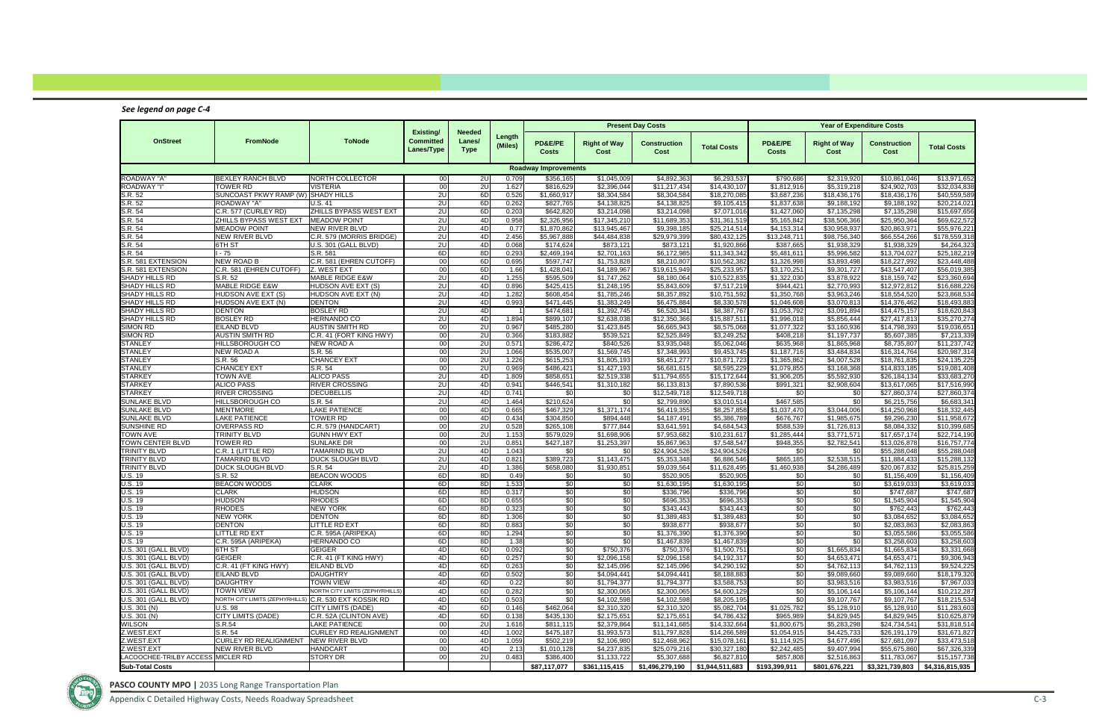Appendix C Detailed Highway Costs, Needs Roadway Spreadsheet C-3

### *See legend on page C‐4*

|                                                |                                                        |                                                      |                                             |                                        |                   |                             |                             | <b>Present Day Costs</b>     |                              |                            |                                   | <b>Year of Expenditure Costs</b> |                                   |
|------------------------------------------------|--------------------------------------------------------|------------------------------------------------------|---------------------------------------------|----------------------------------------|-------------------|-----------------------------|-----------------------------|------------------------------|------------------------------|----------------------------|-----------------------------------|----------------------------------|-----------------------------------|
| <b>OnStreet</b>                                | FromNode                                               | <b>ToNode</b>                                        | Existing/<br><b>Committed</b><br>Lanes/Type | <b>Needed</b><br>Lanes/<br><b>Type</b> | Length<br>(Miles) | PD&E/PE<br><b>Costs</b>     | <b>Right of Way</b><br>Cost | <b>Construction</b><br>Cost  | <b>Total Costs</b>           | PD&E/PE<br>Costs           | <b>Right of Way</b><br>Cost       | <b>Construction</b><br>Cost      | <b>Total Costs</b>                |
|                                                |                                                        |                                                      |                                             |                                        |                   | <b>Roadway Improvements</b> |                             |                              |                              |                            |                                   |                                  |                                   |
| <b>ROADWAY "A"</b>                             | <b>BEXLEY RANCH BLVD</b>                               | NORTH COLLECTOR                                      | 00 <sup>1</sup>                             | 2U                                     | 0.709             | \$356,165                   | \$1,045,009                 | \$4.892.363                  | \$6,293,537                  | \$790,686                  | \$2,319,920                       | \$10,861,046                     | \$13,971,652                      |
| <b>ROADWAY "I"</b>                             | <b>TOWER RD</b>                                        | <b>VISTERIA</b>                                      | 00 <sup>1</sup>                             | 2U                                     | 1.627             | \$816,629                   | \$2,396,044                 | \$11,217,434                 | \$14,430,107                 | \$1,812,916                | \$5,319,218                       | \$24,902,703                     | \$32,034,838                      |
| S.R. 52                                        | SUNCOAST PKWY RAMP (W) SHADY HILLS                     |                                                      | 2U                                          | 6D                                     | 0.526             | \$1,660,917                 | \$8.304.584                 | \$8.304.584                  | \$18,270,085                 | \$3,687,236                | \$18,436,176                      | \$18,436,176                     | \$40,559,589                      |
| S.R. 52                                        | ROADWAY "A'                                            | <b>U.S. 41</b>                                       | 2U                                          | 6D                                     | 0.262             | \$827,765                   | \$4,138,825                 | \$4,138,825                  | \$9,105,415                  | \$1,837,638                | \$9,188,192                       | \$9,188,192                      | \$20,214,021                      |
| S.R. 54<br>S.R. 54                             | C.R. 577 (CURLEY RD)<br>ZHILLS BYPASS WEST EXT         | ZHILLS BYPASS WEST EXT<br><b>MEADOW POINT</b>        | 2U<br>2U                                    | 6D<br>4D                               | 0.203<br>0.958    | \$642.820<br>\$2,326,956    | \$3.214.098<br>\$17,345,210 | \$3.214.098<br>\$11,689,353  | \$7.071.016<br>\$31,361,519  | \$1,427,060<br>\$5,165,842 | \$7.135.298<br>\$38,506,366       | \$7.135.298<br>\$25,950,364      | \$15,697,656<br>\$69,622,572      |
| S.R. 54                                        | <b>MEADOW POINT</b>                                    | <b>NEW RIVER BLVD</b>                                | 2U                                          | 4D                                     | 0.77              | \$1.870.862                 | \$13,945,467                | \$9,398,185                  | \$25,214,514                 | \$4,153,314                | \$30,958,937                      | \$20,863,971                     | \$55,976,221                      |
| S.R. 54                                        | <b>NEW RIVER BLVD</b>                                  | C.R. 579 (MORRIS BRIDGE)                             | 2U                                          | 4D                                     | 2.456             | \$5,967,888                 | \$44,484,838                | \$29,979,399                 | \$80,432,125                 | \$13,248,711               | \$98,756,340                      | \$66,554,266                     | \$178,559,318                     |
| S.R. 54                                        | 6TH ST                                                 | U.S. 301 (GALL BLVD)                                 | 2U                                          | 4D                                     | 0.068             | \$174.624                   | \$873.121                   | \$873,121                    | \$1.920.866                  | \$387.665                  | \$1,938,329                       | \$1.938.329                      | \$4,264,323                       |
| S.R. 54                                        | - 75                                                   | S.R. 581                                             | 6D                                          | 8D                                     | 0.293             | \$2,469,194                 | \$2,701,163                 | \$6,172,985                  | \$11,343,342                 | \$5,481,611                | \$5,996,582                       | \$13,704,027                     | \$25,182,219                      |
| S.R. 581 EXTENSION                             | <b>NEW ROAD B</b>                                      | C.R. 581 (EHREN CUTOFF)                              | 00                                          | 6D                                     | 0.695             | \$597.747                   | \$1,753,828                 | \$8.210.807                  | \$10,562,382                 | \$1,326,998                | \$3.893.498                       | \$18.227.992                     | \$23,448,488                      |
| S.R. 581 EXTENSION                             | C.R. 581 (EHREN CUTOFF)                                | <b>Z. WEST EXT</b>                                   | 00 <sup>1</sup>                             | 6D                                     | 1.66              | \$1,428,041                 | \$4,189,967                 | \$19,615,949                 | \$25,233,957                 | \$3,170,251                | \$9,301,727                       | \$43,547,407                     | 556,019,385                       |
| <b>SHADY HILLS RD</b>                          | S.R. 52                                                | <b>MABLE RIDGE E&amp;W</b>                           | 2U                                          | 4D                                     | 1.255             | \$595.509                   | \$1,747,262                 | \$8.180.064                  | \$10,522,835                 | \$1,322,030                | \$3.878.922                       | \$18,159,742                     | \$23,360,694                      |
| <b>SHADY HILLS RD</b>                          | <b>MABLE RIDGE E&amp;W</b>                             | <b>HUDSON AVE EXT (S)</b>                            | 2U                                          | 4D                                     | 0.896             | \$425,415                   | \$1,248,195                 | \$5,843,609                  | \$7,517,219                  | \$944,421                  | \$2,770,993                       | \$12,972,812                     | \$16,688,226                      |
| <b>SHADY HILLS RD</b><br><b>SHADY HILLS RD</b> | <b>TUDSON AVE EXT (S)</b>                              | HUDSON AVE EXT (N)<br><b>DENTON</b>                  | 2U                                          | 4D                                     | 1.282             | \$608.454                   | \$1,785,246                 | \$8.357.892                  | \$10,751,592                 | \$1,350,768<br>\$1.046.608 | \$3,963,246                       | \$18,554,520                     | \$23,868,534                      |
| <b>SHADY HILLS RD</b>                          | HUDSON AVE EXT (N)<br><b>DENTON</b>                    | <b>BOSLEY RD</b>                                     | 2U<br>2U                                    | 4D<br>4D                               | 0.993             | \$471,445<br>\$474.681      | \$1,383,249<br>\$1.392.745  | \$6,475,884<br>\$6.520.341   | \$8,330,578<br>\$8,387,767   | \$1,053,792                | \$3,070,813<br>\$3,091,894        | \$14,376,462<br>\$14,475,157     | \$18,493,883<br>\$18,620,843      |
| <b>SHADY HILLS RD</b>                          | <b>BOSLEY RD</b>                                       | HERNANDO CO                                          | 2U                                          | 4D                                     | 1.894             | \$899,107                   | \$2,638,038                 | \$12,350,366                 | \$15,887,511                 | \$1,996,018                | \$5,856,444                       | \$27,417,813                     | \$35,270,274                      |
| <b>SIMON RD</b>                                | EILAND BLVD                                            | <b>AUSTIN SMITH RD</b>                               | 00                                          | 2U                                     | 0.967             | \$485.280                   | \$1.423.845                 | \$6,665,943                  | \$8,575,068                  | \$1,077,322                | \$3,160,936                       | \$14,798,393                     | \$19,036,651                      |
| <b>SIMON RD</b>                                | <b>AUSTIN SMITH RD</b>                                 | C.R. 41 (FORT KING HWY)                              | 00 <sup>1</sup>                             | 2U                                     | 0.366             | \$183,882                   | \$539,521                   | \$2,525,849                  | \$3,249,252                  | \$408,218                  | \$1,197,737                       | \$5,607,385                      | \$7,213,339                       |
| <b>STANLEY</b>                                 | HILLSBOROUGH CO                                        | <b>NEW ROAD A</b>                                    | 00 <sup>1</sup>                             | 2U                                     | 0.571             | \$286.472                   | \$840.526                   | \$3.935.048                  | \$5.062.046                  | \$635,968                  | \$1,865,968                       | \$8,735,807                      | \$11,237,742                      |
| <b>STANLEY</b>                                 | NEW ROAD A                                             | S.R. 56                                              | 00 <sup>1</sup>                             | 2U                                     | 1.066             | \$535,007                   | \$1,569,745                 | \$7,348,993                  | \$9,453,745                  | \$1,187,716                | \$3,484,834                       | \$16,314,764                     | \$20,987,314                      |
| STANLEY                                        | S.R. 56                                                | <b>CHANCEY EXT</b>                                   | 00 <sup>1</sup>                             | 2U                                     | 1.226             | \$615,253                   | \$1,805,193                 | \$8,451,277                  | \$10,871,723                 | \$1,365,862                | \$4,007.528                       | \$18.761.835                     | \$24,135,225                      |
| STANLEY                                        | <b>CHANCEY EXT</b>                                     | S.R. 54                                              | 00                                          | 2U                                     | 0.969             | \$486,421                   | \$1,427,193                 | \$6,681,615                  | \$8,595,229                  | \$1,079,855                | $\overline{\$3,168,368}$          | \$14,833,185                     | \$19,081,408                      |
| <b>STARKEY</b>                                 | TOWN AVE                                               | <b>ALICO PASS</b>                                    | 2U                                          | 4D                                     | 1.809             | \$858,651                   | \$2,519,338                 | \$11,794,655                 | \$15,172,644                 | \$1,906,205                | \$5,592,930                       | \$26,184,134                     | \$33,683,270                      |
| <b>STARKEY</b><br><b>STARKEY</b>               | <b>ALICO PASS</b><br><b>RIVER CROSSING</b>             | <b>RIVER CROSSING</b><br><b>DECUBELLIS</b>           | 2U                                          | 4D<br>4D                               | 0.941<br>0.741    | \$446,541                   | \$1,310,182                 | \$6,133,813                  | \$7,890,536<br>\$12,549,718  | \$991,321                  | \$2,908,604                       | \$13,617,065                     | \$17,516,990                      |
| SUNLAKE BLVD                                   | HILLSBOROUGH CO                                        | S.R. 54                                              | 2U<br>2U                                    | 4D                                     | 1.464             | \$0<br>\$210,624            | \$0<br>\$0                  | \$12,549,718<br>\$2,799,890  | \$3,010,514                  | - \$0<br>\$467,585         | \$0<br>\$0                        | \$27,860,374<br>\$6,215,756      | \$27,860,374<br>\$6,683,341       |
| <b>SUNLAKE BLVD</b>                            | <b>MENTMORE</b>                                        | LAKE PATIENCE                                        | 00                                          | 4D                                     | 0.665             | \$467,329                   | \$1,371,174                 | \$6,419,355                  | \$8,257,858                  | \$1,037,470                | \$3,044,006                       | \$14,250,968                     | \$18,332,445                      |
| <b>SUNLAKE BLVD</b>                            | LAKE PATIENCE                                          | <b>TOWER RD</b>                                      | 00 <sup>1</sup>                             | 4D                                     | 0.434             | \$304,850                   | \$894,448                   | \$4,187,491                  | \$5,386,789                  | \$676,767                  | \$1,985,675                       | \$9,296,230                      | \$11,958,672                      |
| <b>SUNSHINE RD</b>                             | OVERPASS RD                                            | C.R. 579 (HANDCART)                                  | 00                                          | 2U                                     | 0.528             | \$265,108                   | \$777,844                   | \$3,641,591                  | \$4,684,543                  | \$588,539                  | \$1,726,813                       | \$8,084,332                      | \$10,399,685                      |
| <b>TOWN AVE</b>                                | TRINITY BLVD                                           | <b>GUNN HWY EXT</b>                                  | 00                                          | 2U                                     | 1.153             | \$579,029                   | \$1,698,906                 | \$7,953,682                  | \$10,231,617                 | \$1,285,444                | \$3,771,571                       | \$17,657,174                     | \$22,714,190                      |
| TOWN CENTER BLVD                               | TOWER RD                                               | <b>SUNLAKE DR</b>                                    | 00                                          | 2U                                     | 0.851             | \$427,187                   | \$1,253,397                 | \$5,867,963                  | \$7,548,547                  | \$948,355                  | \$2,782,541                       | \$13,026,878                     | \$16,757,774                      |
| TRINITY BLVD                                   | C.R. 1 (LITTLE RD)                                     | <b>TAMARIND BLVD</b>                                 | 2U                                          | 4D                                     | 1.043             | \$0                         | \$0                         | \$24,904,526                 | \$24,904,526                 | \$0                        | \$0                               | \$55,288,048                     | \$55,288,048                      |
| TRINITY BLVD                                   | TAMARIND BLVD                                          | DUCK SLOUGH BLVD                                     | 2U                                          | 4D                                     | 0.821             | \$389,723                   | \$1,143,475                 | \$5,353,348                  | \$6,886,546                  | \$865,185                  | \$2,538,515                       | \$11,884,433                     | \$15,288,132                      |
| TRINITY BLVD<br>U.S. 19                        | DUCK SLOUGH BLVD<br>S.R. 52                            | S.R. 54<br><b>BEACON WOODS</b>                       | 2U<br>6D                                    | 4D<br>8D                               | 1.386<br>0.49     | \$658,080<br>\$0            | \$1,930,851<br>\$0          | \$9,039,564<br>\$520,905     | \$11,628,495<br>\$520,905    | \$1,460,938<br>\$0         | $\overline{54}$ , 286, 489<br>\$0 | \$20,067,832<br>\$1,156,409      | \$25,815,259<br>\$1,156,409       |
| U.S. 19                                        | <b>BEACON WOODS</b>                                    | <b>CLARK</b>                                         | 6D                                          | 8D                                     | 1.533             | \$0                         | \$0                         | \$1,630,195                  | \$1,630,195                  | \$0                        | \$0                               | \$3,619,033                      | \$3,619,033                       |
| U.S. 19                                        | CLARK                                                  | <b>HUDSON</b>                                        | 6D                                          | 8D                                     | 0.317             | \$0                         | \$0                         | \$336,796                    | \$336,796                    | \$0                        | \$0                               | \$747,687                        | \$747,687                         |
| U.S. 19                                        | HUDSON                                                 | <b>RHODES</b>                                        | 6D                                          | 8D                                     | 0.655             | \$0                         | \$0                         | \$696,353                    | \$696,353                    | \$0                        | \$0                               | \$1,545,904                      | \$1,545,904                       |
| U.S. 19                                        | RHODES                                                 | <b>NEW YORK</b>                                      | 6D                                          | 8D                                     | 0.323             | \$0                         | \$0                         | \$343,443                    | \$343,443                    | \$0                        | \$0                               | \$762,443                        | \$762,443                         |
| U.S. 19                                        | NEW YORK                                               | <b>DENTON</b>                                        | 6D                                          | 8D                                     | 1.306             | \$0                         | \$0                         | \$1,389,483                  | \$1,389,483                  | \$0                        | \$0                               | \$3,084,652                      | \$3,084,652                       |
| U.S. 19                                        | <b>DENTON</b>                                          | <b>LITTLE RD EXT</b>                                 | 6D                                          | 8D                                     | 0.883             | \$0                         | \$0                         | \$938,677                    | \$938,677                    | \$0                        | \$0                               | \$2,083,863                      | \$2,083,863                       |
| U.S. 19                                        | LITTLE RD EXT                                          | C.R. 595A (ARIPEKA)                                  | 6D                                          | 8D                                     | 1.294             | \$0                         | \$0                         | \$1,376,390                  | \$1,376,390                  | \$0                        | \$0                               | \$3,055,586                      | \$3,055,586                       |
| U.S. 19                                        | C.R. 595A (ARIPEKA)                                    | <b>HERNANDO CO</b>                                   | 6D<br>4D                                    | 8D<br>6D                               | 1.38              | \$0                         | \$0<br>\$750,376            | \$1,467,839                  | \$1,467,839                  | \$0<br>\$0                 | \$0<br>\$1,665,834                | \$3,258,603                      | \$3,258,603                       |
| U.S. 301 (GALL BLVD)<br>U.S. 301 (GALL BLVD)   | 6TH ST<br>GEIGER                                       | <b>GEIGER</b><br>C.R. 41 (FT KING HWY)               | 4D                                          | 6D                                     | 0.092<br>0.257    | \$0<br>\$0                  | \$2,096,158                 | \$750,376<br>\$2,096,158     | \$1,500,751<br>\$4,192,317   | \$0                        | \$4,653,471                       | \$1,665,834<br>\$4,653,471       | \$3,331,668<br>\$9,306,943        |
| U.S. 301 (GALL BLVD)                           | C.R. 41 (FT KING HWY)                                  | EILAND BLVD                                          | 4D                                          | 6D                                     | 0.263             | \$0                         | \$2,145,096                 | \$2,145,096                  | \$4,290,192                  | \$0                        | \$4,762,113                       | \$4,762,113                      | \$9,524,225                       |
| U.S. 301 (GALL BLVD)                           | <b>EILAND BLVD</b>                                     | <b>DAUGHTRY</b>                                      | 4D                                          | 6D                                     | 0.502             | \$0                         | \$4,094,441                 | \$4,094,441                  | \$8,188,883                  | \$0                        | \$9,089,660                       | \$9,089,660                      | \$18,179,320                      |
| U.S. 301 (GALL BLVD)                           | <b>DAUGHTRY</b>                                        | <b>TOWN VIEW</b>                                     | 4D                                          | 6D                                     | 0.22              | \$0                         | \$1,794,377                 | \$1,794,377                  | \$3,588,753                  | \$0                        | \$3,983,516                       | \$3,983,516                      | \$7,967,033                       |
| U.S. 301 (GALL BLVD)                           | <b>TOWN VIEW</b>                                       | NORTH CITY LIMITS (ZEPHYRHILLS)                      | 4D                                          | 6D                                     | 0.282             | \$0                         | \$2,300,065                 | \$2,300.065                  | \$4,600,129                  | \$0                        | \$5,106,144                       | \$5,106,144                      | \$10,212,287                      |
| U.S. 301 (GALL BLVD)                           | NORTH CITY LIMITS (ZEPHYRHILLS) C.R. 530 EXT KOSSIK RD |                                                      | 4D                                          | 6D                                     | 0.503             | \$0                         | \$4,102,598                 | \$4,102,598                  | \$8,205,195                  | \$0                        | \$9,107,767                       | \$9,107,767                      | \$18,215,534                      |
| U.S. 301 (N)                                   | <b>U.S. 98</b>                                         | <b>CITY LIMITS (DADE)</b>                            | 4D                                          | 6D                                     | 0.146             | \$462,064                   | \$2,310,320                 | \$2.310.320                  | \$5,082,704                  | \$1,025,782                | \$5,128,910                       | \$5,128,910                      | \$11,283,603                      |
| U.S. 301 (N)                                   | <b>CITY LIMITS (DADE)</b>                              | C.R. 52A (CLINTON AVE)                               | 4D                                          | 6D                                     | 0.138             | \$435,130                   | \$2,175,651                 | \$2,175,651                  | \$4,786,432                  | \$965,989                  | \$4,829,945                       | \$4,829,945                      | \$10,625,879                      |
| <b>WILSON</b><br>Z.WEST.EXT                    | S.R.54<br>S.R. 54                                      | <b>LAKE PATIENCE</b><br><b>CURLEY RD REALIGNMENT</b> | $00 \,$<br>$00 \,$                          | 2U<br>4D                               | 1.616<br>1.002    | \$811,115<br>\$475,187      | \$2.379.864<br>\$1,993,573  | \$11,141,685<br>\$11,797,828 | \$14,332,664<br>\$14,266,589 | \$1.800.675<br>\$1,054,915 | \$5,283,298<br>\$4,425,733        | \$24,734,541<br>\$26,191,179     | \$31,818,514<br>\$31,671,827      |
| Z.WEST.EXT                                     | <b>ICURLEY RD REALIGNMENT</b>                          | NEW RIVER BLVD                                       | $00 \,$                                     | 4D                                     | 1.059             | \$502,219                   | \$2.106.980                 | \$12,468,962                 | \$15,078,161                 | \$1,114,925                | \$4,677,496                       | \$27.681.097                     | \$33,473,518                      |
| Z.WEST.EXT                                     | NEW RIVER BLVD                                         | <b>HANDCART</b>                                      | 00 <sup>1</sup>                             | 4D                                     | 2.13              | \$1,010,128                 | \$4,237,835                 | \$25,079,216                 | \$30,327,180                 | \$2,242,485                | \$9,407,994                       | \$55,675,860                     | \$67,326,339                      |
| LACOOCHEE-TRILBY ACCESS MICLER RD              |                                                        | <b>STORY DR</b>                                      | 00                                          | 20                                     | 0.483             | \$386,400                   | \$1,133,722                 | \$5,307,688                  | \$6,827,810                  | \$857,808                  | \$2,516,863                       | \$11,783,067                     | \$15,157,738                      |
| <b>Sub-Total Costs</b>                         |                                                        |                                                      |                                             |                                        |                   | \$87,117,077                |                             |                              |                              |                            | \$801,676,221                     |                                  | $$3,321,739,803$ $$4,316,815,935$ |

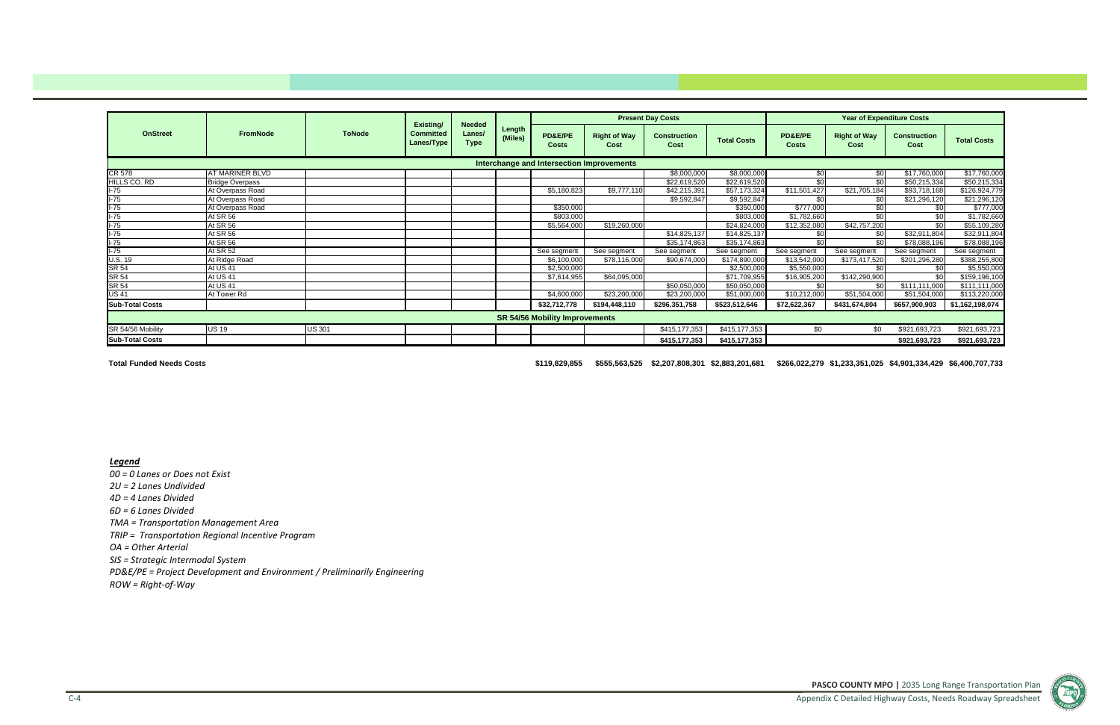**PASCO COUNTY MPO |** 2035 Long Range Transportation Plan Appendix C Detailed Highway Costs, Needs Roadway Spreadsheet



# *Legend*

*00 <sup>=</sup> 0 Lanes or Does not Exist 2U <sup>=</sup> 2 Lanes Undivided 4D <sup>=</sup> 4 Lanes Divided 6D <sup>=</sup> 6 Lanes Divided TMA <sup>=</sup> Transportation Management Area TRIP <sup>=</sup> Transportation Regional Incentive Program OA <sup>=</sup> Other Arterial SIS <sup>=</sup> Strategic Intermodal System PD&E/PE <sup>=</sup> Project Development and Environment / Preliminarily Engineering*

*ROW <sup>=</sup> Right‐of‐Way*

|                        |                        |               |                                             |                                        |                   |                                           |                             | <b>Present Day Costs</b>    |                    |                         |                             | <b>Year of Expenditure Costs</b> |                    |
|------------------------|------------------------|---------------|---------------------------------------------|----------------------------------------|-------------------|-------------------------------------------|-----------------------------|-----------------------------|--------------------|-------------------------|-----------------------------|----------------------------------|--------------------|
| <b>OnStreet</b>        | <b>FromNode</b>        | <b>ToNode</b> | Existing/<br><b>Committed</b><br>Lanes/Type | <b>Needed</b><br>Lanes/<br><b>Type</b> | Length<br>(Miles) | PD&E/PE<br><b>Costs</b>                   | <b>Right of Way</b><br>Cost | <b>Construction</b><br>Cost | <b>Total Costs</b> | PD&E/PE<br><b>Costs</b> | <b>Right of Way</b><br>Cost | <b>Construction</b><br>Cost      | <b>Total Costs</b> |
|                        |                        |               |                                             |                                        |                   | Interchange and Intersection Improvements |                             |                             |                    |                         |                             |                                  |                    |
| CR 578                 | AT MARINER BLVD        |               |                                             |                                        |                   |                                           |                             | \$8,000,000                 | \$8,000,000        | \$0                     | \$0                         | \$17,760,000                     | \$17,760,000       |
| HILLS CO. RD           | <b>Bridge Overpass</b> |               |                                             |                                        |                   |                                           |                             | \$22,619,520                | \$22,619,520       | \$0                     | \$0                         | \$50,215,334                     | \$50,215,334       |
| $I-75$                 | At Overpass Road       |               |                                             |                                        |                   | \$5,180,823                               | \$9,777,110                 | \$42,215,391                | \$57,173,324       | \$11,501,427            | \$21,705,184                | \$93,718,168                     | \$126,924,779      |
| $I-75$                 | At Overpass Road       |               |                                             |                                        |                   |                                           |                             | \$9,592,847                 | \$9,592,847        | \$0                     | \$0                         | \$21,296,120                     | \$21,296,120       |
| $I-75$                 | At Overpass Road       |               |                                             |                                        |                   | \$350,000                                 |                             |                             | \$350,000          | \$777,000               | \$0                         | \$0                              | \$777,000          |
| $I-75$                 | At SR 56               |               |                                             |                                        |                   | \$803,000                                 |                             |                             | \$803,000          | \$1,782,660             | \$0                         | \$0                              | \$1,782,660        |
| $I-75$                 | At SR 56               |               |                                             |                                        |                   | \$5,564,000                               | \$19,260,000                |                             | \$24,824,000       | \$12,352,080            | \$42,757,200                | \$0                              | \$55,109,280       |
| $I-75$                 | At SR 56               |               |                                             |                                        |                   |                                           |                             | \$14,825,137                | \$14,825,137       | \$0                     | \$0                         | \$32,911,804                     | \$32,911,804       |
| $I-75$                 | At SR 56               |               |                                             |                                        |                   |                                           |                             | \$35,174,863                | \$35,174,863       | \$0                     | \$0                         | \$78,088,196                     | \$78,088,196       |
| $I-75$                 | At SR 52               |               |                                             |                                        |                   | See segment                               | See segment                 | See segment                 | See segment        | See segment             | See segment                 | See segment                      | See segment        |
| U.S. 19                | At Ridge Road          |               |                                             |                                        |                   | \$6,100,000                               | \$78,116,000                | \$90,674,000                | \$174,890,000      | \$13,542,000            | \$173,417,520               | \$201,296,280                    | \$388,255,800      |
| <b>SR 54</b>           | At US 41               |               |                                             |                                        |                   | \$2,500,000                               |                             |                             | \$2,500,000        | \$5,550,000             | \$0                         | \$0                              | \$5,550,000        |
| <b>SR 54</b>           | At US 41               |               |                                             |                                        |                   | \$7,614,955                               | \$64,095,000                |                             | \$71,709,955       | \$16,905,200            | \$142,290,900               | \$0                              | \$159,196,100      |
| SR 54                  | At US 41               |               |                                             |                                        |                   |                                           |                             | \$50,050,000                | \$50,050,000       | \$0                     | \$0                         | \$111,111,000                    | \$111,111,000      |
| <b>US 41</b>           | At Tower Rd            |               |                                             |                                        |                   | \$4,600,000                               | \$23,200,000                | \$23,200,000                | \$51,000,000       | \$10,212,000            | \$51,504,000                | \$51,504,000                     | \$113,220,000      |
| <b>Sub-Total Costs</b> |                        |               |                                             |                                        |                   | \$32,712,778                              | \$194,448,110               | \$296,351,758               | \$523,512,646      | \$72,622,367            | \$431,674,804               | \$657,900,903                    | \$1,162,198,074    |
|                        |                        |               |                                             |                                        |                   | <b>SR 54/56 Mobility Improvements</b>     |                             |                             |                    |                         |                             |                                  |                    |
| SR 54/56 Mobility      | <b>US 19</b>           | <b>US 301</b> |                                             |                                        |                   |                                           |                             | \$415,177,353               | \$415,177,353      | \$0                     | \$0                         | \$921,693,723                    | \$921,693,723      |
| <b>Sub-Total Costs</b> |                        |               |                                             |                                        |                   |                                           |                             | \$415,177,353               | \$415,177,353      |                         |                             | \$921,693,723                    | \$921,693,723      |

**Total Funded Needs Costs**

**\$119,829,855 \$555,563,525 \$2,207,808,301 \$2,883,201,681 \$266,022,279 \$1,233,351,025 \$4,901,334,429 \$6,400,707,733**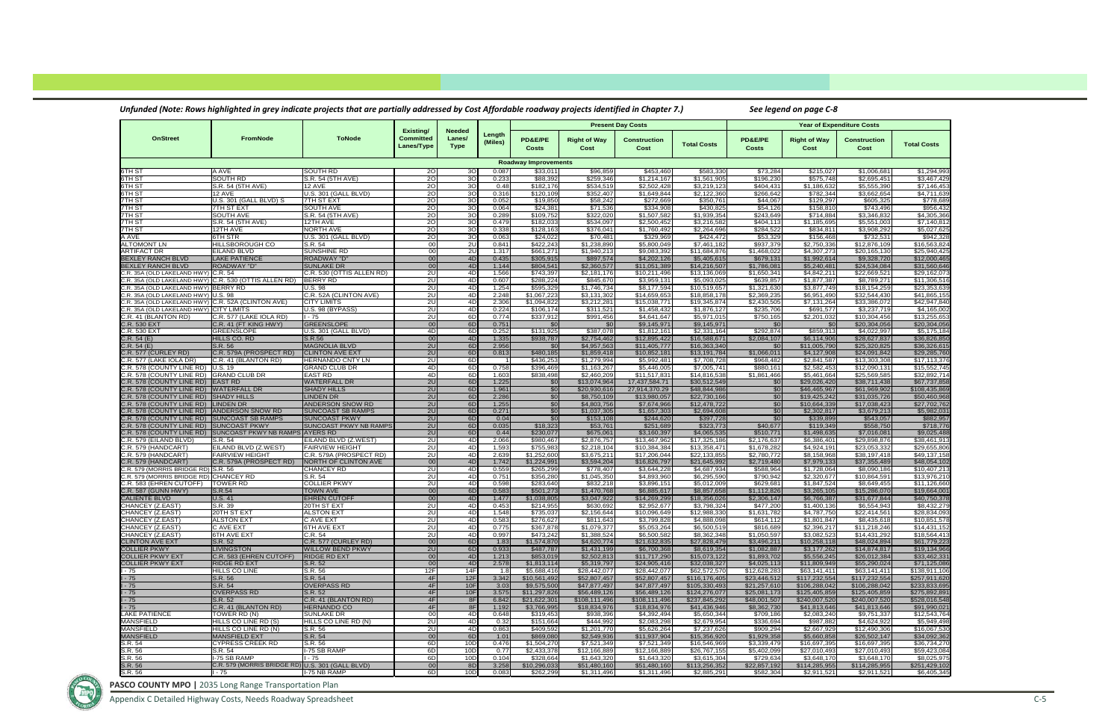Appendix C Detailed Highway Costs, Needs Roadway Spreadsheet C‐5

|                                                           |                                                                  | Unfunded (Note: Rows highlighted in grey indicate projects that are partially addressed by Cost Affordable roadway projects identified in Chapter 7.) |                                             |                                        |                   |                             |                              |                              |                                         |                              | See legend on page C-8         |                                  |                                |
|-----------------------------------------------------------|------------------------------------------------------------------|-------------------------------------------------------------------------------------------------------------------------------------------------------|---------------------------------------------|----------------------------------------|-------------------|-----------------------------|------------------------------|------------------------------|-----------------------------------------|------------------------------|--------------------------------|----------------------------------|--------------------------------|
|                                                           |                                                                  |                                                                                                                                                       |                                             |                                        |                   |                             |                              | <b>Present Day Costs</b>     |                                         |                              |                                | <b>Year of Expenditure Costs</b> |                                |
| <b>OnStreet</b>                                           | FromNode                                                         | <b>ToNode</b>                                                                                                                                         | Existing/<br><b>Committed</b><br>Lanes/Type | <b>Needed</b><br>Lanes/<br><b>Type</b> | Length<br>(Miles) | PD&E/PE<br>Costs            | <b>Right of Way</b><br>Cost  | Construction<br>Cost         | <b>Total Costs</b>                      | PD&E/PE<br>Costs             | <b>Right of Way</b><br>Cost    | Construction<br>Cost             | <b>Total Costs</b>             |
|                                                           |                                                                  |                                                                                                                                                       |                                             |                                        |                   | <b>Roadway Improvements</b> |                              |                              |                                         |                              |                                |                                  |                                |
| 6TH ST                                                    | A AVE                                                            | <b>SOUTH RD</b>                                                                                                                                       | 20                                          | 3 <sub>O</sub>                         | 0.087             | \$33,011                    | \$96,859                     | \$453,460                    | \$583,330                               | \$73,284                     | \$215,027                      | \$1,006,681                      | \$1,294,993                    |
| 6TH ST<br>6TH ST                                          | SOUTH RD<br>S.R. 54 (5TH AVE)                                    | S.R. 54 (5TH AVE)<br><b>12 AVE</b>                                                                                                                    | 20<br>2O                                    | 3 <sub>O</sub><br>30                   | 0.233<br>0.48     | \$88,392<br>\$182,176       | \$259,346<br>\$534,519       | \$1,214,167<br>\$2,502,428   | \$1,561,90<br>\$3,219,12                | \$196,230<br>\$404,431       | \$575,748<br>\$1,186,632       | \$2,695,451<br>\$5,555,390       | \$3,467,429<br>\$7,146,453     |
| 6TH ST                                                    | 12 AVE                                                           | U.S. 301 (GALL BLVD)                                                                                                                                  | 20                                          | 30                                     | 0.316             | \$120,109                   | \$352,407                    | \$1,649,844                  | \$2,122,36                              | \$266,642                    | \$782,344                      | \$3,662,654                      | \$4,711,639                    |
| 7TH ST                                                    | U.S. 301 (GALL BLVD) S                                           | 7TH ST EXT                                                                                                                                            | 20                                          | 3 <sub>O</sub>                         | 0.052             | \$19,850                    | \$58,242                     | \$272,669                    | \$350,76                                | \$44,067                     | \$129,297                      | \$605,325                        | \$778,689                      |
| 7TH ST                                                    | 7TH ST EXT                                                       | <b>SOUTH AVE</b>                                                                                                                                      | 20                                          | 30                                     | 0.064             | \$24,381                    | \$71,536                     | \$334,908                    | \$430,82                                | \$54,126                     | \$158,810                      | \$743,496                        | \$956,432                      |
| 7TH ST<br>7TH ST                                          | <b>SOUTH AVE</b><br>S.R. 54 (5TH AVE)                            | S.R. 54 (5TH AVE)<br>12TH AVE                                                                                                                         | 20<br>20                                    | 30<br>3 <sub>O</sub>                   | 0.289<br>0.479    | \$109,752<br>\$182,033      | \$322,020<br>\$534,097       | \$1,507,582<br>\$2,500,452   | \$1,939,35<br>\$3,216,58                | \$243,649<br>\$404,113       | \$714,884<br>\$1,185,695       | \$3,346,832<br>\$5,551,003       | \$4,305,366<br>\$7,140,812     |
| 7TH ST                                                    | 12TH AVE                                                         | <b>NORTH AVE</b>                                                                                                                                      | 20                                          | 30                                     | 0.338             | \$128,163                   | \$376,041                    | \$1,760,492                  | \$2,264,69                              | \$284,522                    | \$834,811                      | \$3,908,292                      | \$5,027,625                    |
| A AVE                                                     | 6TH STR                                                          | U.S. 301 (GALL BLVD)                                                                                                                                  | 20                                          | 3 <sub>O</sub>                         | 0.063             | \$24,022                    | \$70,481                     | \$329,969                    | \$424,472                               | \$53,329                     | \$156,468                      | \$732,531                        | \$942,328                      |
| <b>ALTOMONT LN</b>                                        | HILLSBOROUGH CO                                                  | S.R. 54                                                                                                                                               | 00                                          | 2U                                     | 0.84              | \$422,243                   | \$1,238,890                  | \$5,800,049                  | \$7,461,18                              | \$937,379                    | \$2,750,336                    | \$12,876,109                     | \$16,563,824                   |
| <b>ARTIFACT DR</b><br><b>BEXLEY RANCH BLVD</b>            | EILAND BLVD<br><b>LAKE PATIENCE</b>                              | <b>SUNSHINE RD</b><br><b>ROADWAY "D"</b>                                                                                                              | 00<br>00                                    | 2U<br>4D                               | 1.317<br>0.435    | \$661,271<br>\$305,915      | \$1,940,213<br>\$897,574     | \$9,083,392<br>\$4,202,126   | \$11,684,876<br>\$5,405,61              | \$1,468,022<br>\$679,131     | \$4,307,273<br>\$1,992,614     | \$20,165,130<br>\$9,328,720      | \$25,940,425<br>\$12,000,465   |
| <b>BEXLEY RANCH BLVD</b>                                  | <b>ROADWAY "D"</b>                                               | <b>SUNLAKE DR</b>                                                                                                                                     | 00                                          | 4D                                     | 1.144             | \$804,541                   | \$2,360,577                  | \$11,051,389                 | \$14,216,507                            | \$1,786,081                  | \$5,240,481                    | \$24,534,084                     | \$31,560,646                   |
| C.R. 35A (OLD LAKELAND HWY                                | C.R. 54                                                          | C.R. 530 (OTTIS ALLEN RD)                                                                                                                             | 2U                                          | 4D                                     | 1.566             | \$743,397                   | \$2,181,176                  | \$10,211,496                 | \$13,136,069                            | \$1,650,341                  | \$4,842,211                    | \$22,669,521                     | \$29,162,073                   |
| C.R. 35A (OLD LAKELAND HWY                                | C.R. 530 (OTTIS ALLEN RD)                                        | <b>BERRY RD</b>                                                                                                                                       | 2U                                          | 4D                                     | 0.607             | \$288,224                   | \$845,670                    | \$3,959,131                  | \$5,093,02                              | \$639,857                    | $\overline{\$1,877,387}$       | \$8,789,271                      | \$11,306,516                   |
| .R. 35A (OLD LAKELAND HWY<br>C.R. 35A (OLD LAKELAND HWY   | <b>BERRY RD</b><br><b>U.S. 98</b>                                | <b>U.S. 98</b><br>C.R. 52A (CLINTON AVE)                                                                                                              | 2U<br>2U                                    | 4D<br>4D                               | 1.254<br>2.248    | \$595,329<br>\$1,067,22     | \$1,746,734<br>\$3,131,302   | \$8,177,594<br>\$14,659,65   | \$10,519,65<br>\$18,858,17              | \$1,321,630<br>\$2,369,235   | \$3,877,749<br>\$6,951,490     | \$18,154,259<br>\$32,544,430     | \$23,353,639<br>\$41,865,155   |
| .R. 35A (OLD LAKELAND HWY                                 | C.R. 52A (CLINTON AVE)                                           | <b>CITY LIMITS</b>                                                                                                                                    | 2U                                          | 4D                                     | 2.306             | \$1,094,822                 | \$3,212,281                  | \$15,038,771                 | \$19,345,874                            | \$2,430,505                  | \$7,131,264                    | \$33,386,072                     | \$42,947,840                   |
| .R. 35A (OLD LAKELAND HWY)                                | <b>CITY LIMITS</b>                                               | U.S. 98 (BYPASS)                                                                                                                                      | 2U                                          | 4D                                     | 0.224             | \$106,174                   | \$311,521                    | \$1,458,432                  | \$1,876,127                             | \$235,706                    | \$691,577                      | \$3,237,719                      | \$4,165,002                    |
| C.R. 41 (BLANTON RD)                                      | C.R. 577 (LAKE IOLA RD)                                          | $1 - 75$                                                                                                                                              | 2U                                          | 6D                                     | 0.774             | \$337,912                   | \$991,456                    | \$4,641,647                  | \$5,971,015                             | \$750,165                    | \$2,201,032                    | \$10,304,456                     | \$13,255,653                   |
| C.R. 530 EXT                                              | C.R. 41 (FT KING HWY)                                            | <b>GREENSLOPE</b>                                                                                                                                     | 00                                          | 6D                                     | 0.751             | \$0                         | \$0                          | \$9,145,971                  | \$9,145,971                             | \$0                          | \$0                            | \$20,304,056                     | \$20,304,056                   |
| C.R. 530 EXT<br>C.R. 54 (E)                               | GREENSLOPE<br>HILLS CO. RD                                       | U.S. 301 (GALL BLVD)<br>S.R.56                                                                                                                        | 4D<br>00                                    | 6D<br>4D                               | 0.252<br>1.335    | \$131,925<br>\$938,787      | \$387,078<br>\$2,754,462     | \$1,812,161<br>\$12,895,422  | \$2,331,164<br>\$16,588,67              | \$292,874<br>\$2,084,107     | \$859,313<br>\$6,114,906       | \$4,022,997<br>\$28,627,837      | \$5,175,184<br>\$36,826,850    |
| C.R.54(E)                                                 | S.R. 56                                                          | <b>MAGNOLIA BLVD</b>                                                                                                                                  | 2U                                          | 6D                                     | 2.956             | \$0                         | \$4,957,563                  | \$11,405,777                 | \$16,363,340                            | \$0                          | \$11,005,790                   | \$25,320,825                     | \$36,326,615                   |
| C.R. 577 (CURLEY RD)                                      | C.R. 579A (PROSPECT RD)                                          | <b>CLINTON AVE EXT</b>                                                                                                                                | 2U                                          | 6D                                     | 0.813             | \$480,185                   | \$1,859,418                  | \$10,852,181                 | \$13,191,784                            | \$1,066,011                  | \$4,127,908                    | \$24,091,842                     | \$29,285,760                   |
| C.R. 577 (LAKE IOLA DR)                                   | C.R. 41 (BLANTON RD)                                             | <b>HERNANDO CNTY LN</b>                                                                                                                               | 2U                                          | 6D                                     |                   | \$436,253                   | \$1.279.994                  | \$5,992,481                  | \$7,708,72                              | \$968,482                    | \$2,841,587                    | \$13,303,308                     | \$17,113,376                   |
| C.R. 578 (COUNTY LINE RD)<br>C.R. 578 (COUNTY LINE RD)    | U.S. 19<br><b>GRAND CLUB DR</b>                                  | <b>GRAND CLUB DR</b><br><b>EAST RD</b>                                                                                                                | 4D<br>4D                                    | 6D<br>6D                               | 0.758<br>1.60     | \$396,469<br>\$838,498      | \$1,163,267<br>\$2,460,209   | \$5,446,005<br>\$11,517,831  | \$7,005,741<br>$\overline{$}14,816,538$ | \$880,161<br>\$1,861,466     | \$2,582,453<br>\$5,461,664     | \$12,090,131<br>\$25,569,585     | \$15,552,745<br>\$32,892,714   |
| C.R. 578 (COUNTY LINE RD)                                 | <b>EAST RD</b>                                                   | <b>WATERFALL DR</b>                                                                                                                                   | 2U                                          | 6D                                     | 1.225             | \$0                         | \$13,074,964                 | 17,437,584.71                | \$30,512,549                            | \$0                          | \$29,026,420                   | \$38,711,438                     | \$67,737,858                   |
| C.R. 578 (COUNTY LINE RD)                                 | <b>WATERFALL DR</b>                                              | <b>SHADY HILLS</b>                                                                                                                                    | 2U                                          | 6D                                     | 1.961             | \$0                         | \$20,930,616                 | 27,914,370.29                | \$48,844,98                             | \$0                          | \$46,465,967                   | \$61,969,902                     | \$108,435,869                  |
| C.R. 578 (COUNTY LINE RD)                                 | <b>SHADY HILLS</b>                                               | <b>LINDEN DR</b>                                                                                                                                      | 2U                                          | 6D                                     | 2.286             | \$0                         | \$8,750,109                  | \$13,980,057                 | \$22,730,16                             | \$0                          | \$19,425,242                   | \$31,035,726                     | \$50,460,968                   |
| C.R. 578 (COUNTY LINE RD)<br>C.R. 578 (COUNTY LINE RD)    | <b>LINDEN DR</b><br>ANDERSON SNOW RD                             | ANDERSON SNOW RD<br><b>SUNCOAST SB RAMPS</b>                                                                                                          | 2U<br>2U                                    | 6D<br>6D                               | 1.255<br>0.271    | \$0<br>\$0                  | \$4,803,756<br>\$1,037,305   | \$7,674,966<br>\$1,657,303   | \$12,478,722<br>\$2,694,608             | \$0<br>\$0                   | \$10,664,339<br>\$2,302,817    | \$17,038,423<br>\$3,679,213      | \$27,702,762<br>\$5,982,031    |
| C.R. 578 (COUNTY LINE RD)                                 | <b>SUNCOAST SB RAMPS</b>                                         | <b>SUNCOAST PKWY</b>                                                                                                                                  | 2U                                          | 6D                                     | 0.04              | \$0                         | \$153,108                    | \$244,620                    | \$397,728                               | \$0                          | \$339,899                      | \$543,057                        | \$882,957                      |
| C.R. 578 (COUNTY LINE RD)                                 | <b>SUNCOAST PKWY</b>                                             | <b>SUNCOAST PKWY NB RAMPS</b>                                                                                                                         | 2U                                          | 6D                                     | 0.035             | \$18,323                    | \$53,761                     | \$251,689                    | \$323,773                               | \$40,677                     | \$119,349                      | \$558,750                        | \$718,776                      |
| C.R. 578 (COUNTY LINE RD)                                 | SUNCOAST PKWY NB RAMPS AYERS RD                                  |                                                                                                                                                       | 2U                                          | 6D                                     | 0.44              | \$230,077                   | \$675,061                    | \$3,160,397                  | \$4,065,53                              | \$510,771                    | \$1,498,635                    | \$7,016,081                      | \$9,025,488                    |
| C.R. 579 (EILAND BLVD)<br>C.R. 579 (HANDCART)             | S.R. 54<br>EILAND BLVD (Z.WEST)                                  | EILAND BLVD (Z.WEST)<br><b>FAIRVIEW HEIGHT</b>                                                                                                        | 2U<br>2U                                    | 4D<br>4D                               | 2.066<br>1.593    | \$980,467<br>\$755,983      | \$2,876,757<br>\$2,218,104   | \$13,467,962<br>\$10,384,384 | \$17,325,18<br>\$13,358,47              | \$2,176,637<br>\$1,678,282   | \$6,386,401<br>\$4,924,191     | \$29,898,876<br>\$23,053,332     | \$38,461,913<br>\$29,655,806   |
| C.R. 579 (HANDCART)                                       | <b>FAIRVIEW HEIGHT</b>                                           | C.R. 579A (PROSPECT RD)                                                                                                                               | 2U                                          | 4D                                     | 2.63              | \$1,252,600                 | \$3,675,211                  | \$17,206,044                 | \$22,133,85                             | \$2,780,772                  | \$8,158,968                    | \$38,197,418                     | \$49,137,158                   |
| C.R. 579 (HANDCART)                                       | C.R. 579A (PROSPECT RD)                                          | NORTH OF CLINTON AVE                                                                                                                                  | 00                                          | 4D                                     | 1.742             | \$1,224,991                 | \$3,594,204                  | \$16,826,797                 | \$21,645,99                             | \$2,719,480                  | \$7,979,133                    | \$37,355,489                     | \$48,054,102                   |
| .R. 579 (MORRIS BRIDGE RD)<br>C.R. 579 (MORRIS BRIDGE RD) | <b>S.R. 56</b><br>CHANCEY RD                                     | <b>CHANCEY RD</b><br>S.R. 54                                                                                                                          | 2U<br>2U                                    | 4D<br>4D                               | 0.559             | \$265,299                   | \$778,407                    | \$3,644,228                  | \$4,687,93                              | \$588,964<br>\$790,942       | \$1,728,064<br>\$2,320,677     | \$8,090,186                      | \$10,407,213                   |
| C.R. 583 (EHREN CUTOFF)                                   | <b>TOWER RD</b>                                                  | <b>COLLIER PKWY</b>                                                                                                                                   | 2U                                          | 4D                                     | 0.751<br>0.598    | \$356,280<br>\$283,640      | \$1,045,350<br>\$832,218     | \$4,893,960<br>\$3,896,151   | \$6,295,590<br>\$5,012,00               | \$629,681                    | \$1,847,524                    | \$10,864,591<br>\$8,649,455      | \$13,976,210<br>\$11,126,660   |
| C.R. 587 (GUNN HWY)                                       | S.R.54                                                           | <b>TOWN AVE</b>                                                                                                                                       | 00                                          | 6D                                     | 0.583             | \$501,273                   | \$1,470,768                  | \$6,885,617                  | \$8,857,65                              | \$1,112,826                  | \$3,265,105                    | \$15,286,070                     | \$19,664,001                   |
| <b>CALIENTE BLVD</b>                                      | U.S. 41                                                          | <b>EHREN CUTOFF</b>                                                                                                                                   | 00                                          | 4D                                     | 1.47              | \$1,038,80                  | \$3,047,922                  | \$14,269,299                 | \$18,356,02                             | \$2,306,147                  | \$6,766,387                    | \$31,677,844                     | \$40,750,378                   |
| CHANCEY (Z.EAST)                                          | S.R. 39<br>20TH ST EXT                                           | 20TH ST EXT                                                                                                                                           | 2U                                          | 4D<br>4D                               | 0.453             | \$214,955                   | \$630,692<br>\$2,156,644     | \$2,952,677<br>\$10,096,649  | \$3,798,324                             | \$477,200                    | \$1.400.136                    | \$6,554,943                      | \$8,432,279<br>\$28,834,093    |
| CHANCEY (Z.EAST)<br>CHANCEY (Z.EAST)                      | <b>ALSTON EXT</b>                                                | <b>ALSTON EXT</b><br>C AVE EXT                                                                                                                        | 2U<br>2U                                    | 4D                                     | 1.548<br>0.583    | \$735,037<br>\$276,627      | \$811,643                    | \$3,799,828                  | \$12,988,330<br>\$4,888,098             | \$1,631,782<br>\$614,112     | \$4,787,750<br>\$1,801,847     | \$22,414,561<br>\$8,435,618      | \$10,851,578                   |
| CHANCEY (Z.EAST)                                          | C AVE EXT                                                        | 6TH AVE EXT                                                                                                                                           | 2U                                          | 4D                                     | 0.775             | \$367,878                   | \$1,079,377                  | \$5,053,264                  | \$6,500,519                             | \$816,689                    | \$2,396,217                    | \$11,218,246                     | \$14,431,152                   |
| CHANCEY (Z.EAST)                                          | 6TH AVE EXT                                                      | C.R. 54                                                                                                                                               | 2U                                          | 4D                                     | 0.997             | \$473,242                   | \$1,388,524                  | \$6,500,582                  | \$8,362,348                             | \$1,050,597                  | \$3,082,523                    | \$14,431,292                     | \$18,564,413                   |
| <b>CLINTON AVE EXT</b>                                    | S.R. 52                                                          | C.R. 577 (CURLEY RD)                                                                                                                                  | 00                                          | 6D                                     | 1.83              | \$1,574,870                 | \$4,620,774                  | \$21,632,835                 | \$27,828,479                            | \$3,496,211<br>\$1,082,887   | \$10,258,118                   | \$48,024,894                     | \$61,779,223                   |
| <b>COLLIER PKWY</b><br><b>COLLIER PKWY EXT</b>            | <b>LIVINGSTON</b><br>C.R. 583 (EHREN CUTOFF)                     | <b>WILLOW BEND PKWY</b><br><b>RIDGE RD EXT</b>                                                                                                        | 2U<br>00                                    | 6D<br>4D                               | 0.933<br>1.213    | \$487,787<br>\$853,019      | \$1,431,199<br>\$2,502,813   | \$6,700,368<br>\$11,717,290  | \$8,619,354<br>\$15,073,122             | \$1,893,702                  | \$3,177,262<br>\$5,556,245     | \$14,874,817<br>\$26,012,384     | \$19,134,966<br>\$33,462,331   |
| <b>COLLIER PKWY EXT</b>                                   | <b>RIDGE RD EXT</b>                                              | S.R. 52                                                                                                                                               | 00                                          | 4D                                     | 2.578             | \$1,813,114                 | \$5,319,797                  | \$24,905,416                 | \$32,038,327                            | \$4,025,113                  | \$11,809,949                   | \$55,290,024                     | \$71,125,086                   |
| - 75                                                      | HILLS CO LINE                                                    | S.R. 56                                                                                                                                               | 12F                                         | 14F                                    | 1.8               | \$5,688,416                 | \$28,442,077                 | \$28,442,077                 | \$62,572,570                            | \$12,628,283                 | \$63,141,411                   | \$63,141,411                     | \$138,911,106                  |
| $-75$                                                     | S.R. 56                                                          | S.R. 54                                                                                                                                               | 4F                                          | 12F                                    | 3.342             | \$10,561,492                | \$52,807,457                 | \$52,807,457                 | \$116,176,405                           | \$23,446,512                 | \$117,232,554                  | \$117,232,554                    | \$257,911,620                  |
| l - 75<br>$-75$                                           | S.R. 54<br><b>OVERPASS RD</b>                                    | <b>OVERPASS RD</b><br>S.R. 52                                                                                                                         | 4F<br>4F                                    | 10F<br>10F                             | 3.03<br>3.575     | \$9,575,500<br>\$11,297,826 | \$47,877,497<br>\$56,489,126 | \$47,877,497<br>\$56,489,126 | \$105,330,493<br>\$124,276,077          | \$21,257,610<br>\$25,081,173 | \$106,288,042<br>\$125,405,859 | \$106,288,042<br>\$125,405,859   | \$233,833,695<br>\$275,892,891 |
| $-75$                                                     | S.R. 52                                                          | C.R. 41 (BLANTON RD)                                                                                                                                  | 4F                                          | 8F                                     | 6.842             | \$21,622,301                | \$108,111,496                | \$108,111,496                | \$237,845,292                           | \$48,001,507                 | \$240,007,520                  | \$240,007,520                    | \$528,016,548                  |
| $1 - 75$                                                  | C.R. 41 (BLANTON RD)                                             | <b>HERNANDO CO</b>                                                                                                                                    | 4F                                          | 8F                                     | 1.192             | \$3,766,995                 | \$18,834,976                 | \$18,834,976                 | \$41,436,946                            | \$8,362,730                  | \$41,813,646                   | \$41,813,646                     | \$91,990,021                   |
| LAKE PATIENCE                                             | TOWER RD (N)                                                     | <b>SUNLAKE DR</b>                                                                                                                                     | 00                                          | 4D                                     | 0.648             | \$319,453                   | \$938,396                    | \$4,392,494                  | \$5,650,344                             | \$709,186                    | \$2,083,240                    | \$9,751,337                      | \$12,543,764                   |
| <b>MANSFIELD</b><br><b>MANSFIELD</b>                      | HILLS CO LINE RD (S)<br>HILLS CO LINE RD (N)                     | HILLS CO LINE RD (N)<br>S.R. 56                                                                                                                       | 2U<br>2U                                    | 4D<br>4D                               | 0.32<br>0.863     | \$151,664<br>\$409,592      | \$444,992<br>\$1,201,770     | \$2,083,298<br>\$5,626,264   | \$2,679,954<br>\$7,237,626              | \$336,694<br>\$909,294       | \$987,882<br>\$2,667,929       | \$4,624,922<br>\$12,490,306      | \$5,949,498<br>\$16,067,530    |
| <b>MANSFIELD</b>                                          | <b>MANSFIELD EXT</b>                                             | S.R. 54                                                                                                                                               | 00                                          | 6D                                     | 1.01              | \$869,080                   | \$2,549,936                  | \$11,937,904                 | \$15,356,920                            | \$1,929,358                  | \$5,660,858                    | \$26,502,147                     | \$34,092,362                   |
| S.R. 54                                                   | CYPRESS CREEK RD                                                 | S.R. 56                                                                                                                                               | 6D                                          | 10D                                    | 0.476             | \$1,504,270                 | \$7,521,349                  | \$7,521,349                  | \$16,546,969                            | 33,339,479                   | \$16,697,395                   | \$16,697,395                     | \$36,734,270                   |
| S.R. 56                                                   | S.R. 54                                                          | I-75 SB RAMP                                                                                                                                          | 6D                                          | 10D                                    | 0.77              | \$2,433,378                 | \$12,166,889                 | \$12,166,889                 | \$26,767,155                            | \$5,402,099                  | \$27,010,493                   | \$27,010,493                     | \$59,423,084                   |
| S.R. 56<br>S.R. 56                                        | I-75 SB RAMP<br>C.R. 579 (MORRIS BRIDGE RD) U.S. 301 (GALL BLVD) | $1 - 75$                                                                                                                                              | 6D<br>00                                    | 10D<br>8D                              | 0.104<br>3.258    | \$328,664<br>\$10,296,033   | \$1,643,320<br>\$51,480,160  | \$1,643,320<br>\$51,480,160  | \$3,615,304<br>\$113,256,352            | \$729,634<br>\$22,857,192    | \$3,648,170<br>\$114,285,955   | \$3,648,170<br>\$114,285,955     | \$8,025,975<br>\$251,429,102   |
| S.R. 56                                                   | l - 75                                                           | I-75 NB RAMP                                                                                                                                          | 6D                                          | 10D                                    | 0.083             | \$262,299                   | \$1,311,496                  | \$1,311,496                  | \$2,885,291                             | \$582,304                    | \$2,911,521                    | \$2,911,521                      | \$6,405,345                    |
|                                                           |                                                                  |                                                                                                                                                       |                                             |                                        |                   |                             |                              |                              |                                         |                              |                                |                                  |                                |

**TMPO**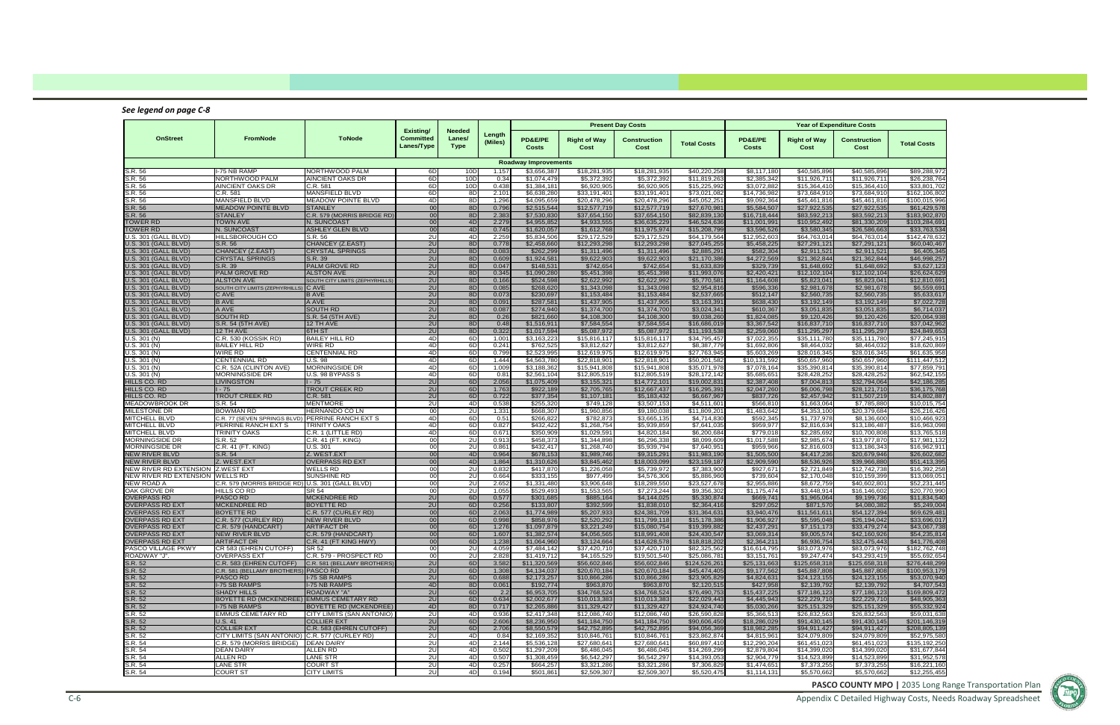

Appendix C Detailed Highway Costs, Needs Roadway Spreadsheet

### *See legend on page C‐8*

|                                                            |                                                            |                                           |                                      |                                        |                   |                             |                              | <b>Present Day Costs</b>     |                                         |                             |                              | <b>Year of Expenditure Costs</b> |                               |
|------------------------------------------------------------|------------------------------------------------------------|-------------------------------------------|--------------------------------------|----------------------------------------|-------------------|-----------------------------|------------------------------|------------------------------|-----------------------------------------|-----------------------------|------------------------------|----------------------------------|-------------------------------|
| <b>OnStreet</b>                                            | <b>FromNode</b>                                            | <b>ToNode</b>                             | Existing/<br>Committed<br>Lanes/Type | <b>Needed</b><br>Lanes/<br><b>Type</b> | Length<br>(Miles) | PD&E/PE<br>Costs            | <b>Right of Way</b><br>Cost  | Construction<br>Cost         | <b>Total Costs</b>                      | PD&E/PE<br>Costs            | <b>Right of Way</b><br>Cost  | <b>Construction</b><br>Cost      | <b>Total Costs</b>            |
|                                                            |                                                            |                                           |                                      |                                        |                   | <b>Roadway Improvements</b> |                              |                              |                                         |                             |                              |                                  |                               |
| S.R. 56                                                    | I-75 NB RAMP                                               | NORTHWOOD PALM                            | 6D                                   | 10D                                    | 1.157             | \$3,656,387                 | \$18,281,935                 | \$18,281,935                 | \$40,220,258                            | \$8,117,180                 | \$40,585,896                 | \$40,585,896                     | \$89,288,972                  |
| S.R. 56<br>S.R. 56                                         | NORTHWOOD PALM<br><b>AINCIENT OAKS DR</b>                  | AINCIENT OAKS DR<br>C.R. 581              | 6D<br>6D                             | 10 <sub>0</sub><br>10D                 | 0.34<br>0.438     | \$1,074,479<br>\$1,384,181  | \$5,372,392<br>\$6,920,905   | \$5,372,392<br>\$6,920,905   | \$11,819,26<br>\$15,225,992             | \$2,385,342<br>\$3,072,882  | \$11,926,711<br>\$15,364,410 | \$11,926,711<br>\$15,364,410     | \$26.238.76<br>\$33,801,70    |
| S.R. 56                                                    | $\overline{C}$ .R. 581                                     | <b>MANSFIELD BLVD</b>                     | 6D                                   | 8D                                     | 2.10              | \$6,638,280                 | \$33,191,401                 | \$33,191,401                 | \$73,021,08                             | \$14,736,982                | \$73,684,910                 | \$73,684,910                     | \$162,106,80                  |
| S.R. 56                                                    | MANSFIELD BLVD                                             | <b>MEADOW POINTE BLVD</b>                 | 4 <sub>D</sub>                       | 8D                                     | 1.296             | \$4,095,659                 | \$20,478,296                 | \$20,478,296                 | \$45,052,25                             | \$9,092,364                 | \$45,461,816                 | \$45,461,816                     | \$100,015,99                  |
| S.R. 56                                                    | <b>MEADOW POINTE BLVD</b>                                  | <b>STANLEY</b>                            | 00                                   | 8D                                     | 0.79              | \$2,515,544                 | \$12,577,719                 | \$12,577,719                 | \$27,670,98                             | \$5,584,507                 | \$27,922,535                 | \$27,922,535                     | \$61,429,57                   |
| S.R. 56                                                    | <b>STANLEY</b>                                             | C.R. 579 (MORRIS BRIDGE RD)               | 00                                   | 8D                                     | 2.38              | \$7,530,830                 | \$37,654,150                 | \$37,654,150                 | \$82,839,13                             | \$16,718,444                | \$83,592,213                 | \$83,592,213                     | \$183,902,87                  |
| <b>TOWER RD</b>                                            | <b>TOWN AVE</b>                                            | N. SUNCOAST                               | 00                                   | 4D                                     | 2.279             | \$4,955,852                 | \$4,933,555                  | \$36,635,229                 | \$46,524,63                             | \$11,001,991                | \$10,952,492                 | \$81,330,209                     | \$103,284,69                  |
| <b>TOWER RD</b>                                            | N. SUNCOAST                                                | <b>ASHLEY GLEN BLVD</b>                   | 00                                   | 4D                                     | 0.745             | \$1,620,057                 | \$1,612,768                  | \$11,975,974                 | \$15,208,79                             | \$3,596,526                 | \$3,580,345                  | \$26,586,663                     | \$33,763,53                   |
| U.S. 301 (GALL BLVD)<br>U.S. 301 (GALL BLVD)               | <b>HILLSBOROUGH CO</b><br>S.R. 56                          | S.R. 56<br>CHANCEY (Z.EAST)               | 2U<br>2U                             | 4D<br>8D                               | 2.259<br>0.778    | \$5.834.506<br>\$2,458,660  | \$29,172,529<br>\$12,293,298 | \$29,172,529<br>\$12,293,298 | \$64,179,564<br>\$27,045,25             | \$12,952,603<br>\$5,458,225 | \$64,763,014<br>\$27,291,121 | \$64,763,014<br>\$27,291,121     | \$142,478,63<br>\$60,040,467  |
| U.S. 301 (GALL BLVD)                                       | CHANCEY (Z.EAST)                                           | <b>CRYSTAL SPRINGS</b>                    | 2U                                   | 8D                                     | 0.08              | \$262,299                   | \$1,311,496                  | \$1,311,496                  | \$2,885,29                              | \$582,304                   | \$2,911,521                  | \$2,911,521                      | \$6,405,34                    |
| U.S. 301 (GALL BLVD)                                       | <b>CRYSTAL SPRINGS</b>                                     | S.R. 39                                   | 2U                                   | 8D                                     | 0.609             | \$1,924,581                 | \$9,622,903                  | \$9,622,903                  | \$21,170,38                             | \$4,272,569                 | \$21,362,844                 | \$21,362,844                     | \$46,998,257                  |
| U.S. 301 (GALL BLVD)                                       | S.R. 39                                                    | PALM GROVE RD                             | 2U                                   | 8D                                     | 0.047             | \$148,531                   | \$742,654                    | \$742,654                    | \$1,633,83                              | \$329,739                   | \$1,648,692                  | \$1,648,692                      | \$3,627,12                    |
| U.S. 301 (GALL BLVD)                                       | PALM GROVE RD                                              | <b>ALSTON AVE</b>                         | 2U                                   | 8D                                     | 0.345             | \$1,090,280                 | \$5,451,398                  | \$5,451,398                  | \$11,993,07                             | \$2,420,421                 | \$12,102,104                 | \$12,102,104                     | \$26,624,62                   |
| U.S. 301 (GALL BLVD)                                       | <b>ALSTON AVE</b>                                          | SOUTH CITY LIMITS (ZEPHYRHILLS            | 2U                                   | 8D                                     | 0.166             | \$524,598                   | \$2,622,992                  | \$2,622,992                  | \$5,770,58                              | \$1,164,608                 | \$5,823,041                  | \$5,823,041                      | \$12,810,69                   |
| U.S. 301 (GALL BLVD)<br>U.S. 301 (GALL BLVD)               | SOUTH CITY LIMITS (ZEPHYRHILLS) C AVE<br>C AVE             | <b>B AVE</b>                              | 2U<br>2U                             | 8D<br>8D                               | 0.085<br>0.073    | \$268,620<br>\$230,697      | \$1,343,098<br>\$1,153,484   | \$1,343,098<br>\$1,153,484   | \$2,954,81<br>\$2,537,66                | \$596,336<br>\$512,147      | \$2,981,678<br>\$2,560,735   | \$2,981,678<br>\$2,560,735       | \$6,559,69<br>\$5,633,61      |
| U.S. 301 (GALL BLVD)                                       | <b>BAVE</b>                                                | A AVE                                     | 2U                                   | 8D                                     | 0.091             | \$287,581                   | \$1,437,905                  | \$1,437,905                  | \$3,163,39                              | \$638,430                   | \$3,192,149                  | \$3,192,149                      | \$7,022,72                    |
| U.S. 301 (GALL BLVD)                                       | A AVE                                                      | <b>SOUTH RD</b>                           | 2U                                   | 8D                                     | 0.087             | \$274,940                   | \$1,374,700                  | \$1,374,700                  | \$3,024,34                              | \$610,367                   | \$3,051,835                  | \$3,051,835                      | \$6,714,03                    |
| U.S. 301 (GALL BLVD)                                       | <b>SOUTH RD</b>                                            | S.R. 54 (5TH AVE)                         | 2U                                   | 8D                                     | 0.26              | \$821,660                   | \$4,108,300                  | \$4,108,300                  | \$9,038,26                              | \$1,824,085                 | \$9,120,426                  | \$9,120,426                      | \$20,064,93                   |
| J.S. 301 (GALL BLVD)                                       | S.R. 54 (5TH AVE)                                          | 12 TH AVE                                 | 2U                                   | 8D                                     | 0.48              | \$1,516,911                 | \$7,584,554                  | \$7,584,554                  | \$16,686,019                            | \$3,367,542                 | \$16,837,710                 | \$16,837,710                     | \$37,042,96                   |
| U.S. 301 (GALL BLVD)                                       | 12 TH AVE                                                  | 6TH ST                                    | 2U                                   | 8D                                     | 0.322             | \$1,017,594                 | \$5,087,972                  | \$5,087,972                  | \$11,193,53                             | \$2,259,060                 | \$11,295,297                 | \$11,295,297                     | \$24,849,653                  |
| U.S. 301 (N)                                               | C.R. 530 (KOSSIK RD)                                       | <b>BAILEY HILL RD</b>                     | 4D                                   | 6D                                     | 1.001             | \$3,163,223                 | \$15,816,117                 | \$15,816,117                 | \$34,795,457                            | \$7,022,355                 | \$35,111,780                 | \$35,111,780                     | \$77,245,91                   |
| U.S. 301 (N)<br>U.S. 301 (N)                               | <b>BAILEY HILL RD</b><br><b>WIRE RD</b>                    | <b>WIRE RD</b><br><b>CENTENNIAL RD</b>    | 4D<br>4 <sub>D</sub>                 | 6D<br>6D                               | 0.241<br>0.799    | \$762,525<br>\$2,523,995    | \$3,812,627<br>\$12,619,975  | \$3,812,627<br>\$12,619,975  | \$8,387,779<br>\$27,763,94              | \$1,692,806<br>\$5,603,269  | \$8,464,032<br>\$28,016,345  | \$8,464,032<br>\$28,016,345      | \$18,620,86<br>\$61,635,95    |
| U.S. 301 (N)                                               | <b>CENTENNIAL RD</b>                                       | <b>U.S. 98</b>                            | 4D                                   | 6D                                     | 1.444             | \$4,563,780                 | \$22,818,90                  | \$22,818,901                 | \$50,201,58                             | \$10,131,592                | \$50,657,960                 | \$50,657,960                     | \$111,447,51                  |
| U.S. 301 (N)                                               | C.R. 52A (CLINTON AVE)                                     | <b>MORNINGSIDE DR</b>                     | 4D                                   | 6D                                     | 1.009             | \$3,188,362                 | \$15,941,808                 | \$15,941,808                 | \$35,071,978                            | \$7,078,164                 | \$35,390,814                 | \$35,390,814                     | \$77,859,79                   |
| U.S. 301 (N)                                               | <b>MORNINGSIDE DR</b>                                      | U.S. 98 BYPASS S                          | 4D                                   | 6D                                     | 0.81              | \$2,561,104                 | \$12,805,519                 | \$12,805,519                 | \$28,172,142                            | \$5,685,651                 | \$28,428,252                 | \$28,428,252                     | \$62,542,155                  |
| HILLS CO. RD                                               | <b>LIVINGSTON</b>                                          | $1 - 75$                                  | 2U                                   | 6D                                     | 2.056             | \$1,075,409                 | \$3,155,321                  | \$14,772,101                 | \$19,002,83                             | \$2,387,408                 | \$7,004,813                  | \$32,794,064                     | \$42,186,28                   |
| HILLS CO. RD                                               | $1 - 75$                                                   | <b>TROUT CREEK RD</b>                     | 2U                                   | 6D                                     | 1.763             | \$922,189                   | \$2,705,765                  | \$12,667,437                 | \$16,295,39                             | \$2,047,260                 | \$6,006,798                  | \$28,121,710                     | \$36,175,76                   |
| HILLS CO. RD                                               | <b>TROUT CREEK RD</b>                                      | C.R. 581                                  | 2U                                   | 6D                                     | 0.722             | \$377,354                   | \$1,107,181                  | \$5,183,432                  | \$6,667,96                              | \$837,726                   | \$2,457,942                  | \$11,507,219                     | \$14,802,88                   |
| MEADOWBROOK DR<br><b>MILESTONE DR</b>                      | S.R. 54<br><b>BOWMAN RD</b>                                | <b>MENTMORE</b><br><b>HERNANDO CO LN</b>  | 20<br>00                             | 4D<br>2U                               | 0.538<br>1.331    | \$255,320<br>\$668,307      | \$749,128<br>\$1,960,856     | \$3,507,153<br>\$9,180,038   | $\overline{\$4,511,60}$<br>\$11,809,201 | \$566,810<br>\$1,483,642    | \$1,663,064<br>\$4,353,100   | \$7,785,880<br>\$20,379,684      | \$10,015,754<br>\$26,216,42   |
| <b>MITCHELL BLVD</b>                                       | C.R. 77 (SEVEN SPRINGS BLVD) PERRINE RANCH EXT S           |                                           | 4D                                   | 6D                                     | 0.51              | \$266,822                   | \$782,873                    | \$3,665,135                  | \$4,714,83                              | \$592,345                   | \$1,737,978                  | \$8,136,600                      | \$10,466,92                   |
| <b>MITCHELL BLVD</b>                                       | PERRINE RANCH EXT S                                        | <b>TRINITY OAKS</b>                       | 4D                                   | 6D                                     | 0.827             | \$432,422                   | \$1,268,754                  | \$5,939,859                  | \$7,641,03                              | \$959,977                   | \$2,816,634                  | \$13,186,487                     | \$16,963,09                   |
| <b>MITCHELL BLVD</b>                                       | <b>TRINITY OAKS</b>                                        | C.R. 1 (LITTLE RD)                        | 4D                                   | 6D                                     | 0.671             | \$350,909                   | \$1,029,591                  | \$4,820,184                  | \$6,200,684                             | \$779,018                   | \$2,285,692                  | \$10,700,808                     | \$13,765,51                   |
| <b>MORNINGSIDE DR</b>                                      | S.R. 52                                                    | C.R. 41 (FT. KING)                        | 00                                   | 2U                                     | 0.913             | \$458,373                   | \$1,344,898                  | \$6,296,338                  | \$8,099,60                              | \$1,017,588                 | \$2,985,674                  | \$13,977,870                     | \$17,981,132                  |
| <b>MORNINGSIDE DR</b>                                      | C.R. 41 (FT. KING)                                         | U.S. 301                                  | 00                                   | 2U                                     | 0.861             | \$432,417                   | \$1,268,740                  | \$5,939,794                  | \$7,640,95                              | \$959,966                   | \$2,816,603                  | \$13,186,343                     | \$16,962,91                   |
| <b>NEW RIVER BLVD</b>                                      | S.R. 54                                                    | Z. WEST.EXT                               | 00 <sup>1</sup>                      | 4D                                     | 0.964             | \$678,153                   | \$1,989,746                  | \$9,315,291                  | \$11,983,190                            | \$1,505,500                 | \$4,417,236                  | \$20,679,946                     | \$26,602,68                   |
| <b>NEW RIVER BLVD</b><br>NEW RIVER RD EXTENSION Z.WEST EXT | Z. WEST.EXT                                                | <b>OVERPASS RD EXT</b><br><b>WELLS RD</b> | 00<br>00                             | 4D<br>2U                               | 1.864<br>0.83     | \$1,310,626<br>\$417,870    | \$3,845,462<br>\$1,226,058   | \$18,003,099<br>\$5,739,972  | \$23,159,18<br>\$7,383,90               | \$2,909,590<br>\$927,67'    | \$8,536,926<br>\$2,721,849   | \$39,966,880<br>\$12,742,738     | \$51,413,39<br>\$16,392,25    |
| <b>NEW RIVER RD EXTENSION</b>                              | <b>WELLS RD</b>                                            | <b>SUNSHINE RD</b>                        | 00                                   | 2U                                     | 0.664             | \$333,155                   | \$977,499                    | \$4,576,306                  | \$5,886,96                              | \$739,604                   | \$2,170,048                  | \$10,159,399                     | \$13.069.05                   |
| <b>NEW ROAD A</b>                                          | C.R. 579 (MORRIS BRIDGE RD) U.S. 301 (GALL BLVD)           |                                           | 00                                   | 2 <sub>u</sub>                         | 2.65              | \$1,331,480                 | \$3,906,648                  | \$18,289,550                 | \$23,527,67                             | \$2,955,886                 | \$8,672,759                  | \$40,602,801                     | \$52,231,44                   |
| OAK GROVE DR                                               | HILLS CO RD                                                | <b>SR 54</b>                              | 00                                   | 2U                                     | 1.055             | \$529,493                   | \$1,553,56                   | \$7,273,244                  | \$9,356,30                              | \$1,175,474                 | \$3,448,914                  | \$16,146,602                     | \$20,770,99                   |
| <b>OVERPASS RD</b>                                         | <b>PASCO RD</b>                                            | <b>MCKENDREE RD</b>                       | 2U                                   | 6D                                     | 0.577             | \$301,685                   | \$885,164                    | \$4,144,025                  | \$5,330,87                              | \$669,741                   | \$1,965,064                  | \$9,199,736                      | \$11,834,54                   |
| OVERPASS RD EXT                                            | <b>MCKENDREE RD</b>                                        | <b>BOYETTE RD</b>                         | 2U                                   | 6D                                     | 0.256             | \$133,807                   | \$392,599                    | \$1,838,010                  | \$2,364,41                              | \$297,052                   | \$871,570                    | \$4,080,382                      | \$5,249,00                    |
| OVERPASS RD EXT                                            | <b>BOYETTE RD</b>                                          | C.R. 577 (CURLEY RD)                      | 00<br>00                             | 6D                                     | 2.06<br>0.99      | \$1,774,989                 | \$5,207,933                  | \$24,381,709                 | \$31,364,63                             | \$3,940,476                 | \$11,561,611                 | \$54,127,394<br>\$26,194,042     | \$69,629,48                   |
| <b>OVERPASS RD EXT</b><br>OVERPASS RD EXT                  | C.R. 577 (CURLEY RD)<br>C.R. 579 (HANDCART)                | <b>NEW RIVER BLVD</b><br>ARTIFACT DR      | <b>001</b>                           | 6D<br>6D                               | 1.276             | \$858,976<br>\$1,097,879    | \$2,520,292<br>\$3,221,249   | \$11,799,118<br>\$15,080,754 | \$15,178,38<br>\$19,399,882             | \$1,906,927<br>\$2,437,291  | \$5,595,048<br>\$7,151,173   | \$33,479,274                     | \$33,696,017<br>\$43,067,738  |
| <b>OVERPASS RD EXT</b>                                     | <b>NEW RIVER BLVD</b>                                      | C.R. 579 (HANDCART)                       | 00                                   | 6D                                     | 1.607             | \$1,382,574                 | \$4,056,565                  | \$18,991,408                 | \$24,430,547                            | \$3,069,314                 | \$9,005,574                  | \$42,160,926                     | \$54,235,814                  |
| <b>OVERPASS RD EXT</b>                                     | <b>ARTIFACT DR</b>                                         | C.R. 41 (FT KING HWY)                     | 00                                   | 6D                                     | 1.238             | \$1,064,960                 | \$3.124.664                  | \$14,628,578                 | \$18,818,202                            | \$2,364,211                 | \$6,936,754                  | \$32,475,443                     | \$41,776,408                  |
| PASCO VILLAGE PKWY                                         | CR 583 (EHREN CUTOFF)                                      | SR 52                                     | 00                                   | 2U                                     | 4.059             | \$7,484,142                 | \$37.420.710                 | \$37,420,710                 | \$82,325,562                            | \$16,614,795                | \$83,073,976                 | \$83,073,976                     | \$182,762,748                 |
| ROADWAY "J".                                               | <b>OVERPASS EXT</b>                                        | C.R. 579 - PROSPECT RD                    | $\overline{00}$                      | 20                                     | 2.828             | \$1,419,712                 | \$4,165,529                  | \$19,501,540                 | \$25,086,781                            | \$3,151,761                 | \$9,247,474                  | \$43,293,419                     | \$55,692,654                  |
| S.R. 52                                                    | C.R. 583 (EHREN CUTOFF)                                    | C.R. 581 (BELLAMY BROTHERS)               | 2U                                   | 6D                                     | 3.582             | \$11,320,569                | \$56,602,846                 | \$56,602,846                 | \$124,526,261                           | \$25,131,663                | \$125,658,318                | \$125,658,318                    | \$276,448,299                 |
| S.R. 52                                                    | C.R. 581 (BELLAMY BROTHERS) PASCO RD<br><b>PASCO RD</b>    |                                           | 2U                                   | 6D                                     | 1.308<br>0.688    | \$4,134,037                 | \$20,670,184                 | \$20,670,184                 | \$45,474,405<br>\$23,905,829            | \$9,177,562<br>\$4,824,631  | \$45,887,808                 | \$45,887,808                     | \$100,953,179<br>\$53,070,940 |
| S.R. 52<br>S.R. 52                                         | <b>I-75 SB RAMPS</b>                                       | I-75 SB RAMPS<br><b>I-75 NB RAMPS</b>     | 2U<br>4D                             | 6D<br>8D                               | 0.061             | \$2,173,257<br>\$192,774    | \$10,866,286<br>\$963,870    | \$10,866,286<br>\$963,870    | \$2,120,515                             | \$427,958                   | \$24,123,155<br>\$2,139,792  | \$24,123,155<br>\$2,139,792      | \$4,707,543                   |
| S.R. 52                                                    | <b>SHADY HILLS</b>                                         | <b>ROADWAY "A"</b>                        | 2U                                   | 6D                                     | 2.2               | \$6,953,705                 | \$34,768,524                 | \$34,768,524                 | \$76,490,753                            | \$15,437,225                | \$77,186,123                 | \$77,186,123                     | \$169,809,472                 |
| S.R. 52                                                    | BOYETTE RD (MCKENDREE) EMMUS CEMETARY RD                   |                                           | 2U                                   | 6D                                     | 0.634             | \$2,002.677                 | \$10,013,383                 | \$10,013,383                 | \$22,029,443                            | \$4,445,943                 | \$22,229,710                 | \$22,229,710                     | \$48,905,363                  |
| S.R. 52                                                    | <b>I-75 NB RAMPS</b>                                       | <b>BOYETTE RD (MCKENDREE)</b>             | 4D                                   | 8D                                     | 0.717             | \$2,265,886                 | \$11.329.427                 | \$11,329,427                 | \$24,924,740                            | \$5,030,266                 | \$25,151,329                 | \$25,151,329                     | \$55,332,924                  |
| S.R. 52                                                    | <b>EMMUS CEMETARY RD</b>                                   | CITY LIMITS (SAN ANTONIO)                 | 2U                                   | 4D                                     | 0.936             | \$2,417,348                 | \$12,086,740                 | \$12,086,740                 | \$26,590,828                            | \$5,366,513                 | \$26,832,563                 | \$26,832,563                     | \$59,031,638                  |
| S.R. 52                                                    | <b>U.S. 41</b>                                             | <b>COLLIER EXT</b>                        | 2U                                   | 6D                                     | 2.606             | \$8,236,950                 | \$41,184,750                 | \$41,184,750                 | \$90,606,450                            | \$18,286,029                | \$91,430,145                 | \$91,430,145                     | \$201,146,319                 |
| S.R. 52                                                    | <b>COLLIER EXT</b>                                         | C.R. 583 (EHREN CUTOFF)                   | 2U                                   | 6D                                     | 2.706             | \$8,550,579                 | \$42,752,895                 | \$42,752,895                 | \$94,056,369                            | \$18,982,285                | \$94,911,427                 | \$94,911,427                     | \$208,805,139                 |
| S.R. 52                                                    | CITY LIMITS (SAN ANTONIO) C.R. 577 (CURLEY RD)             |                                           | 2U                                   | 4D                                     | 0.84              | \$2,169,352                 | \$10,846,761                 | \$10,846,761                 | \$23,862,874                            | \$4,815,961                 | \$24,079,809                 | \$24,079,809                     | \$52,975,580                  |
| S.R. 54<br>S.R. 54                                         | C.R. 579 (MORRIS BRIDGE)   DEAN DAIRY<br><b>DEAN DAIRY</b> | ALLEN RD                                  | 2U<br>2U                             | 4D<br>4D                               | 2.144<br>0.502    | \$5,536,128<br>\$1,297,209  | \$27,680,641<br>\$6,486,045  | \$27,680,641<br>\$6,486,045  | \$60,897,410<br>\$14,269,299            | \$12,290,204<br>\$2,879,804 | \$61,451,023<br>\$14,399,020 | \$61,451,023<br>\$14,399,020     | \$135,192,250<br>\$31,677,844 |
| S.R. 54                                                    | <b>ALLEN RD</b>                                            | <b>LANE STR</b>                           | 2U                                   | 4D                                     | 0.507             | \$1,308,459                 | \$6,542,297                  | \$6,542,297                  | \$14,393,053                            | \$2,904,779                 | \$14,523,899                 | \$14,523,899                     | \$31,952,578                  |
| S.R. 54                                                    | <b>LANE STR</b>                                            | <b>COURT ST</b>                           | 2U                                   | 4D                                     | 0.257             | \$664,257                   | \$3,321,286                  | \$3,321,286                  | \$7,306,829                             | \$1,474,651                 | \$7,373,255                  | \$7,373,255                      | \$16,221,160                  |
| S.R. 54                                                    | <b>COURT ST</b>                                            | <b>CITY LIMITS</b>                        | 2U                                   | 4D                                     | 0.194             | \$501,861                   | \$2,509,307                  | \$2,509,307                  | \$5,520,475                             | \$1,114,131                 | \$5,570,662                  | \$5,570,662                      | \$12,255,455                  |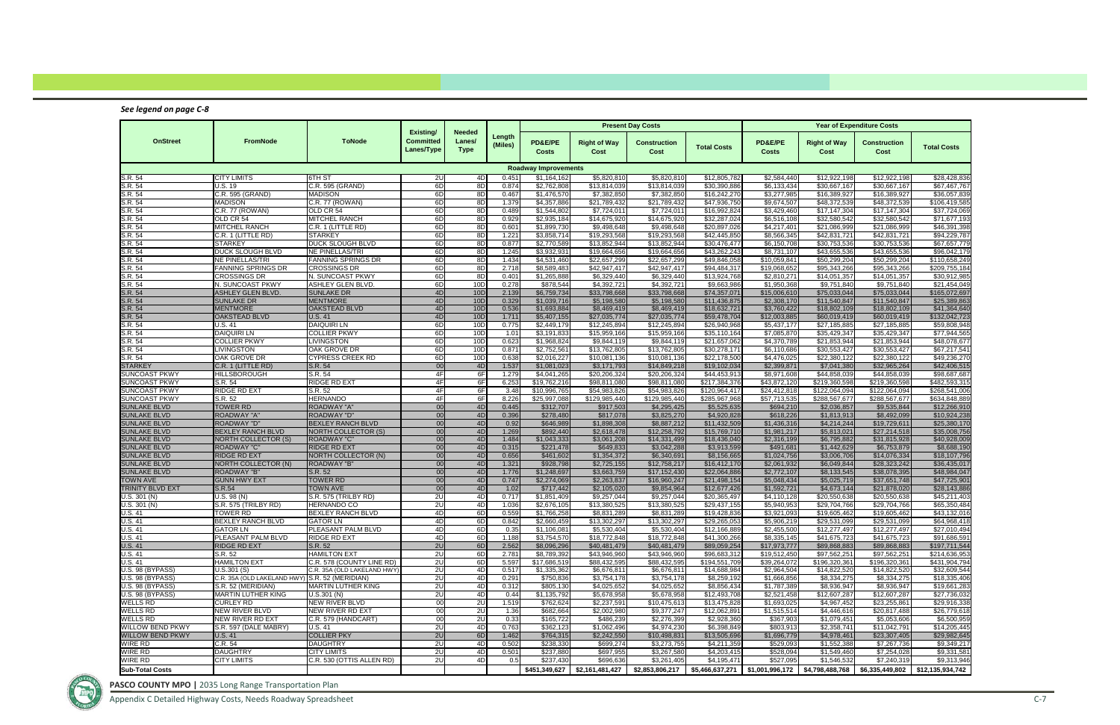Appendix C Detailed Highway Costs, Needs Roadway Spreadsheet C‐7

### *See legend on page C‐8*

|                                            |                                                  |                                                          |                                             |                                 |                   |                                    |                              | <b>Present Day Costs</b>     |                                |                                                 |                                | <b>Year of Expenditure Costs</b> |                                |
|--------------------------------------------|--------------------------------------------------|----------------------------------------------------------|---------------------------------------------|---------------------------------|-------------------|------------------------------------|------------------------------|------------------------------|--------------------------------|-------------------------------------------------|--------------------------------|----------------------------------|--------------------------------|
| <b>OnStreet</b>                            | FromNode                                         | <b>ToNode</b>                                            | Existing/<br><b>Committed</b><br>Lanes/Type | Needed<br>Lanes/<br><b>Type</b> | Length<br>(Miles) | <b>PD&amp;E/PE</b><br><b>Costs</b> | <b>Right of Way</b><br>Cost  | Construction<br>Cost         | <b>Total Costs</b>             | <b>PD&amp;E/PE</b><br>Costs                     | <b>Right of Way</b><br>Cost    | <b>Construction</b><br>Cost      | <b>Total Costs</b>             |
|                                            |                                                  |                                                          |                                             |                                 |                   | <b>Roadway Improvements</b>        |                              |                              |                                |                                                 |                                |                                  |                                |
| S.R. 54                                    | <b>CITY LIMITS</b>                               | 6TH ST                                                   | 2U                                          | 4D                              | 0.451             | \$1,164,162                        | \$5,820,810                  | \$5,820,810                  | \$12,805.782                   | \$2,584,440                                     | \$12,922,198                   | \$12,922,198                     | \$28,428,836                   |
| S.R. 54                                    | U.S. 19                                          | C.R. 595 (GRAND)                                         | 6D                                          | 8D                              | 0.874             | \$2,762,808                        | \$13,814,039                 | \$13,814,039                 | \$30,390,886                   | \$6,133,434                                     | \$30,667,167                   | \$30,667,167                     | \$67,467,767                   |
| S.R. 54                                    | C.R. 595 (GRAND)                                 | <b>MADISON</b>                                           | 6D                                          | 8D                              | 0.467             | \$1,476,570                        | \$7,382,850                  | \$7,382,850                  | \$16,242,270                   | $\overline{3,277,985}$                          | \$16,389,927                   | \$16,389,927                     | \$36,057,839                   |
| S.R. 54<br>S.R. 54                         | <b>MADISON</b><br>C.R. 77 (ROWAN)                | C.R. 77 (ROWAN)<br>OLD CR 54                             | 6D<br>6D                                    | 8D<br>8D                        | 1.379<br>0.489    | \$4,357,886<br>\$1,544,802         | \$21,789,432<br>\$7,724,01   | \$21,789,432<br>\$7,724,011  | \$47,936,750<br>\$16,992,824   | \$9,674,507<br>\$3,429,460                      | \$48,372,539<br>\$17.147.304   | \$48,372,539<br>\$17,147,304     | \$106,419,585<br>\$37,724,069  |
| S.R. 54                                    | OLD CR 54                                        | MITCHEL RANCH                                            | 6D                                          | 8D                              | 0.929             | \$2,935,184                        | \$14,675,920                 | \$14,675,920                 | \$32,287,024                   | \$6,516,108                                     | \$32,580,542                   | \$32,580,542                     | \$71,677,193                   |
| S.R. 54                                    | <b>MITCHEL RANCH</b>                             | C.R. 1 (LITTLE RD)                                       | 6D                                          | 8D                              | 0.601             | \$1,899,730                        | \$9,498,648                  | \$9,498,648                  | \$20,897,026                   | \$4,217,401                                     | \$21,086,999                   | \$21.086.999                     | \$46,391,398                   |
| S.R. 54                                    | C.R. 1 (LITTLE RD)                               | <b>STARKEY</b>                                           | 6D                                          | 8D                              | 1.221             | \$3,858,714                        | \$19,293,568                 | \$19,293,568                 | \$42,445,850                   | \$8,566,345                                     | \$42,831,721                   | \$42,831,721                     | \$94,229,787                   |
| S.R. 54                                    | <b>STARKEY</b>                                   | DUCK SLOUGH BLVD                                         | 6D                                          | 8D                              | 0.877             | \$2,770,589                        | \$13,852,944                 | \$13,852,944                 | \$30,476,477                   | \$6,150,708                                     | \$30,753,536                   | \$30,753,536                     | \$67,657,779                   |
| S.R. 54                                    | DUCK SLOUGH BLVD                                 | NE PINELLAS/TRI                                          | 6D                                          | 8D                              | 1.245             | \$3,932,931                        | \$19,664,656                 | \$19,664,656                 | \$43,262,24                    | \$8,731,107                                     | \$43,655,536                   | \$43,655,536                     | \$96,042,179                   |
| S.R. 54                                    | <b>NE PINELLAS/TRI</b>                           | <b>FANNING SPRINGS DR</b>                                | 6D                                          | 8D                              | 1.434             | \$4,531,460                        | \$22,657,299                 | \$22,657,299                 | \$49,846,058                   | \$10,059,841                                    | \$50,299,204                   | \$50,299,204                     | \$110,658,249                  |
| S.R. 54                                    | <b>FANNING SPRINGS DR</b>                        | <b>CROSSINGS DR</b>                                      | 6D                                          | 8D                              | 2.718             | \$8,589,483                        | \$42,947,417                 | \$42,947,417                 | \$94,484,317                   | \$19,068,652                                    | \$95,343,266                   | \$95,343,266                     | \$209,755,184                  |
| S.R. 54                                    | <b>CROSSINGS DR</b>                              | N. SUNCOAST PKWY                                         | 6D                                          | 8D                              | 0.401             | \$1,265,888                        | \$6,329,440                  | \$6,329,440                  | \$13,924,768                   | \$2,810,271                                     | \$14,051,357                   | \$14,051,357                     | \$30,912,985                   |
| S.R. 54<br>S.R. 54                         | N. SUNCOAST PKWY<br><b>ASHLEY GLEN BLVD.</b>     | ASHLEY GLEN BLVD.<br><b>SUNLAKE DR</b>                   | 6D<br>4D                                    | 10D<br>10 <sub>D</sub>          | 0.278<br>2.139    | \$878,544<br>\$6,759,734           | \$4,392,72<br>\$33,798,668   | \$4,392,721<br>\$33,798,668  | \$9,663,986<br>\$74,357,071    | \$1,950,368<br>\$15,006,610                     | \$9,751,840<br>\$75,033,044    | \$9,751,840<br>\$75,033,044      | \$21,454,049<br>\$165,072,697  |
| S.R. 54                                    | <b>SUNLAKE DR</b>                                | <b>MENTMORE</b>                                          | 4D                                          | 10 <sub>D</sub>                 | 0.329             | \$1,039,716                        | \$5,198,580                  | \$5,198,580                  | \$11,436,875                   | \$2,308,170                                     | \$11,540,847                   | \$11,540,847                     | \$25,389,863                   |
| S.R. 54                                    | <b>MENTMORE</b>                                  | <b>OAKSTEAD BLVD</b>                                     | 4 <sub>D</sub>                              | 10 <sub>D</sub>                 | 0.536             | \$1,693,884                        | \$8,469,419                  | \$8.469.419                  | \$18,632,721                   | \$3,760,422                                     | \$18,802,109                   | \$18,802,109                     | \$41,364,640                   |
| S.R. 54                                    | <b>OAKSTEAD BLVD</b>                             | <b>U.S. 41</b>                                           | 4D                                          | 10D                             | 1.711             | \$5,407,155                        | \$27,035,774                 | \$27,035,774                 | \$59,478,704                   | \$12,003,885                                    | \$60.019.419                   | \$60,019,419                     | \$132.042.723                  |
| S.R. 54                                    | <b>U.S. 41</b>                                   | <b>DAIQUIRI LN</b>                                       | 6D                                          | 10D                             | 0.775             | \$2,449,179                        | \$12,245,894                 | \$12,245.894                 | \$26,940,968                   | \$5,437,177                                     | \$27,185,885                   | \$27,185,885                     | \$59,808,948                   |
| S.R. 54                                    | <b>DAIQUIRI LN</b>                               | <b>COLLIER PKWY</b>                                      | 6D                                          | 10D                             | 1.01              | \$3,191,833                        | \$15,959,166                 | \$15,959,166                 | \$35,110,164                   | \$7,085,870                                     | \$35,429,347                   | \$35,429,347                     | \$77,944,565                   |
| S.R. 54                                    | <b>COLLIER PKWY</b>                              | LIVINGSTON                                               | 6D                                          | 10D                             | 0.623             | \$1,968,824                        | \$9,844,119                  | $\sqrt{$9,844,119}$          | \$21,657,06                    | \$4,370,789                                     | \$21,853,944                   | \$21,853,944                     | \$48,078,677                   |
| S.R. 54                                    | <b>LIVINGSTON</b>                                | OAK GROVE DR                                             | 6D                                          | 10D                             | 0.87 <sup>′</sup> | \$2,752,561                        | \$13,762,805                 | \$13,762,805                 | \$30,278,17'                   | \$6,110,686                                     | \$30,553,427                   | \$30.553.427                     | \$67,217,541                   |
| S.R. 54                                    | <b>OAK GROVE DR</b>                              | CYPRESS CREEK RD                                         | 6D                                          | 10D                             | 0.638             | \$2,016,227                        | \$10,081,136                 | \$10,081,136                 | \$22.178.500                   | \$4,476,025                                     | \$22,380,122                   | \$22,380,122                     | \$49,236,270                   |
| <b>STARKEY</b>                             | C.R. 1 (LITTLE RD)                               | S.R. 54                                                  | 00                                          | 4 <sub>D</sub>                  | 1.537             | \$1,081,023                        | \$3,171,793                  | \$14,849,218                 | \$19,102,034                   | \$2,399,871                                     | \$7,041,380                    | \$32,965,264                     | \$42,406,515                   |
| <b>SUNCOAST PKWY</b>                       | HILLSBOROUGH<br>S.R. 54                          | S.R. 54                                                  | 4F<br>4F                                    | 6F<br>6F                        | 1.279             | \$4,041,265                        | \$20,206,324                 | \$20,206,324                 | \$44,453,913                   | $\overline{$8,971,608}$                         | \$44,858,039                   | \$44,858,039                     | \$98,687,687                   |
| SUNCOAST PKWY<br><b>SUNCOAST PKWY</b>      | <b>RIDGE RD EXT</b>                              | RIDGE RD EXT<br>S.R. 52                                  | 4F                                          | 6F                              | 6.253<br>3.48     | \$19,762,216<br>\$10,996,765       | \$98,811,080<br>\$54,983,826 | \$98,811,080<br>\$54,983,826 | \$217,384,376<br>\$120,964,417 | \$43,872,120<br>\$24,412,818                    | \$219,360,598<br>\$122,064,094 | \$219,360,598<br>\$122,064,094   | \$482,593,315<br>\$268,541,006 |
| <b>SUNCOAST PKWY</b>                       | S.R. 52                                          | HERNANDO                                                 | 4F                                          | 6F                              | 8.226             | \$25,997,088                       | \$129,985,440                | \$129,985,440                | \$285,967,968                  | \$57,713,535                                    | \$288,567,677                  | \$288,567,677                    | \$634,848,889                  |
| <b>SUNLAKE BLVD</b>                        | <b>TOWER RD</b>                                  | <b>ROADWAY "A"</b>                                       | 00                                          | 4 <sub>D</sub>                  | 0.445             | \$312,707                          | \$917,503                    | \$4,295,425                  | \$5,525,635                    | \$694,210                                       | \$2,036,857                    | \$9,535,844                      | \$12,266,910                   |
| <b>SUNLAKE BLVD</b>                        | <b>ROADWAY "A"</b>                               | <b>ROADWAY "D"</b>                                       | 00                                          | 4 <sub>D</sub>                  | 0.396             | \$278,480                          | \$817,07                     | \$3,825,270                  | \$4,920,82                     | \$618,226                                       | \$1,813,913                    | \$8,492,099                      | \$10,924,238                   |
| <b>SUNLAKE BLVD</b>                        | <b>ROADWAY "D"</b>                               | <b>BEXLEY RANCH BLVD</b>                                 | 00                                          | 4D                              | 0.92              | \$646,989                          | \$1,898,308                  | \$8,887,212                  | \$11,432,509                   | \$1,436,316                                     | \$4,214,244                    | \$19,729,611                     | \$25,380,170                   |
| <b>SUNLAKE BLVD</b>                        | <b>BEXLEY RANCH BLVD</b>                         | <b>NORTH COLLECTOR (S)</b>                               | 00                                          | 4 <sub>D</sub>                  | 1.269             | \$892,440                          | \$2,618,478                  | \$12,258,792                 | \$15,769,710                   | \$1,981,217                                     | \$5,813,021                    | \$27,214,518                     | \$35,008,756                   |
| <b>SUNLAKE BLVD</b>                        | <b>NORTH COLLECTOR (S)</b>                       | <b>ROADWAY "C"</b>                                       | 00                                          | 4D                              | 1.484             | \$1,043,333                        | \$3,061,208                  | \$14,331,499                 | \$18,436,040                   | \$2,316,199                                     | \$6,795,882                    | \$31,815,928                     | \$40,928,009                   |
| <b>SUNLAKE BLVD</b>                        | <b>ROADWAY "C"</b>                               | <b>RIDGE RD EXT</b>                                      | 00                                          | 4D                              | 0.315             | \$221,478                          | \$649,833                    | \$3,042,288                  | \$3,913,599                    | \$491,681                                       | \$1,442,629                    | \$6,753,879                      | \$8,688,190                    |
| <b>SUNLAKE BLVD</b>                        | <b>RIDGE RD EXT</b>                              | <b>NORTH COLLECTOR (N)</b>                               | 00                                          | 4D                              | 0.656             | \$461,602                          | \$1,354,372                  | \$6,340,691                  | \$8,156,665                    | \$1,024,756                                     | \$3,006,706                    | \$14,076,334                     | \$18,107,796                   |
| <b>SUNLAKE BLVD</b><br><b>SUNLAKE BLVD</b> | <b>NORTH COLLECTOR (N)</b><br><b>ROADWAY "B"</b> | <b>ROADWAY "B"</b><br>S.R. 52                            | 00<br>00                                    | 4D<br>4 <sub>D</sub>            | 1.321<br>1.776    | \$928,798<br>\$1,248,697           | \$2,725,155                  | \$12,758,217<br>\$17,152,430 | \$16,412,170                   | \$2,061,932                                     | \$6,049,844                    | \$28,323,242<br>\$38,078,395     | \$36,435,017<br>\$48,984,047   |
| <b>TOWN AVE</b>                            | <b>GUNN HWY EXT</b>                              | <b>TOWER RD</b>                                          | 00                                          | 4 <sub>D</sub>                  | 0.747             | \$2,274,069                        | \$3,663,759<br>\$2,263,837   | \$16,960,247                 | \$22,064,886<br>\$21,498,154   | \$2,772,107<br>\$5,048,434                      | \$8,133,545<br>\$5,025,719     | \$37,651,748                     | \$47,725,901                   |
| TRINITY BLVD EXT                           | S.R.54                                           | <b>TOWN AVE</b>                                          | 00                                          | 4 <sub>D</sub>                  | 1.02              | \$717,442                          | \$2,105,020                  | \$9,854,964                  | \$12,677,426                   | \$1,592,721                                     | \$4,673,144                    | \$21,878,020                     | \$28,143,886                   |
| U.S. 301 (N)                               | U.S. 98 (N)                                      | S.R. 575 (TRILBY RD)                                     | 2U                                          | 4D                              | 0.717             | \$1,851,409                        | \$9,257,044                  | \$9,257,044                  | \$20,365.497                   | \$4,110,128                                     | \$20,550,638                   | \$20,550,638                     | \$45,211,403                   |
| U.S. 301 (N)                               | S.R. 575 (TRILBY RD)                             | HERNANDO CO                                              | 2U                                          | 4D                              | 1.036             | \$2,676,105                        | \$13,380,525                 | \$13,380,525                 | \$29,437,155                   | \$5,940,953                                     | \$29,704,766                   | \$29,704,766                     | \$65,350,484                   |
| U.S.41                                     | <b>TOWER RD</b>                                  | BEXLEY RANCH BLVD                                        | 4D                                          | 6D                              | 0.559             | \$1,766,258                        | \$8,831,289                  | \$8,831,289                  | \$19,428,836                   | \$3,921,093                                     | \$19,605,462                   | \$19,605,462                     | \$43,132,016                   |
| U.S.41                                     | <b>BEXLEY RANCH BLVD</b>                         | <b>GATOR LN</b>                                          | 4D                                          | 6D                              | 0.842             | \$2,660,459                        | \$13,302,297                 | \$13,302,297                 | \$29,265,053                   | \$5,906,219                                     | \$29,531,099                   | \$29,531,099                     | \$64,968,418                   |
| U.S. 41                                    | <b>GATOR LN</b>                                  | <b>PLEASANT PALM BLVD</b>                                | 4D                                          | 6D                              | 0.35              | \$1,106,081                        | \$5,530,404                  | \$5,530,404                  | \$12,166,889                   | \$2,455,500                                     | \$12,277,497                   | \$12,277,497                     | \$27,010,494                   |
| U.S.41                                     | PLEASANT PALM BLVD                               | RIDGE RD EXT                                             | 4D                                          | 6D                              | 1.188             | \$3,754,570                        | \$18,772,848                 | \$18,772,848                 | \$41,300,266                   | \$8,335,145                                     | \$41,675,723                   | \$41,675,723                     | \$91,686,591                   |
| <b>U.S. 41</b>                             | <b>RIDGE RD EXT</b>                              | S.R. 52                                                  | 2U                                          | 6D                              | 2.562             | \$8,096,296                        | \$40,481,479                 | \$40,481,479                 | \$89,059,254                   | \$17,973,777                                    | \$89,868,883                   | \$89,868,883                     | \$197,711,544                  |
| U.S. 41                                    | S.R. 52                                          | <b>HAMILTON EXT</b>                                      | 2U                                          | 6D                              | 2.781             | \$8,789,392                        | \$43,946,960                 | \$43,946,960                 | \$96,683,312                   | \$19,512,450                                    | \$97,562,251                   | \$97,562,251                     | \$214,636,953                  |
| U.S.41<br><b>U.S. 98 (BYPASS)</b>          | <b>HAMILTON EXT</b><br>U.S.301 (S)               | C.R. 578 (COUNTY LINE RD)<br>C.R. 35A (OLD LAKELAND HWY) | 2U<br>2U                                    | 6D<br>4D                        | 5.597<br>0.517    | \$17,686,519<br>\$1,335,362        | \$88,432,595<br>\$6,676,811  | \$88,432,595<br>\$6,676,811  | \$194,551,709<br>\$14,688,984  | \$39,264,072<br>\$2,964,504                     | \$196,320,361<br>\$14,822,520  | \$196,320,361<br>\$14,822,520    | \$431,904,794<br>\$32,609,544  |
| <b>U.S. 98 (BYPASS)</b>                    | C.R. 35A (OLD LAKELAND HWY)                      | S.R. 52 (MERIDIAN)                                       | 2U                                          | 4D                              | 0.291             | \$750,836                          | \$3,754,178                  | \$3,754,178                  | \$8,259,192                    | \$1,666,856                                     | \$8,334,275                    | \$8,334,275                      | \$18,335,406                   |
| <b>U.S. 98 (BYPASS)</b>                    | S.R. 52 (MERIDIAN)                               | <b>MARTIN LUTHER KING</b>                                | 2U                                          | 4D                              | 0.312             | \$805,130                          | \$4,025,652                  | \$4,025,652                  | \$8,856,434                    | \$1,787,389                                     | \$8,936,947                    | \$8,936,947                      | \$19,661,283                   |
| <b>U.S. 98 (BYPASS)</b>                    | <b>MARTIN LUTHER KING</b>                        | U.S.301 (N)                                              | 2U                                          | 4D                              | 0.44              | \$1,135,792                        | \$5.678.958                  | \$5,678,958                  | \$12,493,708                   | \$2.521.458                                     | \$12,607,287                   | \$12,607,287                     | \$27,736,032                   |
| WELLS RD                                   | <b>CURLEY RD</b>                                 | NEW RIVER BLVD                                           | 00                                          | 2U                              | 1.519             | \$762,624                          | \$2,237,591                  | \$10,475,613                 | \$13,475,828                   | \$1,693,025                                     | \$4,967,452                    | \$23,255,861                     | \$29,916,338                   |
| <b>WELLS RD</b>                            | <b>NEW RIVER BLVD</b>                            | NEW RIVER RD EXT                                         | 00                                          | <b>2U</b>                       | 1.36              | \$682,664                          | \$2,002,980                  | \$9,377,247                  | \$12,062,891                   | \$1,515,514                                     | \$4,446,616                    | \$20.817.488                     | \$26,779,618                   |
| <b>WELLS RD</b>                            | <b>NEW RIVER RD EXT</b>                          | C.R. 579 (HANDCART)                                      | 00                                          | 2U                              | 0.33              | \$165,722                          | $\frac{1}{1}$ \$486,239      | \$2,276,399                  | \$2,928,360                    | \$367,903                                       | \$1,079,451                    | \$5.053.606                      | \$6,500,959                    |
| <b>WILLOW BEND PKWY</b>                    | S.R. 597 (DALE MABRY)                            | <b>U.S. 41</b>                                           | 2U                                          | 4D                              | 0.763             | \$362,123                          | \$1,062,496                  | \$4,974,230                  | \$6,398,849                    | \$803,913                                       | \$2,358,741                    | \$11,042,791                     | \$14,205,445                   |
| <b>WILLOW BEND PKWY</b>                    | U.S. 41                                          | <b>COLLIER PKY</b>                                       | 2U                                          | 6D                              | 1.462             | \$764,315                          | \$2,242,550                  | \$10,498,831                 | \$13,505,696                   | \$1,696,779                                     | \$4,978,461                    | \$23.307.405                     | \$29.982.645                   |
| WIRE RD                                    | C.R. 54                                          | <b>DAUGHTRY</b>                                          | 2U                                          | 4D                              | 0.502             | \$238,330                          | \$699,274                    | \$3,273,755                  | \$4,211,359                    | \$529,093                                       | \$1,552,388                    | \$7,267,736                      | \$9,349,217                    |
| WIRE RD                                    | <b>DAUGHTRY</b>                                  | CITY LIMITS                                              | 2U                                          | 4D                              | 0.501             | \$237,880                          | \$697,955                    | \$3,267,580                  | \$4,203,415                    | \$528,094                                       | \$1,549,460                    | \$7,254,028                      | \$9,331,581                    |
| <b>WIRE RD</b>                             | <b>CITY LIMITS</b>                               | C.R. 530 (OTTIS ALLEN RD)                                | 2U                                          | 4D                              | 0.5               | \$237,430                          | \$696,636                    | \$3,261,405                  | \$4,195,471                    | \$527,095                                       | \$1,546,532                    | \$7,240,319                      | \$9,313,946                    |
| <b>Sub-Total Costs</b>                     |                                                  |                                                          |                                             |                                 |                   | \$451,349,627                      | \$2,161,481,427              | \$2,853,806,217              |                                | \$5,466,637,271 \$1,001,996,172 \$4,798,488,768 |                                | \$6,335,449,802                  | \$12,135,934,742               |

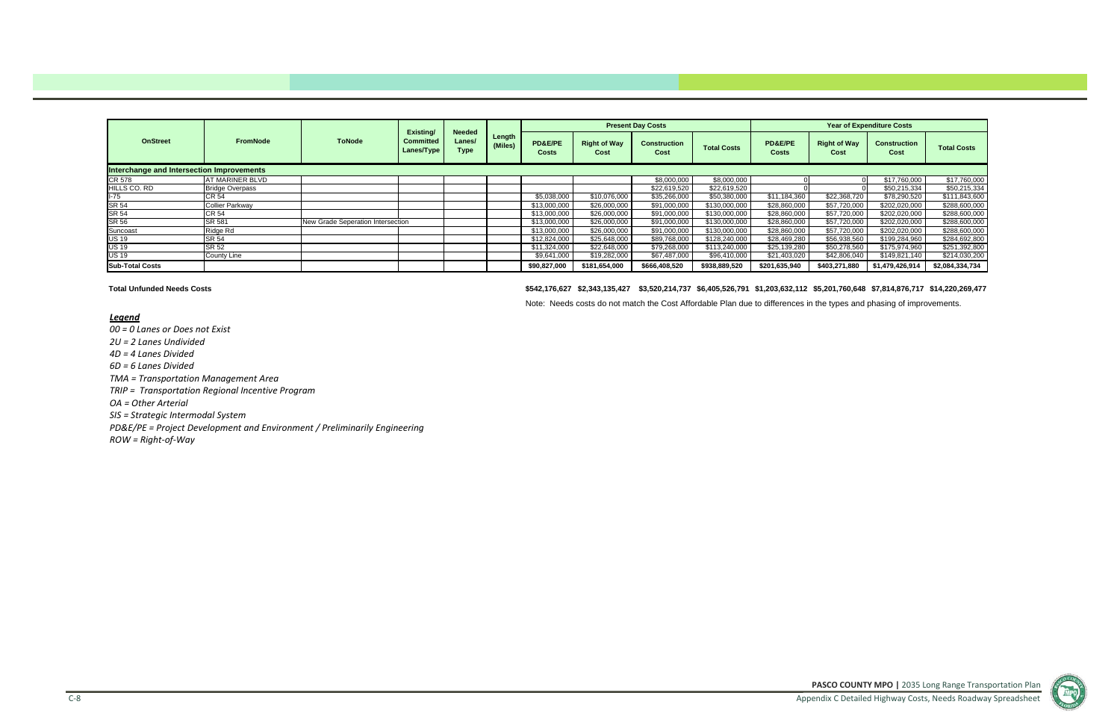**PASCO COUNTY MPO |** 2035 Long Range Transportation Plan Appendix C Detailed Highway Costs, Needs Roadway Spreadsheet



# *Legend*

*00 <sup>=</sup> 0 Lanes or Does not Exist 2U <sup>=</sup> 2 Lanes Undivided 4D <sup>=</sup> 4 Lanes Divided 6D <sup>=</sup> 6 Lanes Divided TMA <sup>=</sup> Transportation Management Area TRIP <sup>=</sup> Transportation Regional Incentive Program OA <sup>=</sup> Other Arterial SIS <sup>=</sup> Strategic Intermodal System PD&E/PE <sup>=</sup> Project Development and Environment / Preliminarily Engineering ROW <sup>=</sup> Right‐of‐Way*

|                                           |                        |                                   |                                             |                                        |                   |                         |                             | <b>Present Day Costs</b>    |                    |                             |                             | <b>Year of Expenditure Costs</b> |                          |
|-------------------------------------------|------------------------|-----------------------------------|---------------------------------------------|----------------------------------------|-------------------|-------------------------|-----------------------------|-----------------------------|--------------------|-----------------------------|-----------------------------|----------------------------------|--------------------------|
| <b>OnStreet</b>                           | <b>FromNode</b>        | <b>ToNode</b>                     | Existing/<br><b>Committed</b><br>Lanes/Type | <b>Needed</b><br>Lanes/<br><b>Type</b> | Length<br>(Miles) | PD&E/PE<br><b>Costs</b> | <b>Right of Way</b><br>Cost | <b>Construction</b><br>Cost | <b>Total Costs</b> | <b>PD&amp;E/PE</b><br>Costs | <b>Right of Way</b><br>Cost | <b>Construction</b><br>Cost      | <b>Total Costs</b>       |
| Interchange and Intersection Improvements |                        |                                   |                                             |                                        |                   |                         |                             |                             |                    |                             |                             |                                  |                          |
| CR 578                                    | <b>AT MARINER BLVD</b> |                                   |                                             |                                        |                   |                         |                             | \$8,000,000                 | \$8,000,000        |                             |                             | \$17,760,000                     | $\overline{$17,760,000}$ |
| HILLS CO. RD                              | <b>Bridge Overpass</b> |                                   |                                             |                                        |                   |                         |                             | \$22,619,520                | \$22,619,520       |                             |                             | \$50,215,334                     | \$50,215,334             |
| l-75                                      | <b>CR 54</b>           |                                   |                                             |                                        |                   | \$5,038,000             | \$10,076,000                | \$35,266,000                | \$50,380,000       | \$11,184,360                | \$22,368,720                | \$78,290,520                     | \$111,843,600            |
| SR 54                                     | <b>Collier Parkway</b> |                                   |                                             |                                        |                   | \$13,000,000            | \$26,000,000                | \$91,000,000                | \$130,000,000      | \$28,860,000                | \$57,720,000                | \$202,020,000                    | \$288,600,000            |
| SR 54                                     | <b>CR 54</b>           |                                   |                                             |                                        |                   | \$13,000,000            | \$26,000,000                | \$91,000,000                | \$130,000,000      | \$28,860,000                | \$57,720,000                | \$202,020,000                    | \$288,600,000            |
| SR 56                                     | <b>SR 581</b>          | New Grade Seperation Intersection |                                             |                                        |                   | \$13,000,000            | \$26,000,000                | \$91,000,000                | \$130,000,000      | \$28,860,000                | \$57,720,000                | \$202,020,000                    | \$288,600,000            |
| Suncoast                                  | Ridge Rd               |                                   |                                             |                                        |                   | \$13,000,000            | \$26,000,000                | \$91,000,000                | \$130,000,000      | \$28,860,000                | \$57,720,000                | \$202,020,000                    | \$288,600,000            |
| <b>US 19</b>                              | <b>SR 54</b>           |                                   |                                             |                                        |                   | \$12,824,000            | \$25,648,000                | \$89,768,000                | \$128,240,000      | \$28,469,280                | \$56,938,560                | \$199,284,960                    | \$284,692,800            |
| <b>US 19</b>                              | SR 52                  |                                   |                                             |                                        |                   | \$11,324,000            | \$22,648,000                | \$79,268,000                | \$113,240,000      | \$25,139,280                | \$50,278,560                | \$175,974,960                    | \$251,392,800            |
| <b>US 19</b>                              | <b>County Line</b>     |                                   |                                             |                                        |                   | \$9,641,000             | \$19,282,000                | \$67,487,000                | \$96,410,000       | \$21,403,020                | \$42,806,040                | \$149.821.140                    | \$214,030,200            |
| <b>Sub-Total Costs</b>                    |                        |                                   |                                             |                                        |                   | \$90,827,000            | \$181,654,000               | \$666,408,520               | \$938,889,520      | \$201,635,940               | \$403,271,880               | \$1,479,426,914                  | \$2,084,334,734          |

**Total Unfunded Needs Costs**

**\$542,176,627 \$2,343,135,427 \$3,520,214,737 \$6,405,526,791 \$1,203,632,112 \$5,201,760,648 \$7,814,876,717 \$14,220,269,477**

Note: Needs costs do not match the Cost Affordable Plan due to differences in the types and phasing of improvements.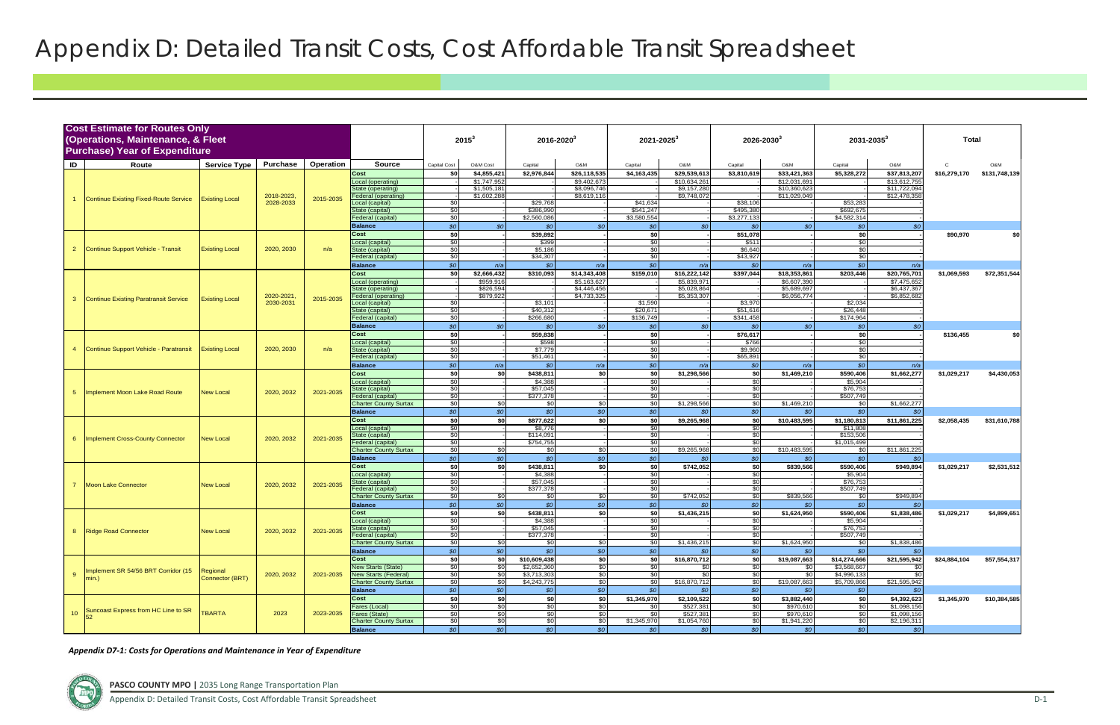|                 | <b>Cost Estimate for Routes Only</b><br>(Operations, Maintenance, & Fleet<br><b>Purchase) Year of Expenditure</b> |                       |            |           |                                      |                                    | $2015^3$    | $2016 - 2020$            |                 | $2021 - 2025$            |                         | $2026 - 2030$            |                        | $2031 - 2035^3$          |                            | Total        |                          |
|-----------------|-------------------------------------------------------------------------------------------------------------------|-----------------------|------------|-----------|--------------------------------------|------------------------------------|-------------|--------------------------|-----------------|--------------------------|-------------------------|--------------------------|------------------------|--------------------------|----------------------------|--------------|--------------------------|
| ID              | Route                                                                                                             | <b>Service Type</b>   | Purchase   | Operation | <b>Source</b>                        | Capital Cost                       | O&M Cost    | Capital                  | O&M             | Capital                  | O&M                     | Capital                  | O&M                    | Capital                  | O&M                        | C.           | M&O                      |
|                 |                                                                                                                   |                       |            |           | Cost                                 | \$0                                | \$4,855,421 | \$2,976,844              | \$26,118,535    | \$4,163,435              | \$29,539,613            | \$3,810,619              | \$33,421,363           | \$5,328,272              | \$37,813,207               | \$16,279,170 | \$131,748,139            |
|                 |                                                                                                                   |                       |            |           | Local (operating)                    |                                    | \$1,747,952 |                          | \$9,402,673     |                          | \$10,634,261            |                          | \$12,031,691           |                          | \$13,612,75                |              |                          |
|                 |                                                                                                                   |                       |            |           | State (operating)                    |                                    | \$1,505,18  |                          | \$8,096,746     |                          | $\overline{39,157,280}$ |                          | \$10,360,623           |                          | \$11,722,09                |              |                          |
|                 | Continue Existing Fixed-Route Service                                                                             | <b>Existing Local</b> | 2018-2023, | 2015-2035 | Federal (operating)                  |                                    | \$1,602,288 |                          | \$8,619,116     |                          | \$9,748,072             |                          | \$11,029,049           |                          | \$12,478,35                |              |                          |
|                 |                                                                                                                   |                       | 2028-2033  |           | ocal (capital)                       | \$C                                |             | \$29,768                 |                 | \$41,634                 |                         | \$38,106                 |                        | \$53,283                 |                            |              |                          |
|                 |                                                                                                                   |                       |            |           | State (capital)<br>Federal (capital) | \$0<br>$\overline{50}$             |             | \$386,990<br>\$2,560,086 |                 | \$541,247<br>\$3,580,554 |                         | \$495,380<br>\$3,277,133 |                        | \$692,675<br>\$4,582,314 |                            |              |                          |
|                 |                                                                                                                   |                       |            |           |                                      | \$0                                | SO          | \$0                      | SO <sub>1</sub> | \$0                      | SO <sub>2</sub>         | \$0                      | SO <sub>2</sub>        | \$0                      | $\mathcal{L}$              |              |                          |
|                 |                                                                                                                   |                       |            |           | <b>Balance</b><br>Cost               | \$0                                |             | \$39,892                 |                 | \$0                      |                         | \$51,078                 |                        | \$0                      |                            | \$90,970     | \$0                      |
|                 |                                                                                                                   |                       |            |           | Local (capital)                      | $\overline{30}$                    |             | \$399                    |                 | $\frac{6}{30}$           |                         | \$511                    |                        | \$0                      |                            |              |                          |
| $\overline{2}$  | Continue Support Vehicle - Transit                                                                                | <b>Existing Local</b> | 2020, 2030 | n/a       | State (capital)                      | \$0                                |             | \$5,186                  |                 | \$0                      |                         | \$6,640                  |                        | \$0                      |                            |              |                          |
|                 |                                                                                                                   |                       |            |           | ederal (capital)                     | \$0                                |             | \$34,307                 |                 | \$0                      |                         | \$43,927                 |                        | $\frac{1}{20}$           |                            |              |                          |
|                 |                                                                                                                   |                       |            |           | <b>Balance</b>                       | $$o$$                              | n/a         | \$0                      | n/a             | SO                       | n/a                     | \$0                      | n/a                    | \$0                      | n/a                        |              |                          |
|                 |                                                                                                                   |                       |            |           | Cost                                 | \$0                                | \$2,666,432 | \$310,093                | \$14,343,408    | \$159,010                | \$16,222,142            | \$397,044                | \$18,353,861           | \$203,446                | \$20,765,701               | \$1,069,593  | \$72,351,544             |
|                 |                                                                                                                   |                       |            |           | Local (operating)                    |                                    | \$959,916   |                          | \$5,163,627     |                          | \$5,839,971             |                          | \$6,607,390            |                          | \$7,475,65                 |              |                          |
|                 |                                                                                                                   |                       |            |           | State (operating)                    |                                    | \$826,594   |                          | \$4,446,456     |                          | \$5,028,864             |                          | \$5,689,697            |                          | \$6,437,36                 |              |                          |
| 3               | <b>Continue Existing Paratransit Service</b>                                                                      | <b>Existing Local</b> | 2020-2021  | 2015-2035 | ederal (operating)                   |                                    | \$879,922   |                          | \$4,733,325     |                          | \$5,353,307             |                          | \$6,056,774            |                          | \$6,852,682                |              |                          |
|                 |                                                                                                                   |                       | 2030-2031  |           | ocal (capital)                       | \$0                                |             | \$3,101                  |                 | \$1,590                  |                         | \$3,970                  |                        | \$2,034                  |                            |              |                          |
|                 |                                                                                                                   |                       |            |           | State (capital)<br>ederal (capital)  | $\overline{50}$<br>$\overline{50}$ |             | \$40,312<br>\$266,680    |                 | \$20,67<br>\$136,749     |                         | \$51,616<br>\$341,458    |                        | \$26,448<br>\$174,964    |                            |              |                          |
|                 |                                                                                                                   |                       |            |           | <b>Balance</b>                       | \$0                                | SO          | SO                       | SO <sub>2</sub> | \$0                      | SO <sub>2</sub>         | SO                       | SO <sub>2</sub>        | \$0                      |                            |              |                          |
|                 |                                                                                                                   |                       |            |           | Cost                                 | \$0                                |             | \$59,838                 |                 | \$0                      |                         | \$76,617                 |                        | \$0                      |                            | \$136,455    | \$0                      |
|                 |                                                                                                                   |                       |            |           | _ocal (capital)                      | \$0                                |             | \$598                    |                 | \$0                      |                         | \$766                    |                        | \$0                      |                            |              |                          |
| 4               | Continue Support Vehicle - Paratransit                                                                            | <b>Existing Local</b> | 2020, 2030 | n/a       | State (capital)                      | \$0                                |             | \$7,779                  |                 | \$0                      |                         | \$9,960                  |                        | \$0                      |                            |              |                          |
|                 |                                                                                                                   |                       |            |           | Federal (capital)                    | \$0                                |             | \$51,461                 |                 | \$0                      |                         | \$65,891                 |                        | \$0                      |                            |              |                          |
|                 |                                                                                                                   |                       |            |           | <b>Balance</b>                       | \$0                                | n/a         | SO                       | n/a             | SO <sub>2</sub>          | n/a                     | $\mathcal{S}$            | n/a                    | SO                       | n/a                        |              |                          |
|                 |                                                                                                                   |                       |            |           | Cost                                 | \$0                                | \$0         | \$438,811                | \$0             | \$0                      | \$1,298,566             | \$0                      | \$1,469,210            | \$590,406                | \$1,662,277                | \$1,029,217  | \$4,430,053              |
|                 |                                                                                                                   |                       |            |           | Local (capital)                      | \$0                                |             | \$4,388                  |                 | \$0                      |                         | \$0                      |                        | \$5,904                  |                            |              |                          |
| 5 <sup>5</sup>  | Implement Moon Lake Road Route                                                                                    | <b>New Local</b>      | 2020, 2032 | 2021-2035 | tate (capital)                       | $\overline{50}$                    |             | \$57,045                 |                 | \$0                      |                         | \$0                      |                        | \$76,753                 |                            |              |                          |
|                 |                                                                                                                   |                       |            |           | ederal (capital)                     | \$0                                |             | \$377,378                |                 | \$0                      |                         | \$0                      |                        | \$507.749                |                            |              |                          |
|                 |                                                                                                                   |                       |            |           | <b>Charter County Surtax</b>         | \$0                                | \$0         | \$0                      | \$0             | \$0                      | \$1,298,566             | \$0                      | \$1,469,210            | \$0                      | \$1,662,277                |              |                          |
|                 |                                                                                                                   |                       |            |           | <b>Balance</b>                       | \$0                                | SO          | \$0                      | SO <sub>1</sub> | \$0                      | SO                      | SO                       | SO                     | \$0                      | $\mathcal{L}$              |              |                          |
|                 |                                                                                                                   |                       |            |           | Cost                                 | \$0                                | -SO         | \$877,622                | \$0             | \$0                      | \$9,265,968             | \$0                      | \$10,483,595           | \$1,180,813              | \$11,861,225               | \$2,058,435  | \$31,610,788             |
|                 |                                                                                                                   |                       |            |           | Local (capital)<br>state (capital)   | \$0<br>\$0                         |             | \$8,776<br>\$114,091     |                 | \$0<br>\$0               |                         | \$0<br>\$0               |                        | \$11,808<br>\$153,506    |                            |              |                          |
| 6               | <b>Implement Cross-County Connector</b>                                                                           | <b>New Local</b>      | 2020, 2032 | 2021-2035 | Federal (capital)                    | $\overline{50}$                    |             | \$754,755                | $\overline{a}$  | $\overline{50}$          |                         | \$0                      |                        | \$1.015.499              |                            |              |                          |
|                 |                                                                                                                   |                       |            |           | <b>Charter County Surtax</b>         | \$0                                | \$0         | \$0                      | $\frac{6}{5}$   | \$0                      | \$9,265,968             | $\frac{1}{2}$            | \$10,483,595           | \$0                      | \$11,861,225               |              |                          |
|                 |                                                                                                                   |                       |            |           | <b>Balance</b>                       | \$0                                | \$0         | SO                       | SO <sub>1</sub> | SO <sub>2</sub>          | SO                      | SO <sub>2</sub>          | SO                     | \$0                      |                            |              |                          |
|                 |                                                                                                                   |                       |            |           | Cost                                 | \$0                                | -SO         | \$438,811                | \$0             | \$0                      | \$742,052               | \$0                      | \$839,566              | \$590,406                | \$949,894                  | \$1,029,217  | \$2,531,512              |
|                 |                                                                                                                   |                       |            |           | Local (capital)                      | $\overline{30}$                    |             | \$4,388                  |                 | \$0                      |                         | \$0                      |                        | \$5,904                  |                            |              |                          |
|                 | <b>Moon Lake Connector</b>                                                                                        | <b>New Local</b>      | 2020, 2032 | 2021-2035 | state (capital)                      | $\overline{50}$                    |             | \$57,045                 |                 | $\frac{6}{3}$            |                         | \$0                      |                        | \$76,753                 |                            |              |                          |
|                 |                                                                                                                   |                       |            |           | ederal (capital)                     | \$0                                |             | \$377,378                |                 | \$0                      |                         | \$0                      |                        | \$507,749                |                            |              |                          |
|                 |                                                                                                                   |                       |            |           | <b>Charter County Surtax</b>         | $\overline{50}$                    | \$0         | \$0                      | $\frac{6}{3}$   | $\frac{1}{50}$           | \$742,052               | \$0                      | \$839,566              | \$0                      | \$949,89                   |              |                          |
|                 |                                                                                                                   |                       |            |           | <b>Balance</b><br>Cost               | \$0                                | \$0         | \$0                      | SO <sub>1</sub> | \$0                      | SO                      | SO                       | SO                     | \$0                      | <b>SC</b>                  |              |                          |
|                 |                                                                                                                   |                       |            |           | _ocal (capital)                      | \$0<br>\$0                         | \$0         | \$438,811<br>\$4,388     | \$0             | \$0<br>\$0               | \$1,436,215             | \$0<br>\$0               | \$1,624,950            | \$590,406<br>\$5,904     | \$1,838,486                | \$1,029,217  | \$4,899,651              |
|                 |                                                                                                                   |                       |            |           | State (capital)                      | \$0                                |             | \$57,045                 |                 | \$0                      |                         | \$0                      |                        | \$76,753                 |                            |              |                          |
| 8 <sup>1</sup>  | Ridge Road Connector                                                                                              | <b>New Local</b>      | 2020, 2032 | 2021-2035 | Federal (capital)                    | \$0                                |             | \$377,378                | $\sim$          | \$0                      |                         | \$0                      |                        | \$507,749                |                            |              |                          |
|                 |                                                                                                                   |                       |            |           | <b>Charter County Surtax</b>         | \$0                                | \$0         | \$0                      | \$0             | \$0                      | \$1,436,215             | \$0                      | \$1,624,950            | \$0                      | \$1,838,486                |              |                          |
|                 |                                                                                                                   |                       |            |           | <b>Balance</b>                       | \$0                                | SO          | SO                       | \$0             | \$0                      | SO <sub>1</sub>         | SO                       | SO <sub>1</sub>        | SO                       |                            |              |                          |
|                 |                                                                                                                   |                       |            |           | Cost                                 | \$0                                | \$0         | \$10,609,438             | \$0             | \$0                      | \$16,870,712            | \$0                      | \$19,087,663           | \$14,274,666             | \$21,595,942               | \$24,884,104 | \$57,554,317             |
|                 | Implement SR 54/56 BRT Corridor (15                                                                               | Regional              |            |           | <b>New Starts (State)</b>            | $\overline{50}$                    | \$0         | \$2,652,360              | $\frac{6}{5}$   | \$0                      | \$0                     | \$0                      | \$0                    | \$3,568,667              |                            |              |                          |
| 9               | $min.$ )                                                                                                          | Connector (BRT)       | 2020, 2032 | 2021-2035 | <b>New Starts (Federal)</b>          | \$0                                | SOI.        | \$3,713,303              | \$0             | \$0                      | -SOI                    | \$0                      | SO I                   | \$4,996,133              |                            |              |                          |
|                 |                                                                                                                   |                       |            |           | <b>Charter County Surtax</b>         | \$0                                | <b>\$01</b> | \$4,243,775              | \$0             | \$0                      | \$16,870,712            | \$0                      | \$19,087,663           | \$5,709,866              | \$21,595,942               |              |                          |
|                 |                                                                                                                   |                       |            |           | <b>Balance</b>                       | \$0                                | SO          | SO <sub>2</sub>          | SO <sub>2</sub> | SO <sub>1</sub>          | SO <sub>1</sub>         | SO <sub>o</sub>          | SO <sub>1</sub>        | \$0                      |                            |              |                          |
|                 |                                                                                                                   |                       |            |           | Cost                                 | \$0                                | \$O         | \$0                      | \$0             | \$1,345,970              | \$2,109,522             | \$0                      | \$3,882,440            | \$0                      | \$4,392,623                |              | \$1,345,970 \$10,384,585 |
| 10 <sup>°</sup> | Suncoast Express from HC Line to SR                                                                               | <b>TBARTA</b>         | 2023       | 2023-2035 | Fares (Local)<br>Fares (State)       | \$0<br>\$0                         | \$0<br>\$0  | \$0<br>\$0               | \$0<br>\$0      | \$0<br>-\$0              | \$527,381<br>\$527,381  | \$0<br>\$0               | \$970,610<br>\$970,610 | \$0<br>\$0               | \$1,098,156<br>\$1,098,156 |              |                          |
|                 |                                                                                                                   |                       |            |           | <b>Charter County Surtax</b>         | $\frac{6}{3}$                      | \$0         | \$0                      | \$0             | \$1,345,970              | \$1,054,760             | $\frac{1}{2}$            | \$1,941,220            | $\frac{6}{3}$            | \$2,196,311                |              |                          |
|                 |                                                                                                                   |                       |            |           | <b>Balance</b>                       | \$0                                | \$0         | SO <sub>o</sub>          | SO <sub>2</sub> | SO <sub>1</sub>          | SO <sub>2</sub>         | SO                       | SO                     | SO <sub>2</sub>          | SO                         |              |                          |
|                 |                                                                                                                   |                       |            |           |                                      |                                    |             |                          |                 |                          |                         |                          |                        |                          |                            |              |                          |

*Appendix D7‐1: Costs for Operations and Maintenance in Year of Expenditure*



# Appendix D: Detailed Transit Costs, Cost Affordable Transit Spreadsheet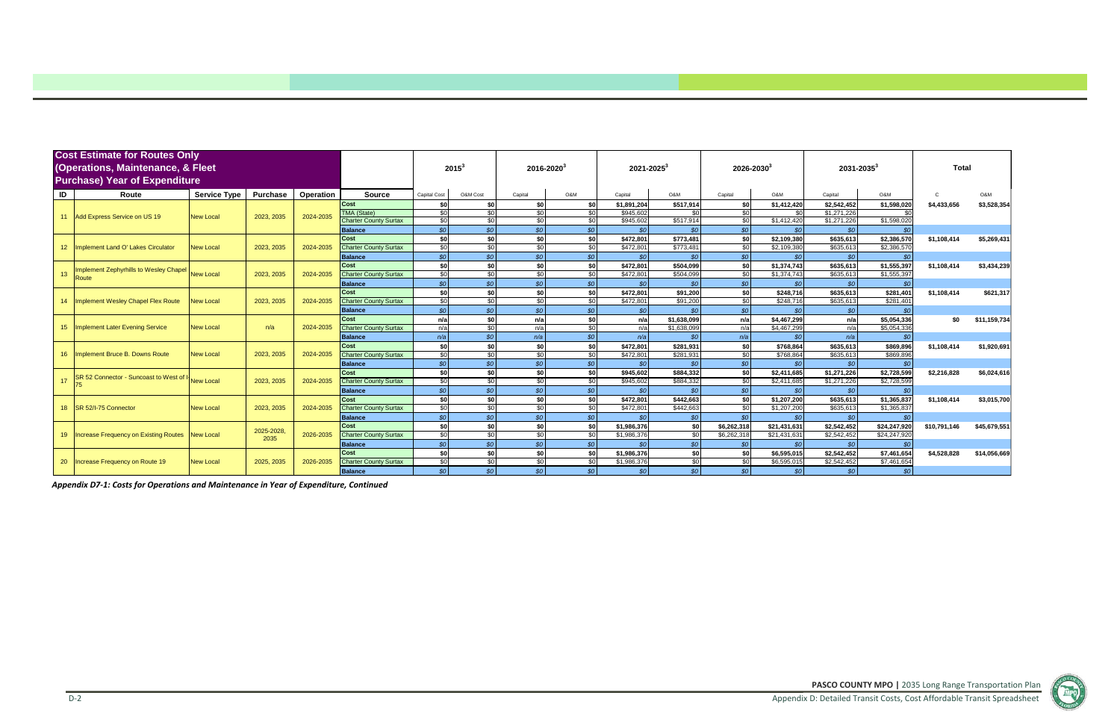**PASCO COUNTY MPO |** 2035 Long Range Transportation Plan Appendix D: Detailed Transit Costs, Cost Affordable Transit Spreadsheet



|                 | <b>Cost Estimate for Routes Only</b><br>(Operations, Maintenance, & Fleet<br><b>Purchase) Year of Expenditure</b> |                     |                 |                  |                              |                     | $2015^3$        | $2016 - 2020^3$ |                 | $2021 - 2025^3$            |                        | $2026 - 2030^3$        |                            | $2031 - 2035^3$            |                            | Total        |              |
|-----------------|-------------------------------------------------------------------------------------------------------------------|---------------------|-----------------|------------------|------------------------------|---------------------|-----------------|-----------------|-----------------|----------------------------|------------------------|------------------------|----------------------------|----------------------------|----------------------------|--------------|--------------|
| ID              | Route                                                                                                             | <b>Service Type</b> | <b>Purchase</b> | <b>Operation</b> | <b>Source</b>                | <b>Capital Cost</b> | O&M Cost        | Capital         | O&M             | Capital                    | O&M                    | Capital                | O&M                        | Capital                    | O&M                        |              | O&M          |
|                 |                                                                                                                   |                     |                 |                  | Cost                         | \$0                 | \$0             | <b>\$0</b>      | \$0             | \$1,891,204                | \$517,914              | \$0                    | \$1,412,420                | \$2,542,452                | \$1,598,020                | \$4,433,656  | \$3,528,354  |
| 11              | Add Express Service on US 19                                                                                      | <b>New Local</b>    | 2023, 2035      | 2024-2035        | <b>TMA (State)</b>           | $\frac{1}{20}$      | \$0             | \$0             | \$0             | \$945,602                  | \$0                    | \$0                    | \$0                        | \$1,271,226                |                            |              |              |
|                 |                                                                                                                   |                     |                 |                  | <b>Charter County Surtax</b> | $\sqrt{30}$         | \$0             | \$0             | \$0             | \$945,602                  | \$517,914              | \$0                    | \$1,412,420                | \$1,271,226                | \$1,598,020                |              |              |
|                 |                                                                                                                   |                     |                 |                  | <b>Balance</b>               | SO <sub>o</sub>     | SO              | \$0             | \$0             | \$0                        | \$0                    | \$0                    | \$0                        | \$0                        | \$0                        |              |              |
|                 |                                                                                                                   |                     |                 |                  | Cost                         | \$0                 | \$0             | \$0             | \$0             | \$472,801                  | \$773,481              | \$O                    | \$2,109,380                | \$635,613                  | \$2,386,570                | \$1,108,414  | \$5,269,431  |
| 12 <sup>2</sup> | Implement Land O' Lakes Circulator                                                                                | <b>New Local</b>    | 2023, 2035      | 2024-2035        | <b>Charter County Surtax</b> | \$0                 | \$0             | \$0             | \$0             | \$472,801                  | \$773,48               | \$0                    | \$2,109,380                | \$635,613                  | \$2,386,570                |              |              |
|                 |                                                                                                                   |                     |                 |                  | <b>Balance</b><br>Cost       | SO <sub>2</sub>     | SO <sub>o</sub> | \$0             | SO <sub>2</sub> | SO <sub>1</sub>            | \$0                    | \$0                    | SO                         | \$0                        | \$0                        |              |              |
| 13              | <b>Implement Zephyrhills to Wesley Chapel</b>                                                                     | <b>New Local</b>    | 2023, 2035      | 2024-2035        | <b>Charter County Surtax</b> | \$0<br>\$0          | \$0<br>\$0      | \$0<br>\$0      | \$0<br>\$0      | \$472,801<br>\$472,801     | \$504,099<br>\$504.099 | \$0<br>$\overline{30}$ | \$1,374,743<br>\$1,374,743 | \$635,613<br>\$635,613     | \$1,555,397<br>\$1,555,397 | \$1,108,414  | \$3,434,239  |
|                 | Route                                                                                                             |                     |                 |                  | <b>Balance</b>               | SO <sub>o</sub>     | SO <sub>o</sub> | \$0             | SO <sub>1</sub> | \$0                        | SO <sub>2</sub>        | SO <sub>2</sub>        | \$0                        | \$0                        | \$ <sub>6</sub>            |              |              |
|                 |                                                                                                                   |                     |                 |                  | Cost                         | \$0                 | \$0]            | \$0             | \$0             | \$472,801                  | \$91,200               | \$0                    | \$248,716                  | \$635,613                  | \$281,401                  | \$1,108,414  | \$621,317    |
| 14              | Implement Wesley Chapel Flex Route                                                                                | <b>New Local</b>    | 2023, 2035      | 2024-2035        | <b>Charter County Surtax</b> | \$0                 | $\overline{30}$ | <b>\$0</b>      | SO <sub>1</sub> | \$472,801                  | \$91,200               | \$0                    | \$248,716                  | \$635,613                  | \$281,401                  |              |              |
|                 |                                                                                                                   |                     |                 |                  | <b>Balance</b>               | SO <sub>o</sub>     | \$0             | \$0             | SO <sub>2</sub> | SO <sub>1</sub>            | \$0                    | SO                     | \$0                        | \$0                        | \$ <sub>6</sub>            |              |              |
|                 |                                                                                                                   |                     |                 |                  | Cost                         | n/a                 | \$0             | n/a             | \$0             | n/a                        | \$1,638,099            | n/al                   | \$4,467,299                | n/a                        | \$5,054,336                | \$0          | \$11,159,734 |
| 15 <sub>1</sub> | <b>Implement Later Evening Service</b>                                                                            | <b>New Local</b>    | n/a             | 2024-2035        | <b>Charter County Surtax</b> | n/a                 | \$0             | n/a             | \$0             | n/a                        | \$1,638,099            | n/a                    | \$4,467,299                | n/a                        | \$5,054,336                |              |              |
|                 |                                                                                                                   |                     |                 |                  | <b>Balance</b>               | n/a                 | \$0             | n/a             | \$0             | n/a                        | SO <sub>2</sub>        | n/a                    | \$0                        | n/a                        | \$ <sub>6</sub>            |              |              |
|                 |                                                                                                                   |                     |                 |                  | Cost                         | \$0                 | \$0             | SO.             | \$0             | \$472,801                  | \$281,931              | \$0                    | \$768,864                  | \$635,613                  | \$869,896                  | \$1,108,414  | \$1,920,691  |
| 16              | Implement Bruce B. Downs Route                                                                                    | <b>New Local</b>    | 2023, 2035      | 2024-2035        | <b>Charter County Surtax</b> | $\frac{1}{20}$      | \$0             | $\overline{30}$ | \$0             | \$472.801                  | \$281.931              | \$0                    | \$768,864                  | \$635.613                  | \$869,896                  |              |              |
|                 |                                                                                                                   |                     |                 |                  | <b>Balance</b>               | SO                  | SO              | \$0             | \$0             | \$0                        | \$0                    | SO                     | \$0                        | \$0                        | <b>SC</b>                  |              |              |
|                 | SR 52 Connector - Suncoast to West of                                                                             |                     |                 |                  | Cost                         | \$0                 | \$0             | \$0             | \$0             | \$945,602                  | \$884,332              | \$0                    | \$2,411,685                | \$1,271,226                | \$2,728,599                | \$2,216,828  | \$6,024,616  |
| 17              |                                                                                                                   | <b>New Local</b>    | 2023, 2035      | 2024-2035        | <b>Charter County Surtax</b> | \$0                 | \$0             | \$0             | \$0             | \$945,602                  | \$884,332              | \$0                    | \$2,411,685                | \$1,271,226                | \$2,728,599                |              |              |
|                 |                                                                                                                   |                     |                 |                  | <b>Balance</b>               | SO <sub>o</sub>     | \$0\$           | \$0             | SO <sub>1</sub> | SO <sub>2</sub>            | \$0                    | SO <sub>2</sub>        | \$0                        | \$0                        | <b>SC</b>                  |              |              |
|                 |                                                                                                                   |                     |                 |                  | Cost                         | \$0                 | \$0             | \$0             | \$0             | \$472,801                  | \$442,663              | \$0                    | \$1,207,200                | \$635,613                  | \$1,365,837                | \$1,108,414  | \$3,015,700  |
| 18 <sup>°</sup> | SR 52/I-75 Connector                                                                                              | <b>New Local</b>    | 2023, 2035      | 2024-2035        | <b>Charter County Surtax</b> | \$0                 | \$0             | $\sqrt{30}$     | \$0             | \$472,801                  | \$442,663              | $\overline{50}$        | \$1,207,200                | \$635,613                  | \$1,365,837                |              |              |
|                 |                                                                                                                   |                     |                 |                  | <b>Balance</b>               | SO <sub>o</sub>     | SO <sub>o</sub> | \$0             | SO <sub>2</sub> | SO <sub>2</sub>            | \$0\$                  | SO                     | \$0                        | \$0                        | \$ <sub>6</sub>            |              |              |
|                 |                                                                                                                   |                     | 2025-2028       |                  | Cost                         | \$0                 | \$0             | \$0             | \$0             | \$1,986,376                | \$0                    | \$6,262,318            | \$21,431,631               | \$2,542,452                | \$24,247,920               | \$10,791,146 | \$45,679,551 |
| 19              | <b>Increase Frequency on Existing Routes</b>                                                                      | <b>New Local</b>    | 2035            | 2026-2035        | <b>Charter County Surtax</b> | \$0                 | \$0             | $\sqrt{30}$     | \$0             | \$1,986,376                | \$0                    | \$6,262,318            | \$21,431,631               | \$2,542,452                | \$24,247,920               |              |              |
|                 |                                                                                                                   |                     |                 |                  | <b>Balance</b>               | SO <sub>o</sub>     | \$0             | \$0             | SO <sub>1</sub> | SO <sub>1</sub>            | \$0\$                  | SO                     | \$0                        | \$0                        | \$ <sub>6</sub>            |              |              |
| 20              |                                                                                                                   |                     |                 |                  | Cost                         | \$0<br>\$0          | \$0<br>\$0      | \$0<br>\$0      | \$0<br>\$0      | \$1,986,376<br>\$1,986,376 | \$0<br>\$0             | \$0<br>\$0             | \$6,595,015<br>\$6,595,015 | \$2,542,452<br>\$2,542,452 | \$7,461,654<br>\$7,461,654 | \$4,528,828  | \$14,056,669 |
|                 | Increase Frequency on Route 19                                                                                    | <b>New Local</b>    | 2025, 2035      | 2026-2035        | <b>Charter County Surtax</b> | $\mathcal{S}$       | SO <sub>o</sub> |                 | SO <sub>1</sub> | \$0                        | \$0\$                  |                        |                            |                            |                            |              |              |
|                 |                                                                                                                   |                     |                 |                  | Balance                      |                     |                 | \$0             |                 |                            |                        | \$0                    | SO <sub>2</sub>            | \$0                        | \$0                        |              |              |

*Appendix D7‐1: Costs for Operations and Maintenance in Year of Expenditure, Continued*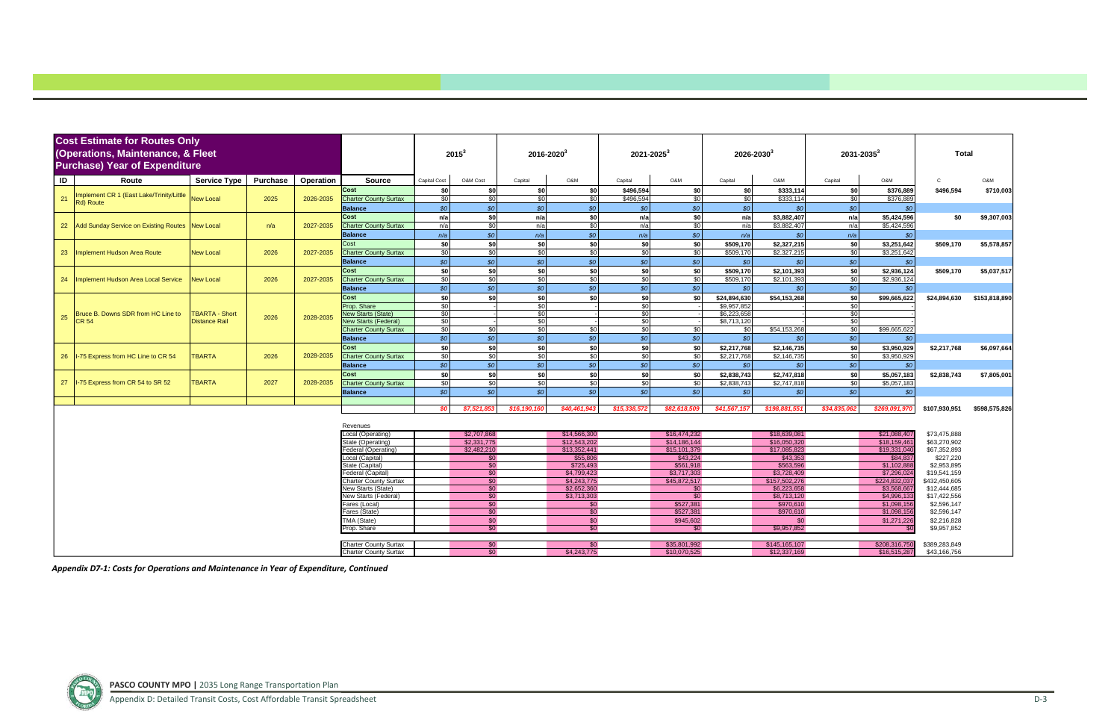|    | <b>Cost Estimate for Routes Only</b>                  |                       |                 |           |                                             |                  |                            |                 |                            |                 |                 |                        |                              |                 |                              |                              |               |
|----|-------------------------------------------------------|-----------------------|-----------------|-----------|---------------------------------------------|------------------|----------------------------|-----------------|----------------------------|-----------------|-----------------|------------------------|------------------------------|-----------------|------------------------------|------------------------------|---------------|
|    | (Operations, Maintenance, & Fleet                     |                       |                 |           |                                             |                  | $2015^3$                   | $2016 - 2020^3$ |                            | $2021 - 2025^3$ |                 | 2026-2030 <sup>3</sup> |                              | $2031 - 2035^3$ |                              | <b>Total</b>                 |               |
|    | <b>Purchase) Year of Expenditure</b>                  |                       |                 |           |                                             |                  |                            |                 |                            |                 |                 |                        |                              |                 |                              |                              |               |
|    |                                                       |                       |                 |           |                                             |                  |                            |                 |                            |                 |                 |                        |                              |                 |                              |                              |               |
| ID | Route                                                 | <b>Service Type</b>   | <b>Purchase</b> | Operation | <b>Source</b>                               | Capital Cost     | O&M Cost                   | Capital         | O&M                        | Capital         | O&M             | Capital                | O&M                          | Capital         | O&M                          | C.                           | O&M           |
|    |                                                       |                       |                 |           | Cost                                        | \$0              | \$0                        | \$0             | \$0                        | \$496,594       | \$0             | \$0                    | \$333,114                    | \$0             | \$376,889                    | \$496,594                    | \$710,003     |
| 21 | Implement CR 1 (East Lake/Trinity/Little<br>Rd) Route | <b>New Local</b>      | 2025            | 2026-2035 | <b>Charter County Surtax</b>                | $\sqrt{30}$      | \$0                        | \$0             | \$0                        | \$496,594       | $\frac{1}{3}$   | \$0                    | \$333,114                    | \$0             | \$376,889                    |                              |               |
|    |                                                       |                       |                 |           | <b>Balance</b>                              | SO               | \$0                        | SO <sub>o</sub> | \$0                        | \$0             | $$o$$           | $\mathcal{S}$          | \$0                          | SO              | \$0                          |                              |               |
|    |                                                       |                       |                 |           | Cost                                        | n/a              | \$0                        | n/a             | \$0                        | n/a             | \$0             | n/a                    | \$3,882,407                  | n/a             | \$5,424,596                  | \$0                          | \$9,307,003   |
|    | 22 Add Sunday Service on Existing Routes New Local    |                       | n/a             | 2027-2035 | <b>Charter County Surtax</b>                | n/a              | \$0                        | n/a             | \$0                        | n/a             | \$0             | n/a                    | \$3,882,407                  | n/a             | \$5,424,596                  |                              |               |
|    |                                                       |                       |                 |           | <b>Balance</b>                              | n/a              | SO                         | n/a             | SO <sub>o</sub>            | n/a             | SO <sub>2</sub> | n/a                    | \$0                          | n/a             | $$^{c}$                      |                              |               |
|    |                                                       |                       |                 |           | Cost                                        | \$0              | \$0                        | \$0             | \$0                        | \$0             | \$0             | \$509,170              | \$2,327,215                  | \$0             | \$3,251,642                  | \$509,170                    | \$5,578,857   |
| 23 | Implement Hudson Area Route                           | <b>New Local</b>      | 2026            | 2027-2035 | <b>Charter County Surtax</b>                | \$0              | \$0                        | $\overline{50}$ | \$0                        | \$0             | \$0             | \$509,170              | \$2,327,215                  | \$0             | \$3,251,642                  |                              |               |
|    |                                                       |                       |                 |           | <b>Balance</b>                              | SO               | SO <sub>o</sub>            | SO              | $\mathcal{S}$              | \$0             | \$0             | \$0                    | $\mathcal{S}$                | SO              | \$0                          |                              |               |
|    |                                                       |                       |                 |           | Cost                                        | \$0              | \$0                        | \$0             | \$0                        | \$0             | \$0             | \$509,170              | \$2,101,393                  | \$0             | \$2,936,124                  | \$509,170                    | \$5,037,517   |
| 24 | Implement Hudson Area Local Service                   | <b>New Local</b>      | 2026            | 2027-2035 | <b>Charter County Surtax</b>                | $\sqrt{50}$      | \$0                        | $\overline{50}$ | $\frac{6}{5}$              | \$0             | \$0             | \$509,170              | \$2,101,393                  | $\mathcal{S}$   | \$2,936,124                  |                              |               |
|    |                                                       |                       |                 |           | <b>Balance</b>                              | SO               | $\boldsymbol{\mathcal{S}}$ | SO <sub>o</sub> | \$0                        | $$o$$           | \$0             | SO                     | SO <sub>2</sub>              | SO              | \$0                          |                              |               |
|    |                                                       |                       |                 |           | Cost                                        | -sol             | \$0                        | sol             | \$0                        | \$0             | \$0             | \$24,894,630           | \$54,153,268                 | sol             | \$99,665,622                 | \$24,894,630                 | \$153,818,890 |
|    |                                                       |                       |                 |           | Prop. Share                                 | $\sqrt{30}$      |                            | $\overline{50}$ |                            | \$0             |                 | \$9,957,85             |                              | $\sqrt{50}$     |                              |                              |               |
| 25 | Bruce B. Downs SDR from HC Line to                    | <b>TBARTA - Short</b> | 2026            | 2028-2035 | <b>Vew Starts (State)</b>                   | \$0              |                            | \$0             |                            | \$0             |                 | \$6,223,658            |                              | $\mathcal{S}$   |                              |                              |               |
|    | <b>CR 54</b>                                          | <b>Distance Rail</b>  |                 |           | <b>Vew Starts (Federal)</b>                 | \$0              |                            | \$0             |                            | $\overline{50}$ |                 | \$8,713,120            |                              | $\mathcal{S}$   |                              |                              |               |
|    |                                                       |                       |                 |           | <b>Charter County Surtax</b>                | \$0              | \$0                        | \$0             | \$0                        | $\mathcal{S}$   | \$0             | \$0                    | \$54,153,268                 | \$0             | \$99,665,622                 |                              |               |
|    |                                                       |                       |                 |           | <b>Balance</b>                              | $\overline{\$0}$ | $\overline{\$0}$           | SO <sub>o</sub> | $\overline{\$0}$           | $$o$$           | \$0             | SO                     | SO                           | \$0             | \$0                          |                              |               |
|    |                                                       |                       |                 |           | Cost                                        | -sol             | \$0                        | \$0             | \$0                        | \$0             | \$0             | \$2,217,768            | \$2,146,735                  | \$0             | \$3,950,929                  | \$2,217,768                  | \$6,097,664   |
|    | 26  I-75 Express from HC Line to CR 54                | <b>TBARTA</b>         | 2026            | 2028-2035 | <b>Charter County Surtax</b>                | $\overline{30}$  | \$0                        | \$0             | \$0                        | \$0             | \$0             | \$2,217,768            | \$2,146,735                  | \$0             | \$3,950,929                  |                              |               |
|    |                                                       |                       |                 |           | <b>Balance</b>                              | SO               | \$0                        | \$0             | \$0                        | $$o$$           | SO <sub>2</sub> | SO <sub>2</sub>        | SO <sub>2</sub>              | SO <sub>2</sub> | \$6                          |                              |               |
|    |                                                       |                       |                 |           | Cost                                        | \$0              | \$0                        | sol             | \$0                        | \$0             | \$0             | \$2,838,743            | \$2,747,818                  | \$0             | \$5,057,183                  | \$2,838,743                  | \$7,805,001   |
|    | 27   I-75 Express from CR 54 to SR 52                 | <b>TBARTA</b>         | 2027            | 2028-2035 | <b>Charter County Surtax</b>                | $\sqrt{30}$      | \$0                        | \$0             | $\frac{1}{2}$              | $\sqrt{50}$     | $rac{1}{2}$     | \$2,838,743            | \$2,747,818                  | \$0             | \$5,057,183                  |                              |               |
|    |                                                       |                       |                 |           | <b>Balance</b>                              | SO               | SO                         | SO              | SO <sub>2</sub>            | SO <sub>2</sub> | SO <sub>o</sub> | SO                     | SO                           | SO              | \$0                          |                              |               |
|    |                                                       |                       |                 |           |                                             |                  |                            |                 |                            |                 |                 |                        |                              |                 |                              |                              |               |
|    |                                                       |                       |                 |           |                                             | SO               | \$7,521,8                  | \$16, 190, 1    | \$40,461,943               | \$15,338,572    | \$82,618,509    | \$41,567,157           | \$198,881,55                 | \$34,835,06     | \$269,091,970                | \$107,930,951                | \$598,575,826 |
|    |                                                       |                       |                 |           | Revenues                                    |                  |                            |                 |                            |                 |                 |                        |                              |                 |                              |                              |               |
|    |                                                       |                       |                 |           | .ocal (Operating)                           |                  | \$2,707,868                |                 | \$14,566,300               |                 | \$16,474,232    |                        | \$18,639,081                 |                 | \$21,088,407                 | \$73,475,888                 |               |
|    |                                                       |                       |                 |           | State (Operating)                           |                  | \$2.331.775                |                 | \$12,543,202               |                 | \$14,186,144    |                        | \$16,050,320                 |                 | \$18,159,46                  | \$63,270,902                 |               |
|    |                                                       |                       |                 |           | Federal (Operating)                         |                  | \$2,482,210                |                 | \$13,352,441               |                 | \$15,101,379    |                        | \$17,085,823                 |                 | \$19,331,040                 | \$67,352,893                 |               |
|    |                                                       |                       |                 |           | Local (Capital)                             |                  | \$0                        |                 | \$55,806                   |                 | \$43,224        |                        | \$43,353                     |                 | \$84,837                     | \$227,220                    |               |
|    |                                                       |                       |                 |           | State (Capital)                             |                  | $\overline{30}$            |                 | \$725,493                  |                 | \$561.918       |                        | \$563.596                    |                 | \$1.102.88                   | \$2,953,895                  |               |
|    |                                                       |                       |                 |           | Federal (Capital)                           |                  | $\overline{30}$            |                 | \$4,799,423                |                 | \$3,717,303     |                        | \$3,728,409                  |                 | \$7,296,024                  | \$19,541,159                 |               |
|    |                                                       |                       |                 |           | Charter County Surtax<br>New Starts (State) |                  | \$0<br>\$0                 |                 | \$4,243,775<br>\$2,652,360 |                 | \$45,872,517    |                        | \$157,502,276<br>\$6,223,658 |                 | \$224.832.037<br>\$3,568,667 | \$432,450,605                |               |
|    |                                                       |                       |                 |           | <b>New Starts (Federal)</b>                 |                  | \$0                        |                 | \$3,713,303                |                 | \$0<br>\$0      |                        | \$8,713,120                  |                 | \$4,996,133                  | \$12,444,685<br>\$17,422,556 |               |
|    |                                                       |                       |                 |           | Fares (Local)                               |                  | \$0                        |                 | \$0                        |                 | \$527,381       |                        | \$970,610                    |                 | \$1.098.156                  | \$2,596,147                  |               |
|    |                                                       |                       |                 |           | Fares (State)                               |                  | \$0                        |                 | \$0                        |                 | \$527,381       |                        | \$970,610                    |                 | \$1,098,156                  | \$2,596,147                  |               |
|    |                                                       |                       |                 |           | TMA (State)                                 |                  | \$0                        |                 | \$0                        |                 | \$945,602       |                        | \$0                          |                 | \$1,271,226                  | \$2,216,828                  |               |
|    |                                                       |                       |                 |           | Prop. Share                                 |                  | \$0                        |                 | \$0                        |                 | \$0             |                        | \$9,957,852                  |                 |                              | \$9,957,852                  |               |
|    |                                                       |                       |                 |           |                                             |                  |                            |                 |                            |                 |                 |                        |                              |                 |                              |                              |               |
|    |                                                       |                       |                 |           | <b>Charter County Surtax</b>                |                  | \$0                        |                 | \$0                        |                 | \$35.801.992    |                        | \$145,165,107                |                 | \$208,316,750                | \$389,283,849                |               |
|    |                                                       |                       |                 |           | <b>Charter County Surtax</b>                |                  | \$0                        |                 | \$4,243,775                |                 | \$10.070.525    |                        | \$12,337,169                 |                 | \$16,515,287                 | \$43,166,756                 |               |

*Appendix D7‐1: Costs for Operations and Maintenance in Year of Expenditure, Continued*

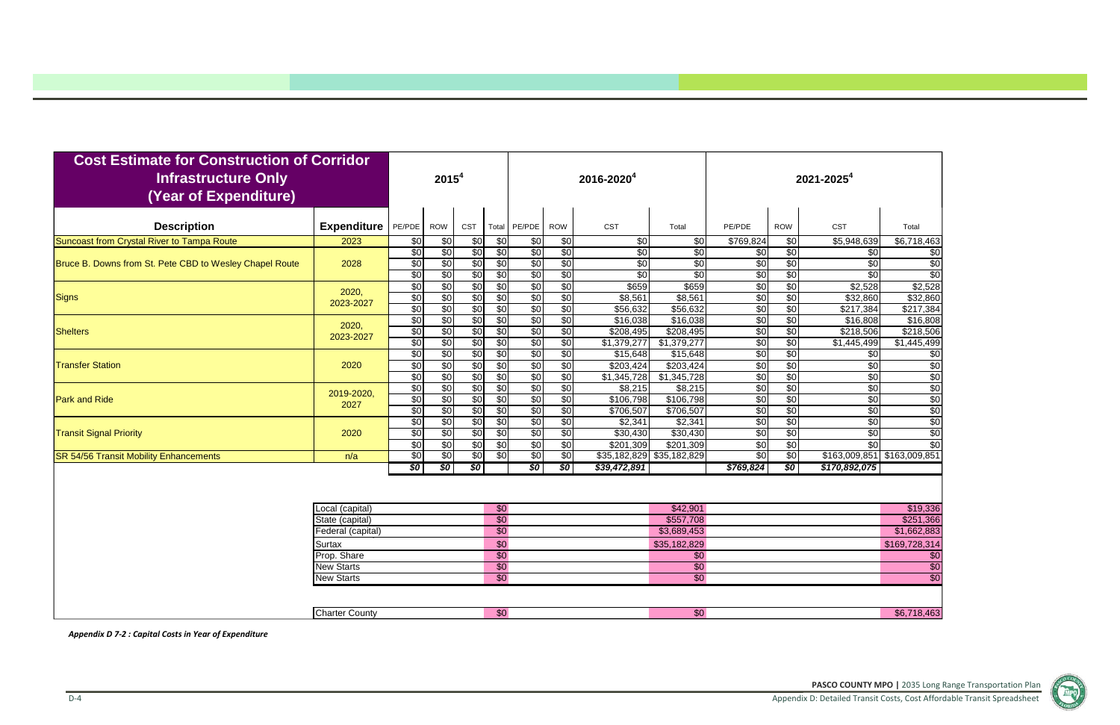

| <b>Cost Estimate for Construction of Corridor</b><br><b>Infrastructure Only</b><br>(Year of Expenditure) |                                    |                               | 2015 <sup>4</sup>             |                                             |                                    |                                           |                               | 2016-2020 <sup>4</sup>               |                                      |                                              |                                           | 2021-2025 <sup>4</sup>                    |                                      |
|----------------------------------------------------------------------------------------------------------|------------------------------------|-------------------------------|-------------------------------|---------------------------------------------|------------------------------------|-------------------------------------------|-------------------------------|--------------------------------------|--------------------------------------|----------------------------------------------|-------------------------------------------|-------------------------------------------|--------------------------------------|
| <b>Description</b>                                                                                       | <b>Expenditure</b>                 | PE/PDE                        | ROW                           | CST                                         | Total                              | PE/PDE                                    | <b>ROW</b>                    | <b>CST</b>                           | Total                                | PE/PDE                                       | <b>ROW</b>                                | CST                                       | Total                                |
| Suncoast from Crystal River to Tampa Route                                                               | 2023                               | \$0                           | $\overline{50}$               | \$0                                         | $\frac{1}{2}$                      | \$0                                       | \$0                           | \$0                                  | $\overline{30}$                      | \$769,824                                    | \$0                                       | \$5,948,639                               | \$6,718,463                          |
| Bruce B. Downs from St. Pete CBD to Wesley Chapel Route                                                  | 2028                               | \$0<br>\$0<br>$\overline{50}$ | \$0<br>\$0<br>\$0             | $\overline{50}$<br>$\sqrt[6]{3}$<br>\$0     | \$0<br>\$0<br>\$0                  | \$0<br>$\overline{50}$<br>\$0             | \$0<br>\$0<br>\$0             | \$0<br>\$0<br>$\sqrt{6}$             | \$0<br>$\overline{30}$<br>\$0        | \$0<br>$\overline{30}$<br>$\sqrt[6]{}$       | $\overline{60}$<br>$\frac{6}{3}$<br>\$0   | $\overline{30}$<br>\$0<br>$\overline{30}$ | \$0<br>$\sqrt{6}$<br>\$0             |
| <b>Signs</b>                                                                                             | 2020,<br>2023-2027                 | $\overline{50}$<br>\$0<br>\$0 | \$0<br>\$0<br>\$0             | $\overline{50}$<br>\$0<br>\$0               | \$0<br>$\overline{50}$<br>\$0      | \$0<br>\$0<br>$\overline{50}$             | \$0<br>\$0<br>\$0             | \$659<br>\$8,561<br>\$56,632         | \$659<br>\$8,561<br>\$56,632         | $\sqrt{6}$<br>$\sqrt[6]{}$<br>$\sqrt{6}$     | $\overline{50}$<br>\$0<br>$\sqrt[6]{3}$   | \$2,528<br>\$32,860<br>\$217,384          | \$2,528<br>\$32,860<br>\$217,384     |
| <b>Shelters</b>                                                                                          | 2020,<br>2023-2027                 | $\overline{50}$<br>\$0<br>\$0 | \$0<br>\$0<br>\$0             | \$0<br>$\overline{50}$<br>$\overline{50}$   | \$0<br>\$0<br>\$0                  | $\sqrt{50}$<br>$\sqrt{50}$<br>$\sqrt{50}$ | \$0<br>$\overline{50}$<br>\$0 | \$16,038<br>\$208,495<br>\$1,379,277 | \$16,038<br>\$208,495<br>\$1,379,277 | $\sqrt{6}$<br>$\sqrt{6}$<br>$\overline{60}$  | \$0<br>$\overline{60}$<br>$\overline{60}$ | \$16,808<br>\$218,506<br>\$1,445,499      | \$16,808<br>\$218,506<br>\$1,445,499 |
| <b>Transfer Station</b>                                                                                  | 2020                               | \$0<br>\$0<br>$\overline{50}$ | \$0<br>\$0<br>\$0             | \$0<br>\$0<br>\$0                           | \$0<br>\$0<br>\$0                  | \$0<br>$\sqrt{50}$<br>$\sqrt{50}$         | \$0<br>\$0<br>$\overline{50}$ | \$15,648<br>\$203,424<br>\$1,345,728 | \$15,648<br>\$203,424<br>\$1,345,728 | $\sqrt{6}$<br>$\sqrt{6}$<br>$\sqrt{6}$       | $\sqrt{$0}$<br>\$0<br>$\overline{60}$     | \$0<br>$\overline{30}$<br>\$0             | \$0<br>\$0<br>$\overline{60}$        |
| <b>Park and Ride</b>                                                                                     | 2019-2020,<br>2027                 | \$0<br>\$0<br>$\overline{50}$ | \$0<br>\$0<br>$\overline{60}$ | $\overline{50}$<br>\$0<br>$\overline{60}$   | \$0<br>\$0<br>$\overline{50}$      | \$0<br>$\sqrt{50}$<br>$\overline{50}$     | $\overline{50}$<br>\$0<br>\$0 | \$8,215<br>\$106,798<br>\$706,507    | \$8,215<br>\$106,798<br>\$706,507    | $\sqrt{6}$<br>$\sqrt{6}$<br>$\sqrt[6]{}$     | $\overline{50}$<br>\$0<br>$\sqrt{$0}$     | \$0<br>\$0<br>$\overline{50}$             | \$0<br>\$0<br>\$0                    |
| <b>Transit Signal Priority</b>                                                                           | 2020                               | \$0<br>$\overline{50}$<br>\$0 | \$0<br>\$0<br>\$0             | $\sqrt{6}$<br>$\sqrt{6}$<br>$\overline{50}$ | \$0<br>\$0<br>\$0                  | \$0<br>$\overline{50}$<br>$\sqrt{50}$     | \$0<br>\$0<br>$\overline{50}$ | \$2,341<br>\$30,430<br>\$201,309     | \$2,341<br>\$30,430<br>\$201,309     | $\sqrt[6]{3}$<br>$\sqrt[6]{3}$<br>$\sqrt{6}$ | $\frac{6}{3}$<br>$\sqrt{6}$<br>\$0        | $\overline{30}$<br>$\sqrt{50}$<br>\$0     | \$0<br>\$0<br>$\overline{60}$        |
| <b>SR 54/56 Transit Mobility Enhancements</b>                                                            | n/a                                | $\overline{50}$               | \$0                           | $\sqrt{50}$                                 | \$0                                | $\sqrt{50}$                               | \$0                           |                                      | \$35,182,829 \$35,182,829            | $\overline{50}$                              | \$0                                       | \$163,009,851                             | 9163,009,851                         |
|                                                                                                          |                                    | \$0                           | \$0                           | 30                                          |                                    | \$0                                       | \$0                           | \$39,472,891                         |                                      | \$769,824                                    | \$0                                       | \$170,892,075                             |                                      |
|                                                                                                          | _ocal (capital)                    |                               |                               |                                             | $\overline{50}$                    |                                           |                               |                                      | \$42,901                             |                                              |                                           |                                           | \$19,336                             |
|                                                                                                          | State (capital)                    |                               |                               |                                             | $\overline{50}$<br>$\overline{50}$ |                                           |                               |                                      | \$557,708                            |                                              |                                           |                                           | \$251,366                            |
|                                                                                                          | Federal (capital)<br><b>Surtax</b> |                               |                               |                                             | \$0                                |                                           |                               |                                      | \$3,689,453<br>\$35,182,829          |                                              |                                           |                                           | \$1,662,883<br>\$169,728,314         |
|                                                                                                          | Prop. Share<br><b>New Starts</b>   |                               |                               |                                             | $\overline{50}$<br>$\overline{50}$ |                                           |                               |                                      | \$0<br>$\sqrt{$0}$                   |                                              |                                           |                                           | \$0                                  |
|                                                                                                          | <b>New Starts</b>                  |                               |                               |                                             | $\overline{50}$                    |                                           |                               |                                      | $\overline{30}$                      |                                              |                                           |                                           | $\overline{30}$<br>$\overline{50}$   |
|                                                                                                          |                                    |                               |                               |                                             |                                    |                                           |                               |                                      |                                      |                                              |                                           |                                           |                                      |
|                                                                                                          | <b>Charter County</b>              |                               |                               |                                             | \$0                                |                                           |                               |                                      | \$0                                  |                                              |                                           |                                           | \$6,718,463                          |

*Appendix D 7‐2 : Capital Costs in Year of Expenditure*